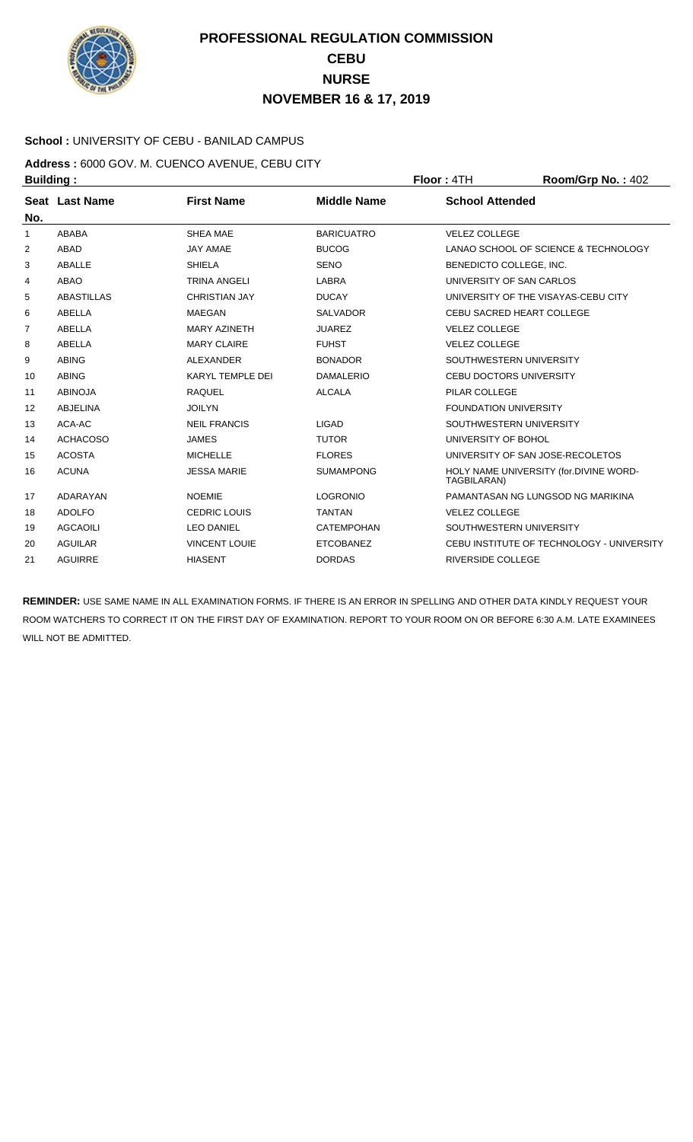

### **School :** UNIVERSITY OF CEBU - BANILAD CAMPUS

**Address :** 6000 GOV. M. CUENCO AVENUE, CEBU CITY **Building : Floor : 4TH Room/Grp No. : 402** 

| No.            | Seat Last Name    | <b>First Name</b>       | <b>Middle Name</b> | <b>School Attended</b>                                |
|----------------|-------------------|-------------------------|--------------------|-------------------------------------------------------|
| 1              | ABABA             | <b>SHEA MAE</b>         | <b>BARICUATRO</b>  | <b>VELEZ COLLEGE</b>                                  |
| 2              | <b>ABAD</b>       | <b>JAY AMAE</b>         | <b>BUCOG</b>       | LANAO SCHOOL OF SCIENCE & TECHNOLOGY                  |
| 3              | ABALLE            | <b>SHIELA</b>           | <b>SENO</b>        | BENEDICTO COLLEGE, INC.                               |
| 4              | <b>ABAO</b>       | <b>TRINA ANGELI</b>     | <b>LABRA</b>       | UNIVERSITY OF SAN CARLOS                              |
| 5              | <b>ABASTILLAS</b> | <b>CHRISTIAN JAY</b>    | <b>DUCAY</b>       | UNIVERSITY OF THE VISAYAS-CEBU CITY                   |
| 6              | ABELLA            | <b>MAEGAN</b>           | <b>SALVADOR</b>    | <b>CEBU SACRED HEART COLLEGE</b>                      |
| $\overline{7}$ | ABELLA            | <b>MARY AZINETH</b>     | <b>JUAREZ</b>      | <b>VELEZ COLLEGE</b>                                  |
| 8              | ABELLA            | <b>MARY CLAIRE</b>      | <b>FUHST</b>       | <b>VELEZ COLLEGE</b>                                  |
| 9              | <b>ABING</b>      | <b>ALEXANDER</b>        | <b>BONADOR</b>     | SOUTHWESTERN UNIVERSITY                               |
| 10             | <b>ABING</b>      | <b>KARYL TEMPLE DEI</b> | <b>DAMALERIO</b>   | <b>CEBU DOCTORS UNIVERSITY</b>                        |
| 11             | <b>ABINOJA</b>    | <b>RAQUEL</b>           | <b>ALCALA</b>      | PILAR COLLEGE                                         |
| 12             | <b>ABJELINA</b>   | <b>JOILYN</b>           |                    | <b>FOUNDATION UNIVERSITY</b>                          |
| 13             | ACA-AC            | <b>NEIL FRANCIS</b>     | <b>LIGAD</b>       | SOUTHWESTERN UNIVERSITY                               |
| 14             | <b>ACHACOSO</b>   | <b>JAMES</b>            | <b>TUTOR</b>       | UNIVERSITY OF BOHOL                                   |
| 15             | <b>ACOSTA</b>     | <b>MICHELLE</b>         | <b>FLORES</b>      | UNIVERSITY OF SAN JOSE-RECOLETOS                      |
| 16             | <b>ACUNA</b>      | <b>JESSA MARIE</b>      | <b>SUMAMPONG</b>   | HOLY NAME UNIVERSITY (for.DIVINE WORD-<br>TAGBILARAN) |
| 17             | ADARAYAN          | <b>NOEMIE</b>           | <b>LOGRONIO</b>    | PAMANTASAN NG LUNGSOD NG MARIKINA                     |
| 18             | <b>ADOLFO</b>     | <b>CEDRIC LOUIS</b>     | <b>TANTAN</b>      | <b>VELEZ COLLEGE</b>                                  |
| 19             | AGCAOILI          | <b>LEO DANIEL</b>       | CATEMPOHAN         | SOUTHWESTERN UNIVERSITY                               |
| 20             | <b>AGUILAR</b>    | <b>VINCENT LOUIE</b>    | <b>ETCOBANEZ</b>   | CEBU INSTITUTE OF TECHNOLOGY - UNIVERSITY             |
| 21             | <b>AGUIRRE</b>    | <b>HIASENT</b>          | <b>DORDAS</b>      | <b>RIVERSIDE COLLEGE</b>                              |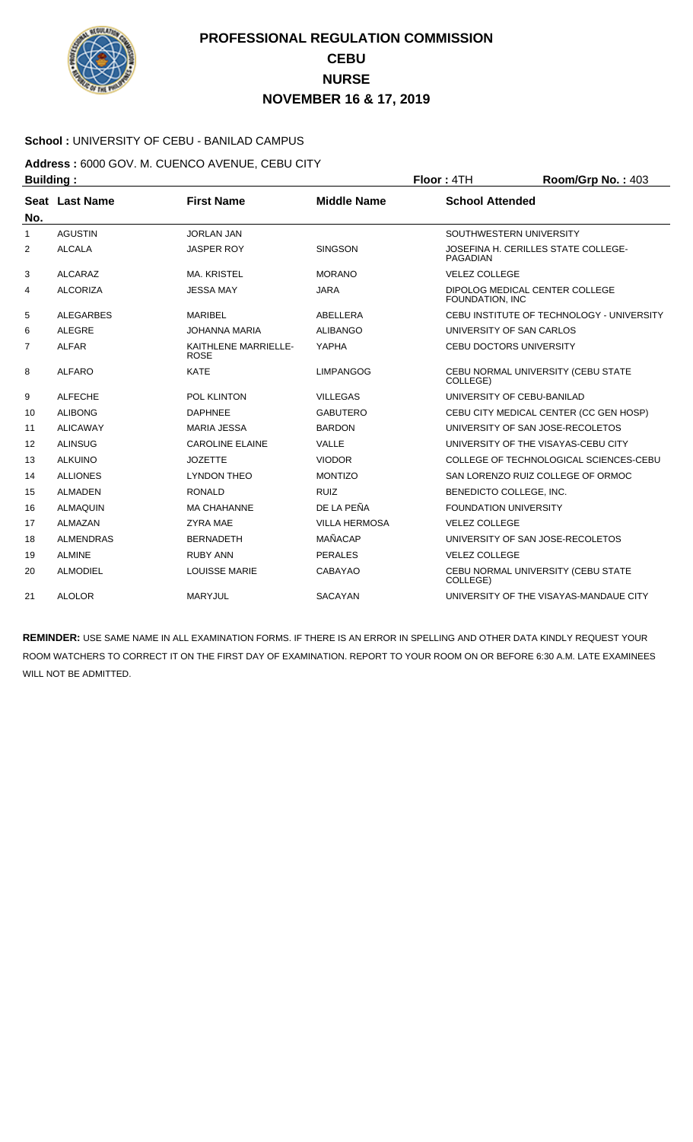

### **School :** UNIVERSITY OF CEBU - BANILAD CAMPUS

### **Address :** 6000 GOV. M. CUENCO AVENUE, CEBU CITY **Building : Floor : 4TH Room/Grp No. : 403**

| No.            | Seat Last Name   | <b>First Name</b>                   | <b>Middle Name</b>   | <b>School Attended</b>                                 |
|----------------|------------------|-------------------------------------|----------------------|--------------------------------------------------------|
| $\mathbf{1}$   | <b>AGUSTIN</b>   | <b>JORLAN JAN</b>                   |                      | SOUTHWESTERN UNIVERSITY                                |
| 2              | <b>ALCALA</b>    | <b>JASPER ROY</b>                   | <b>SINGSON</b>       | JOSEFINA H. CERILLES STATE COLLEGE-<br><b>PAGADIAN</b> |
| 3              | <b>ALCARAZ</b>   | <b>MA. KRISTEL</b>                  | <b>MORANO</b>        | <b>VELEZ COLLEGE</b>                                   |
| 4              | <b>ALCORIZA</b>  | <b>JESSA MAY</b>                    | <b>JARA</b>          | DIPOLOG MEDICAL CENTER COLLEGE<br>FOUNDATION, INC      |
| 5              | <b>ALEGARBES</b> | <b>MARIBEL</b>                      | ABELLERA             | CEBU INSTITUTE OF TECHNOLOGY - UNIVERSITY              |
| 6              | <b>ALEGRE</b>    | <b>JOHANNA MARIA</b>                | <b>ALIBANGO</b>      | UNIVERSITY OF SAN CARLOS                               |
| $\overline{7}$ | <b>ALFAR</b>     | KAITHLENE MARRIELLE-<br><b>ROSE</b> | YAPHA                | <b>CEBU DOCTORS UNIVERSITY</b>                         |
| 8              | <b>ALFARO</b>    | <b>KATE</b>                         | <b>LIMPANGOG</b>     | CEBU NORMAL UNIVERSITY (CEBU STATE<br>COLLEGE)         |
| 9              | <b>ALFECHE</b>   | POL KLINTON                         | <b>VILLEGAS</b>      | UNIVERSITY OF CEBU-BANILAD                             |
| 10             | <b>ALIBONG</b>   | <b>DAPHNEE</b>                      | <b>GABUTERO</b>      | CEBU CITY MEDICAL CENTER (CC GEN HOSP)                 |
| 11             | <b>ALICAWAY</b>  | <b>MARIA JESSA</b>                  | <b>BARDON</b>        | UNIVERSITY OF SAN JOSE-RECOLETOS                       |
| 12             | <b>ALINSUG</b>   | <b>CAROLINE ELAINE</b>              | VALLE                | UNIVERSITY OF THE VISAYAS-CEBU CITY                    |
| 13             | <b>ALKUINO</b>   | <b>JOZETTE</b>                      | <b>VIODOR</b>        | COLLEGE OF TECHNOLOGICAL SCIENCES-CEBU                 |
| 14             | <b>ALLIONES</b>  | <b>LYNDON THEO</b>                  | <b>MONTIZO</b>       | SAN LORENZO RUIZ COLLEGE OF ORMOC                      |
| 15             | <b>ALMADEN</b>   | <b>RONALD</b>                       | <b>RUIZ</b>          | BENEDICTO COLLEGE, INC.                                |
| 16             | <b>ALMAQUIN</b>  | <b>MA CHAHANNE</b>                  | DE LA PEÑA           | <b>FOUNDATION UNIVERSITY</b>                           |
| 17             | ALMAZAN          | <b>ZYRA MAE</b>                     | <b>VILLA HERMOSA</b> | <b>VELEZ COLLEGE</b>                                   |
| 18             | <b>ALMENDRAS</b> | <b>BERNADETH</b>                    | <b>MAÑACAP</b>       | UNIVERSITY OF SAN JOSE-RECOLETOS                       |
| 19             | <b>ALMINE</b>    | <b>RUBY ANN</b>                     | <b>PERALES</b>       | <b>VELEZ COLLEGE</b>                                   |
| 20             | <b>ALMODIEL</b>  | <b>LOUISSE MARIE</b>                | <b>CABAYAO</b>       | CEBU NORMAL UNIVERSITY (CEBU STATE<br>COLLEGE)         |
| 21             | <b>ALOLOR</b>    | <b>MARYJUL</b>                      | <b>SACAYAN</b>       | UNIVERSITY OF THE VISAYAS-MANDAUE CITY                 |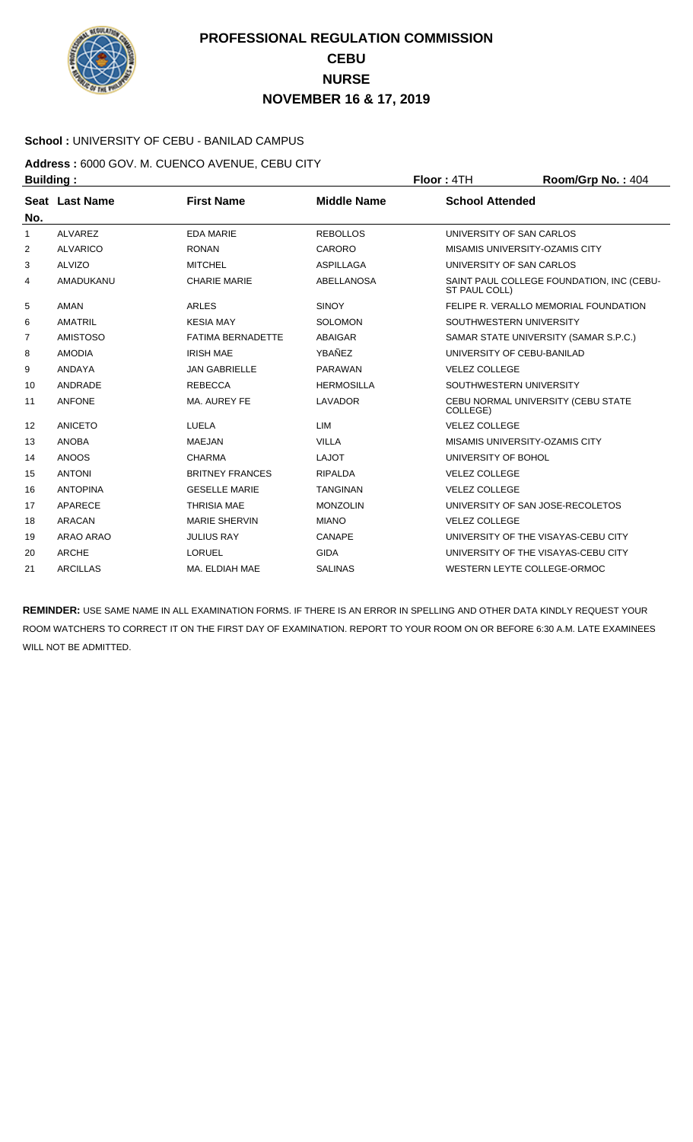

### **School :** UNIVERSITY OF CEBU - BANILAD CAMPUS

**Address :** 6000 GOV. M. CUENCO AVENUE, CEBU CITY **Building : Floor : 4TH Room/Grp No. : 404** 

| No.            | Seat Last Name  | <b>First Name</b>        | <b>Middle Name</b> | <b>School Attended</b>                                     |
|----------------|-----------------|--------------------------|--------------------|------------------------------------------------------------|
| 1              | <b>ALVAREZ</b>  | <b>EDA MARIE</b>         | <b>REBOLLOS</b>    | UNIVERSITY OF SAN CARLOS                                   |
| 2              | <b>ALVARICO</b> | <b>RONAN</b>             | CARORO             | <b>MISAMIS UNIVERSITY-OZAMIS CITY</b>                      |
| 3              | <b>ALVIZO</b>   | <b>MITCHEL</b>           | <b>ASPILLAGA</b>   | UNIVERSITY OF SAN CARLOS                                   |
| 4              | AMADUKANU       | <b>CHARIE MARIE</b>      | <b>ABELLANOSA</b>  | SAINT PAUL COLLEGE FOUNDATION, INC (CEBU-<br>ST PAUL COLL) |
| 5              | <b>AMAN</b>     | <b>ARLES</b>             | <b>SINOY</b>       | FELIPE R. VERALLO MEMORIAL FOUNDATION                      |
| 6              | <b>AMATRIL</b>  | <b>KESIA MAY</b>         | <b>SOLOMON</b>     | SOUTHWESTERN UNIVERSITY                                    |
| $\overline{7}$ | <b>AMISTOSO</b> | <b>FATIMA BERNADETTE</b> | <b>ABAIGAR</b>     | SAMAR STATE UNIVERSITY (SAMAR S.P.C.)                      |
| 8              | <b>AMODIA</b>   | <b>IRISH MAE</b>         | YBAÑEZ             | UNIVERSITY OF CEBU-BANILAD                                 |
| 9              | ANDAYA          | <b>JAN GABRIELLE</b>     | <b>PARAWAN</b>     | <b>VELEZ COLLEGE</b>                                       |
| 10             | ANDRADE         | <b>REBECCA</b>           | <b>HERMOSILLA</b>  | SOUTHWESTERN UNIVERSITY                                    |
| 11             | <b>ANFONE</b>   | MA. AUREY FE             | <b>LAVADOR</b>     | CEBU NORMAL UNIVERSITY (CEBU STATE<br>COLLEGE)             |
| 12             | <b>ANICETO</b>  | LUELA                    | LIM                | <b>VELEZ COLLEGE</b>                                       |
| 13             | <b>ANOBA</b>    | <b>MAEJAN</b>            | <b>VILLA</b>       | MISAMIS UNIVERSITY-OZAMIS CITY                             |
| 14             | <b>ANOOS</b>    | <b>CHARMA</b>            | <b>LAJOT</b>       | UNIVERSITY OF BOHOL                                        |
| 15             | <b>ANTONI</b>   | <b>BRITNEY FRANCES</b>   | <b>RIPALDA</b>     | <b>VELEZ COLLEGE</b>                                       |
| 16             | <b>ANTOPINA</b> | <b>GESELLE MARIE</b>     | <b>TANGINAN</b>    | <b>VELEZ COLLEGE</b>                                       |
| 17             | APARECE         | <b>THRISIA MAE</b>       | <b>MONZOLIN</b>    | UNIVERSITY OF SAN JOSE-RECOLETOS                           |
| 18             | <b>ARACAN</b>   | <b>MARIE SHERVIN</b>     | <b>MIANO</b>       | <b>VELEZ COLLEGE</b>                                       |
| 19             | ARAO ARAO       | <b>JULIUS RAY</b>        | CANAPE             | UNIVERSITY OF THE VISAYAS-CEBU CITY                        |
| 20             | <b>ARCHE</b>    | LORUEL                   | <b>GIDA</b>        | UNIVERSITY OF THE VISAYAS-CEBU CITY                        |
| 21             | <b>ARCILLAS</b> | MA. ELDIAH MAE           | <b>SALINAS</b>     | WESTERN LEYTE COLLEGE-ORMOC                                |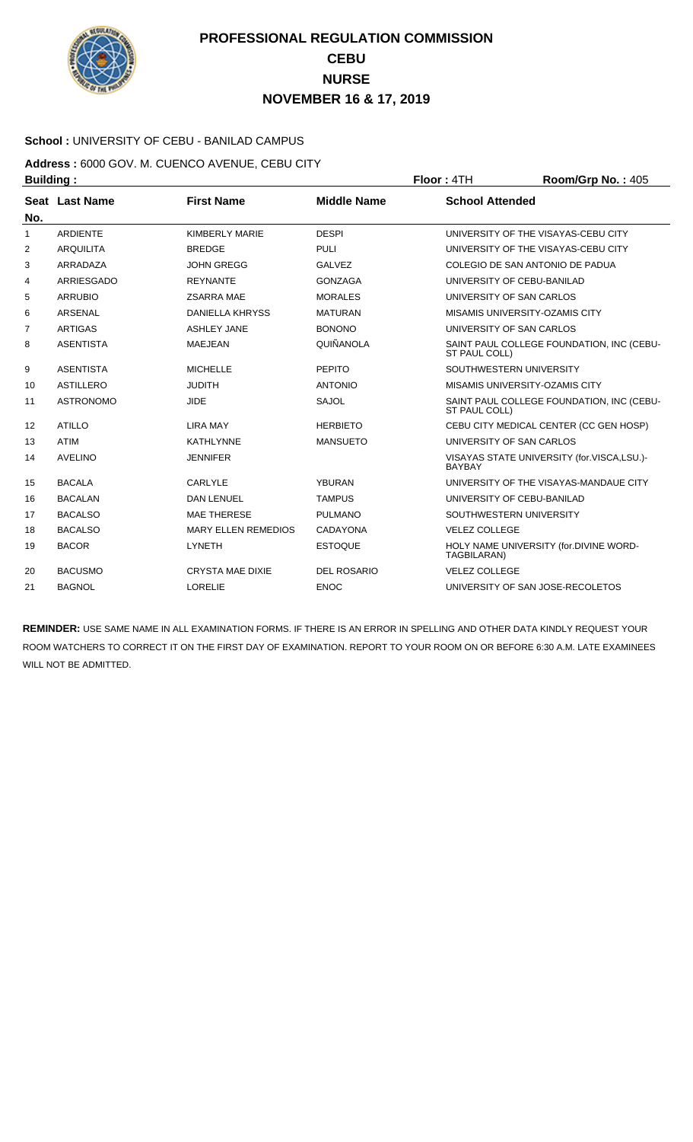

### **School :** UNIVERSITY OF CEBU - BANILAD CAMPUS

**Address :** 6000 GOV. M. CUENCO AVENUE, CEBU CITY **Building : Floor : 4TH Room/Grp No. : 405** 

| No. | Seat Last Name   | <b>First Name</b>          | <b>Middle Name</b> | <b>School Attended</b>                                            |
|-----|------------------|----------------------------|--------------------|-------------------------------------------------------------------|
| 1   | <b>ARDIENTE</b>  | KIMBERLY MARIE             | <b>DESPI</b>       | UNIVERSITY OF THE VISAYAS-CEBU CITY                               |
| 2   | <b>ARQUILITA</b> | <b>BREDGE</b>              | <b>PULI</b>        | UNIVERSITY OF THE VISAYAS-CEBU CITY                               |
| 3   | ARRADAZA         | <b>JOHN GREGG</b>          | <b>GALVEZ</b>      | COLEGIO DE SAN ANTONIO DE PADUA                                   |
| 4   | ARRIESGADO       | <b>REYNANTE</b>            | <b>GONZAGA</b>     | UNIVERSITY OF CEBU-BANILAD                                        |
| 5   | <b>ARRUBIO</b>   | <b>ZSARRA MAE</b>          | <b>MORALES</b>     | UNIVERSITY OF SAN CARLOS                                          |
| 6   | <b>ARSENAL</b>   | <b>DANIELLA KHRYSS</b>     | <b>MATURAN</b>     | MISAMIS UNIVERSITY-OZAMIS CITY                                    |
| 7   | <b>ARTIGAS</b>   | <b>ASHLEY JANE</b>         | <b>BONONO</b>      | UNIVERSITY OF SAN CARLOS                                          |
| 8   | <b>ASENTISTA</b> | <b>MAEJEAN</b>             | QUIÑANOLA          | SAINT PAUL COLLEGE FOUNDATION, INC (CEBU-<br>ST PAUL COLL)        |
| 9   | <b>ASENTISTA</b> | <b>MICHELLE</b>            | <b>PEPITO</b>      | SOUTHWESTERN UNIVERSITY                                           |
| 10  | <b>ASTILLERO</b> | <b>JUDITH</b>              | <b>ANTONIO</b>     | MISAMIS UNIVERSITY-OZAMIS CITY                                    |
| 11  | <b>ASTRONOMO</b> | <b>JIDE</b>                | <b>SAJOL</b>       | SAINT PAUL COLLEGE FOUNDATION, INC (CEBU-<br><b>ST PAUL COLL)</b> |
| 12  | <b>ATILLO</b>    | <b>LIRA MAY</b>            | <b>HERBIETO</b>    | CEBU CITY MEDICAL CENTER (CC GEN HOSP)                            |
| 13  | <b>ATIM</b>      | <b>KATHLYNNE</b>           | <b>MANSUETO</b>    | UNIVERSITY OF SAN CARLOS                                          |
| 14  | <b>AVELINO</b>   | <b>JENNIFER</b>            |                    | VISAYAS STATE UNIVERSITY (for.VISCA,LSU.)-<br><b>BAYBAY</b>       |
| 15  | <b>BACALA</b>    | CARLYLE                    | <b>YBURAN</b>      | UNIVERSITY OF THE VISAYAS-MANDAUE CITY                            |
| 16  | <b>BACALAN</b>   | <b>DAN LENUEL</b>          | <b>TAMPUS</b>      | UNIVERSITY OF CEBU-BANILAD                                        |
| 17  | <b>BACALSO</b>   | <b>MAE THERESE</b>         | <b>PULMANO</b>     | SOUTHWESTERN UNIVERSITY                                           |
| 18  | <b>BACALSO</b>   | <b>MARY ELLEN REMEDIOS</b> | CADAYONA           | <b>VELEZ COLLEGE</b>                                              |
| 19  | <b>BACOR</b>     | <b>LYNETH</b>              | <b>ESTOQUE</b>     | HOLY NAME UNIVERSITY (for.DIVINE WORD-<br>TAGBILARAN)             |
| 20  | <b>BACUSMO</b>   | <b>CRYSTA MAE DIXIE</b>    | <b>DEL ROSARIO</b> | <b>VELEZ COLLEGE</b>                                              |
| 21  | <b>BAGNOL</b>    | <b>LORELIE</b>             | <b>ENOC</b>        | UNIVERSITY OF SAN JOSE-RECOLETOS                                  |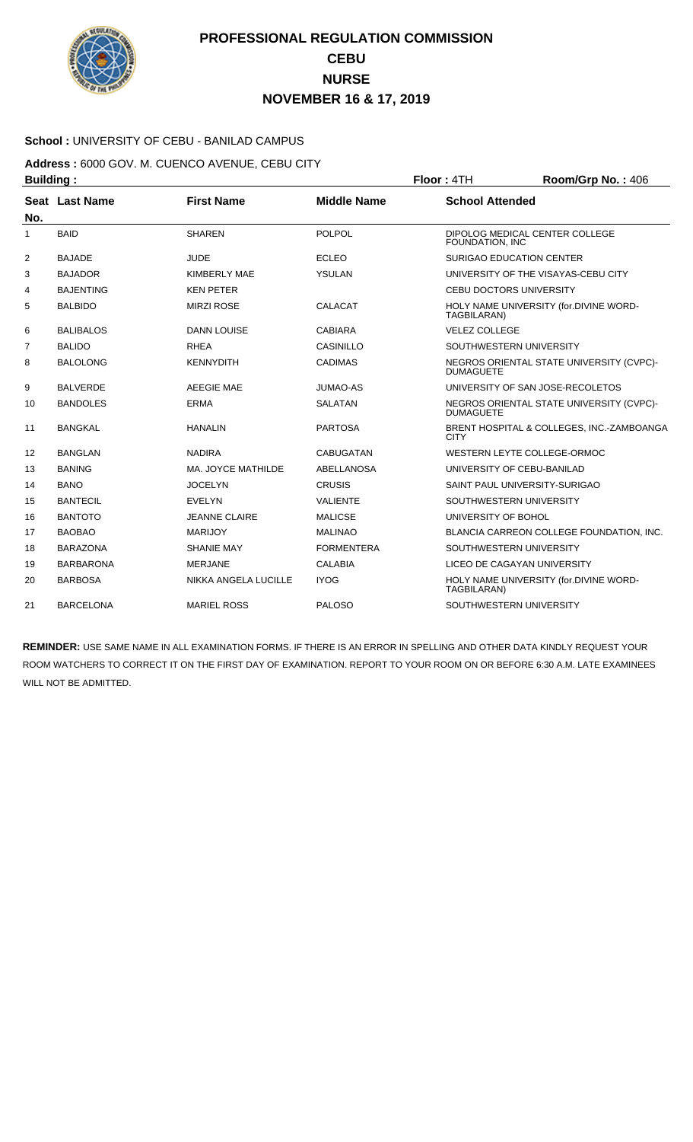

### **School :** UNIVERSITY OF CEBU - BANILAD CAMPUS

**Address :** 6000 GOV. M. CUENCO AVENUE, CEBU CITY **Building : Floor : 4TH Room/Grp No. : 406** 

| No.            | Seat Last Name   | <b>First Name</b>    | <b>Middle Name</b> | <b>School Attended</b>                                       |
|----------------|------------------|----------------------|--------------------|--------------------------------------------------------------|
| 1              | <b>BAID</b>      | <b>SHAREN</b>        | <b>POLPOL</b>      | DIPOLOG MEDICAL CENTER COLLEGE<br>FOUNDATION, INC            |
| 2              | <b>BAJADE</b>    | <b>JUDE</b>          | <b>ECLEO</b>       | <b>SURIGAO EDUCATION CENTER</b>                              |
| 3              | <b>BAJADOR</b>   | <b>KIMBERLY MAE</b>  | YSULAN             | UNIVERSITY OF THE VISAYAS-CEBU CITY                          |
| 4              | <b>BAJENTING</b> | <b>KEN PETER</b>     |                    | <b>CEBU DOCTORS UNIVERSITY</b>                               |
| 5              | <b>BALBIDO</b>   | <b>MIRZI ROSE</b>    | <b>CALACAT</b>     | HOLY NAME UNIVERSITY (for.DIVINE WORD-<br>TAGBILARAN)        |
| 6              | <b>BALIBALOS</b> | <b>DANN LOUISE</b>   | <b>CABIARA</b>     | <b>VELEZ COLLEGE</b>                                         |
| $\overline{7}$ | <b>BALIDO</b>    | <b>RHEA</b>          | <b>CASINILLO</b>   | SOUTHWESTERN UNIVERSITY                                      |
| 8              | <b>BALOLONG</b>  | <b>KENNYDITH</b>     | <b>CADIMAS</b>     | NEGROS ORIENTAL STATE UNIVERSITY (CVPC)-<br><b>DUMAGUETE</b> |
| 9              | <b>BALVERDE</b>  | <b>AEEGIE MAE</b>    | <b>JUMAO-AS</b>    | UNIVERSITY OF SAN JOSE-RECOLETOS                             |
| 10             | <b>BANDOLES</b>  | <b>ERMA</b>          | <b>SALATAN</b>     | NEGROS ORIENTAL STATE UNIVERSITY (CVPC)-<br><b>DUMAGUETE</b> |
| 11             | <b>BANGKAL</b>   | <b>HANALIN</b>       | <b>PARTOSA</b>     | BRENT HOSPITAL & COLLEGES, INC.-ZAMBOANGA<br><b>CITY</b>     |
| 12             | <b>BANGLAN</b>   | <b>NADIRA</b>        | <b>CABUGATAN</b>   | WESTERN LEYTE COLLEGE-ORMOC                                  |
| 13             | <b>BANING</b>    | MA. JOYCE MATHILDE   | ABELLANOSA         | UNIVERSITY OF CEBU-BANILAD                                   |
| 14             | <b>BANO</b>      | <b>JOCELYN</b>       | <b>CRUSIS</b>      | SAINT PAUL UNIVERSITY-SURIGAO                                |
| 15             | <b>BANTECIL</b>  | <b>EVELYN</b>        | <b>VALIENTE</b>    | SOUTHWESTERN UNIVERSITY                                      |
| 16             | <b>BANTOTO</b>   | <b>JEANNE CLAIRE</b> | <b>MALICSE</b>     | UNIVERSITY OF BOHOL                                          |
| 17             | <b>BAOBAO</b>    | <b>MARIJOY</b>       | <b>MALINAO</b>     | BLANCIA CARREON COLLEGE FOUNDATION, INC.                     |
| 18             | <b>BARAZONA</b>  | <b>SHANIE MAY</b>    | <b>FORMENTERA</b>  | SOUTHWESTERN UNIVERSITY                                      |
| 19             | <b>BARBARONA</b> | <b>MERJANE</b>       | <b>CALABIA</b>     | LICEO DE CAGAYAN UNIVERSITY                                  |
| 20             | <b>BARBOSA</b>   | NIKKA ANGELA LUCILLE | <b>IYOG</b>        | HOLY NAME UNIVERSITY (for.DIVINE WORD-<br>TAGBILARAN)        |
| 21             | <b>BARCELONA</b> | <b>MARIEL ROSS</b>   | <b>PALOSO</b>      | SOUTHWESTERN UNIVERSITY                                      |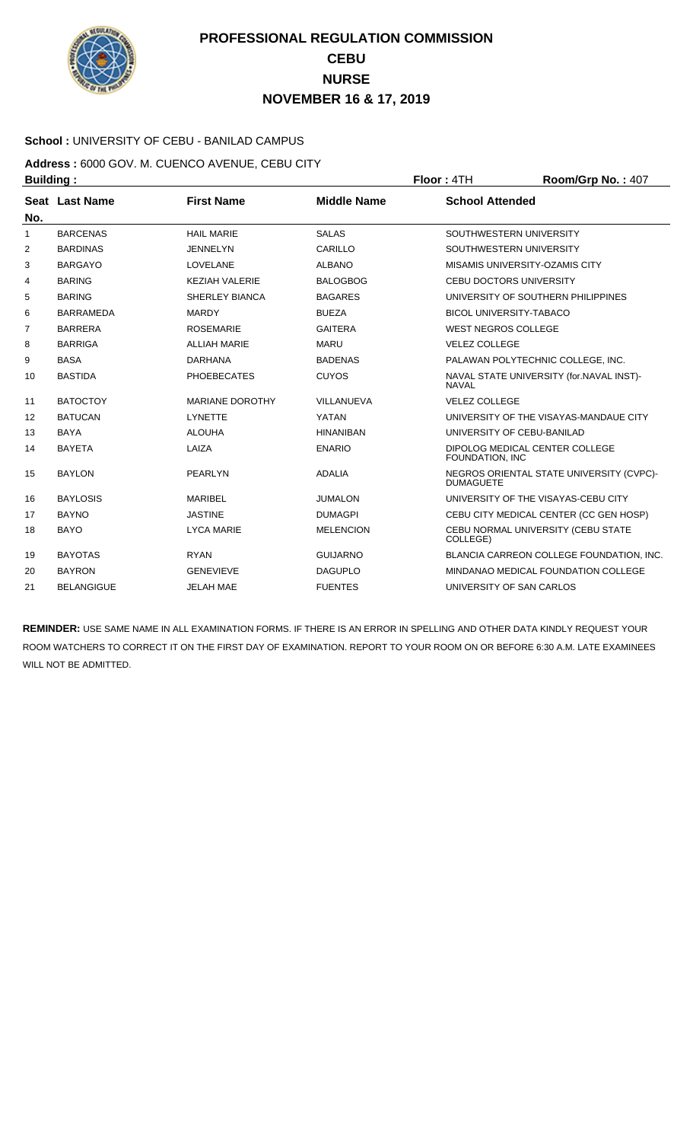

### **School :** UNIVERSITY OF CEBU - BANILAD CAMPUS

**Address :** 6000 GOV. M. CUENCO AVENUE, CEBU CITY **Building : Floor : 4TH Room/Grp No. : 407** 

| No.            | Seat Last Name    | <b>First Name</b>      | <b>Middle Name</b> | <b>School Attended</b>                                       |
|----------------|-------------------|------------------------|--------------------|--------------------------------------------------------------|
| 1              | <b>BARCENAS</b>   | <b>HAIL MARIE</b>      | <b>SALAS</b>       | SOUTHWESTERN UNIVERSITY                                      |
| 2              | <b>BARDINAS</b>   | <b>JENNELYN</b>        | CARILLO            | SOUTHWESTERN UNIVERSITY                                      |
| 3              | <b>BARGAYO</b>    | <b>LOVELANE</b>        | <b>ALBANO</b>      | MISAMIS UNIVERSITY-OZAMIS CITY                               |
| 4              | <b>BARING</b>     | <b>KEZIAH VALERIE</b>  | <b>BALOGBOG</b>    | <b>CEBU DOCTORS UNIVERSITY</b>                               |
| 5              | <b>BARING</b>     | <b>SHERLEY BIANCA</b>  | <b>BAGARES</b>     | UNIVERSITY OF SOUTHERN PHILIPPINES                           |
| 6              | <b>BARRAMEDA</b>  | <b>MARDY</b>           | <b>BUEZA</b>       | <b>BICOL UNIVERSITY-TABACO</b>                               |
| $\overline{7}$ | <b>BARRERA</b>    | <b>ROSEMARIE</b>       | <b>GAITERA</b>     | <b>WEST NEGROS COLLEGE</b>                                   |
| 8              | <b>BARRIGA</b>    | <b>ALLIAH MARIE</b>    | <b>MARU</b>        | <b>VELEZ COLLEGE</b>                                         |
| 9              | <b>BASA</b>       | <b>DARHANA</b>         | <b>BADENAS</b>     | PALAWAN POLYTECHNIC COLLEGE, INC.                            |
| 10             | <b>BASTIDA</b>    | <b>PHOEBECATES</b>     | <b>CUYOS</b>       | NAVAL STATE UNIVERSITY (for.NAVAL INST)-<br><b>NAVAL</b>     |
| 11             | <b>BATOCTOY</b>   | <b>MARIANE DOROTHY</b> | VILLANUEVA         | <b>VELEZ COLLEGE</b>                                         |
| 12             | <b>BATUCAN</b>    | <b>LYNETTE</b>         | YATAN              | UNIVERSITY OF THE VISAYAS-MANDAUE CITY                       |
| 13             | <b>BAYA</b>       | <b>ALOUHA</b>          | <b>HINANIBAN</b>   | UNIVERSITY OF CEBU-BANILAD                                   |
| 14             | <b>BAYETA</b>     | LAIZA                  | <b>ENARIO</b>      | DIPOLOG MEDICAL CENTER COLLEGE<br>FOUNDATION, INC            |
| 15             | <b>BAYLON</b>     | PEARLYN                | <b>ADALIA</b>      | NEGROS ORIENTAL STATE UNIVERSITY (CVPC)-<br><b>DUMAGUETE</b> |
| 16             | <b>BAYLOSIS</b>   | <b>MARIBEL</b>         | <b>JUMALON</b>     | UNIVERSITY OF THE VISAYAS-CEBU CITY                          |
| 17             | <b>BAYNO</b>      | <b>JASTINE</b>         | <b>DUMAGPI</b>     | CEBU CITY MEDICAL CENTER (CC GEN HOSP)                       |
| 18             | <b>BAYO</b>       | <b>LYCA MARIE</b>      | <b>MELENCION</b>   | CEBU NORMAL UNIVERSITY (CEBU STATE<br>COLLEGE)               |
| 19             | <b>BAYOTAS</b>    | <b>RYAN</b>            | <b>GUIJARNO</b>    | BLANCIA CARREON COLLEGE FOUNDATION, INC.                     |
| 20             | <b>BAYRON</b>     | <b>GENEVIEVE</b>       | <b>DAGUPLO</b>     | MINDANAO MEDICAL FOUNDATION COLLEGE                          |
| 21             | <b>BELANGIGUE</b> | <b>JELAH MAE</b>       | <b>FUENTES</b>     | UNIVERSITY OF SAN CARLOS                                     |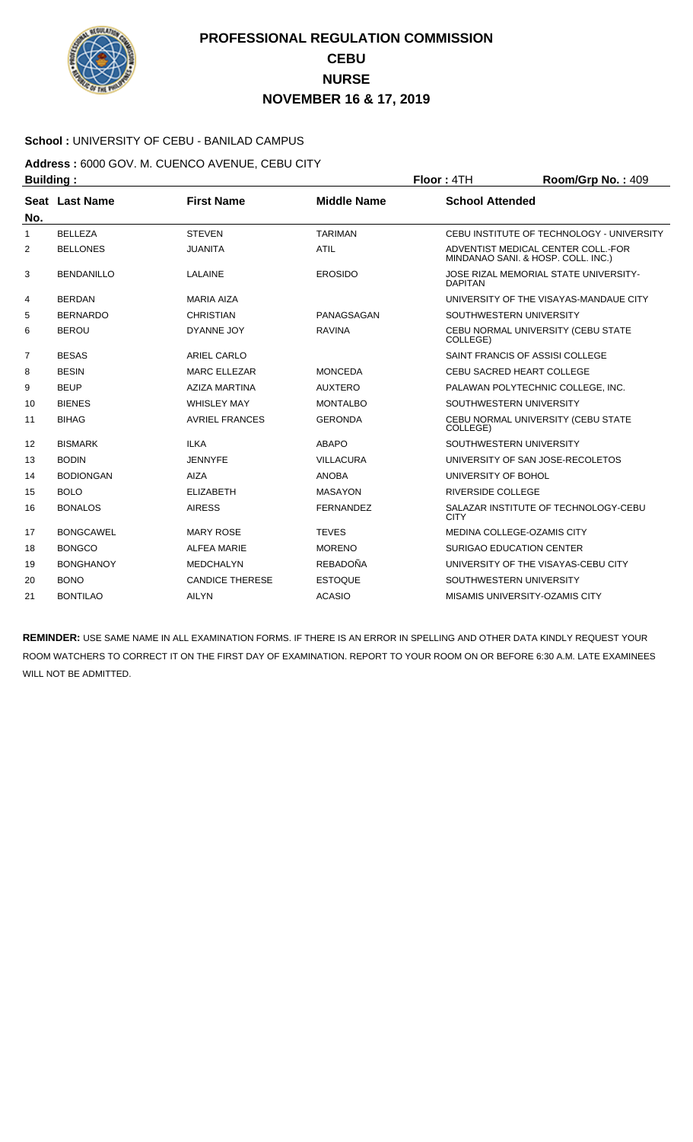

### **School :** UNIVERSITY OF CEBU - BANILAD CAMPUS

**Address :** 6000 GOV. M. CUENCO AVENUE, CEBU CITY **Building : Floor : 4TH Room/Grp No. : 409** 

| No.            | Seat Last Name    | <b>First Name</b>      | <b>Middle Name</b> | <b>School Attended</b>                                                   |
|----------------|-------------------|------------------------|--------------------|--------------------------------------------------------------------------|
| 1              | <b>BELLEZA</b>    | <b>STFVFN</b>          | <b>TARIMAN</b>     | CEBU INSTITUTE OF TECHNOLOGY - UNIVERSITY                                |
| 2              | <b>BELLONES</b>   | <b>JUANITA</b>         | <b>ATIL</b>        | ADVENTIST MEDICAL CENTER COLL.-FOR<br>MINDANAO SANI. & HOSP. COLL. INC.) |
| 3              | <b>BENDANILLO</b> | LALAINE                | <b>EROSIDO</b>     | JOSE RIZAL MEMORIAL STATE UNIVERSITY-<br><b>DAPITAN</b>                  |
| 4              | <b>BERDAN</b>     | <b>MARIA AIZA</b>      |                    | UNIVERSITY OF THE VISAYAS-MANDAUE CITY                                   |
| 5              | <b>BERNARDO</b>   | <b>CHRISTIAN</b>       | PANAGSAGAN         | SOUTHWESTERN UNIVERSITY                                                  |
| 6              | <b>BEROU</b>      | DYANNE JOY             | <b>RAVINA</b>      | CEBU NORMAL UNIVERSITY (CEBU STATE<br>COLLEGE)                           |
| $\overline{7}$ | <b>BESAS</b>      | <b>ARIEL CARLO</b>     |                    | SAINT FRANCIS OF ASSISI COLLEGE                                          |
| 8              | <b>BESIN</b>      | <b>MARC ELLEZAR</b>    | <b>MONCEDA</b>     | CEBU SACRED HEART COLLEGE                                                |
| 9              | <b>BEUP</b>       | <b>AZIZA MARTINA</b>   | <b>AUXTERO</b>     | PALAWAN POLYTECHNIC COLLEGE, INC.                                        |
| 10             | <b>BIENES</b>     | <b>WHISLEY MAY</b>     | <b>MONTALBO</b>    | SOUTHWESTERN UNIVERSITY                                                  |
| 11             | <b>BIHAG</b>      | <b>AVRIEL FRANCES</b>  | <b>GERONDA</b>     | CEBU NORMAL UNIVERSITY (CEBU STATE<br>COLLEGE)                           |
| 12             | <b>BISMARK</b>    | <b>ILKA</b>            | <b>ABAPO</b>       | SOUTHWESTERN UNIVERSITY                                                  |
| 13             | <b>BODIN</b>      | <b>JENNYFE</b>         | <b>VILLACURA</b>   | UNIVERSITY OF SAN JOSE-RECOLETOS                                         |
| 14             | <b>BODIONGAN</b>  | <b>AIZA</b>            | <b>ANOBA</b>       | UNIVERSITY OF BOHOL                                                      |
| 15             | <b>BOLO</b>       | <b>ELIZABETH</b>       | <b>MASAYON</b>     | <b>RIVERSIDE COLLEGE</b>                                                 |
| 16             | <b>BONALOS</b>    | <b>AIRESS</b>          | <b>FERNANDEZ</b>   | SALAZAR INSTITUTE OF TECHNOLOGY-CEBU<br><b>CITY</b>                      |
| 17             | <b>BONGCAWEL</b>  | <b>MARY ROSE</b>       | <b>TEVES</b>       | MEDINA COLLEGE-OZAMIS CITY                                               |
| 18             | <b>BONGCO</b>     | <b>ALFEA MARIE</b>     | <b>MORENO</b>      | SURIGAO EDUCATION CENTER                                                 |
| 19             | <b>BONGHANOY</b>  | <b>MEDCHALYN</b>       | <b>REBADOÑA</b>    | UNIVERSITY OF THE VISAYAS-CEBU CITY                                      |
| 20             | <b>BONO</b>       | <b>CANDICE THERESE</b> | <b>ESTOQUE</b>     | SOUTHWESTERN UNIVERSITY                                                  |
| 21             | <b>BONTILAO</b>   | <b>AILYN</b>           | <b>ACASIO</b>      | MISAMIS UNIVERSITY-OZAMIS CITY                                           |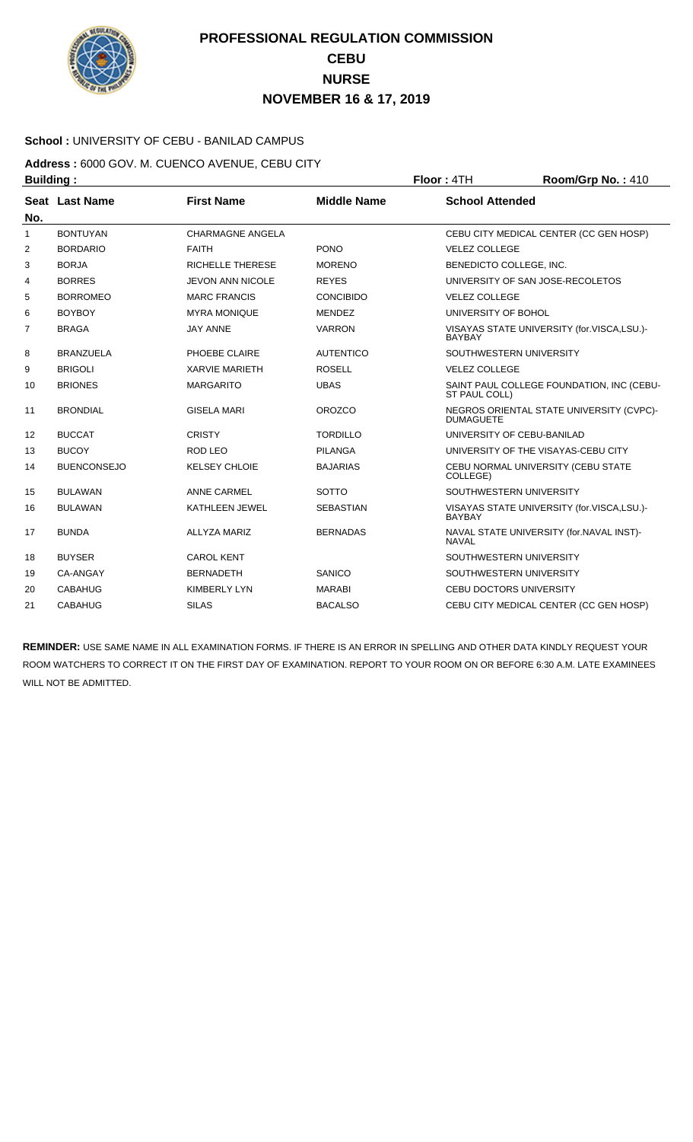

### **School :** UNIVERSITY OF CEBU - BANILAD CAMPUS

**Address :** 6000 GOV. M. CUENCO AVENUE, CEBU CITY **Building : Floor : 4TH Room/Grp No. : 410** 

| No.            | Seat Last Name     | <b>First Name</b>       | <b>Middle Name</b> | <b>School Attended</b>                                       |
|----------------|--------------------|-------------------------|--------------------|--------------------------------------------------------------|
| 1              | <b>BONTUYAN</b>    | <b>CHARMAGNE ANGELA</b> |                    | CEBU CITY MEDICAL CENTER (CC GEN HOSP)                       |
| $\overline{2}$ | <b>BORDARIO</b>    | <b>FAITH</b>            | <b>PONO</b>        | <b>VELEZ COLLEGE</b>                                         |
| 3              | <b>BORJA</b>       | <b>RICHELLE THERESE</b> | <b>MORENO</b>      | BENEDICTO COLLEGE, INC.                                      |
| 4              | <b>BORRES</b>      | <b>JEVON ANN NICOLE</b> | <b>REYES</b>       | UNIVERSITY OF SAN JOSE-RECOLETOS                             |
| 5              | <b>BORROMEO</b>    | <b>MARC FRANCIS</b>     | <b>CONCIBIDO</b>   | <b>VELEZ COLLEGE</b>                                         |
| 6              | <b>BOYBOY</b>      | <b>MYRA MONIQUE</b>     | <b>MENDEZ</b>      | UNIVERSITY OF BOHOL                                          |
| 7              | <b>BRAGA</b>       | <b>JAY ANNE</b>         | <b>VARRON</b>      | VISAYAS STATE UNIVERSITY (for.VISCA,LSU.)-<br><b>BAYBAY</b>  |
| 8              | <b>BRANZUELA</b>   | PHOEBE CLAIRE           | <b>AUTENTICO</b>   | SOUTHWESTERN UNIVERSITY                                      |
| 9              | <b>BRIGOLI</b>     | <b>XARVIE MARIETH</b>   | <b>ROSELL</b>      | <b>VELEZ COLLEGE</b>                                         |
| 10             | <b>BRIONES</b>     | <b>MARGARITO</b>        | <b>UBAS</b>        | SAINT PAUL COLLEGE FOUNDATION, INC (CEBU-<br>ST PAUL COLL)   |
| 11             | <b>BRONDIAL</b>    | <b>GISELA MARI</b>      | <b>OROZCO</b>      | NEGROS ORIENTAL STATE UNIVERSITY (CVPC)-<br><b>DUMAGUETE</b> |
| 12             | <b>BUCCAT</b>      | <b>CRISTY</b>           | <b>TORDILLO</b>    | UNIVERSITY OF CEBU-BANILAD                                   |
| 13             | <b>BUCOY</b>       | ROD LEO                 | <b>PILANGA</b>     | UNIVERSITY OF THE VISAYAS-CEBU CITY                          |
| 14             | <b>BUENCONSEJO</b> | <b>KELSEY CHLOIE</b>    | <b>BAJARIAS</b>    | CEBU NORMAL UNIVERSITY (CEBU STATE<br>COLLEGE)               |
| 15             | <b>BULAWAN</b>     | <b>ANNE CARMEL</b>      | <b>SOTTO</b>       | SOUTHWESTERN UNIVERSITY                                      |
| 16             | <b>BULAWAN</b>     | KATHLEEN JEWEL          | <b>SEBASTIAN</b>   | VISAYAS STATE UNIVERSITY (for.VISCA,LSU.)-<br><b>BAYBAY</b>  |
| 17             | <b>BUNDA</b>       | <b>ALLYZA MARIZ</b>     | <b>BERNADAS</b>    | NAVAL STATE UNIVERSITY (for.NAVAL INST)-<br><b>NAVAL</b>     |
| 18             | <b>BUYSER</b>      | <b>CAROL KENT</b>       |                    | SOUTHWESTERN UNIVERSITY                                      |
| 19             | CA-ANGAY           | <b>BERNADETH</b>        | SANICO             | SOUTHWESTERN UNIVERSITY                                      |
| 20             | <b>CABAHUG</b>     | <b>KIMBERLY LYN</b>     | <b>MARABI</b>      | <b>CEBU DOCTORS UNIVERSITY</b>                               |
| 21             | CABAHUG            | <b>SILAS</b>            | <b>BACALSO</b>     | CEBU CITY MEDICAL CENTER (CC GEN HOSP)                       |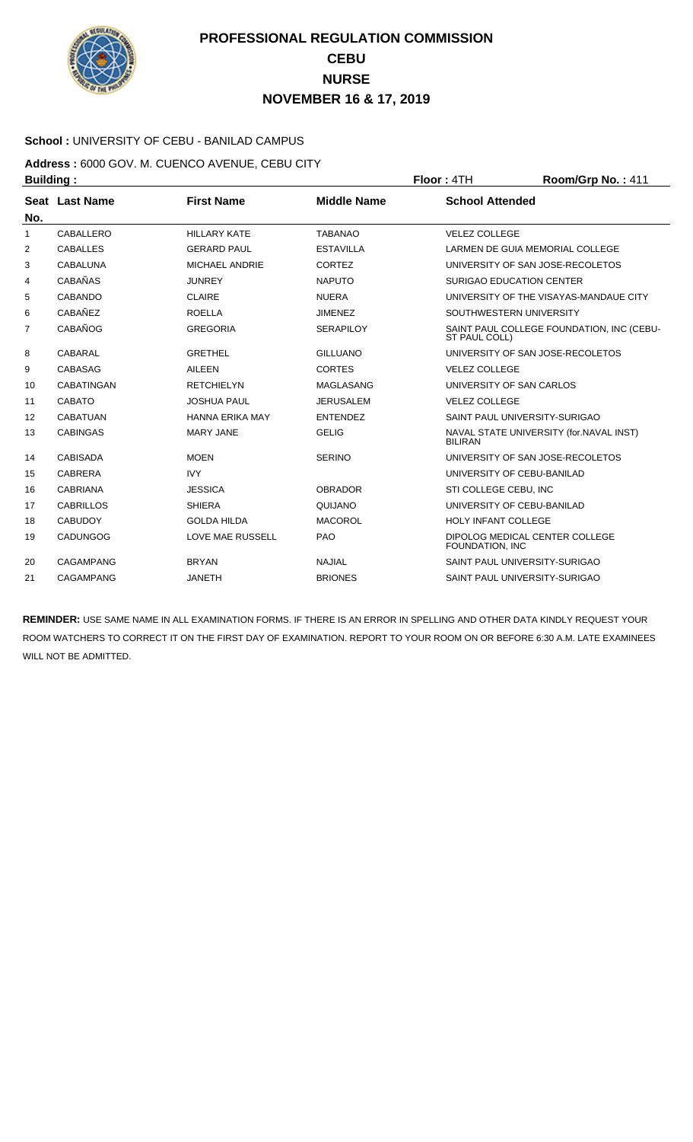

### **School :** UNIVERSITY OF CEBU - BANILAD CAMPUS

**Address :** 6000 GOV. M. CUENCO AVENUE, CEBU CITY **Building : Floor : 4TH Room/Grp No. : 411** 

| No.          | Seat Last Name    | <b>First Name</b>       | <b>Middle Name</b> | <b>School Attended</b>                                     |
|--------------|-------------------|-------------------------|--------------------|------------------------------------------------------------|
| $\mathbf{1}$ | CABALLERO         | <b>HILLARY KATE</b>     | <b>TABANAO</b>     | <b>VELEZ COLLEGE</b>                                       |
| 2            | <b>CABALLES</b>   | <b>GERARD PAUL</b>      | <b>ESTAVILLA</b>   | LARMEN DE GUIA MEMORIAL COLLEGE                            |
| 3            | CABALUNA          | MICHAEL ANDRIE          | <b>CORTEZ</b>      | UNIVERSITY OF SAN JOSE-RECOLETOS                           |
| 4            | <b>CABAÑAS</b>    | <b>JUNREY</b>           | <b>NAPUTO</b>      | <b>SURIGAO EDUCATION CENTER</b>                            |
| 5            | CABANDO           | <b>CLAIRE</b>           | <b>NUERA</b>       | UNIVERSITY OF THE VISAYAS-MANDAUE CITY                     |
| 6            | CABAÑEZ           | <b>ROELLA</b>           | <b>JIMENEZ</b>     | SOUTHWESTERN UNIVERSITY                                    |
| 7            | CABAÑOG           | <b>GREGORIA</b>         | <b>SERAPILOY</b>   | SAINT PAUL COLLEGE FOUNDATION, INC (CEBU-<br>ST PAUL COLL) |
| 8            | CABARAL           | <b>GRETHEL</b>          | <b>GILLUANO</b>    | UNIVERSITY OF SAN JOSE-RECOLETOS                           |
| 9            | CABASAG           | <b>AILEEN</b>           | <b>CORTES</b>      | <b>VELEZ COLLEGE</b>                                       |
| 10           | <b>CABATINGAN</b> | <b>RETCHIELYN</b>       | <b>MAGLASANG</b>   | UNIVERSITY OF SAN CARLOS                                   |
| 11           | <b>CABATO</b>     | <b>JOSHUA PAUL</b>      | <b>JERUSALEM</b>   | <b>VELEZ COLLEGE</b>                                       |
| 12           | <b>CABATUAN</b>   | <b>HANNA ERIKA MAY</b>  | <b>ENTENDEZ</b>    | SAINT PAUL UNIVERSITY-SURIGAO                              |
| 13           | <b>CABINGAS</b>   | <b>MARY JANE</b>        | <b>GELIG</b>       | NAVAL STATE UNIVERSITY (for.NAVAL INST)<br><b>BILIRAN</b>  |
| 14           | <b>CABISADA</b>   | <b>MOEN</b>             | <b>SERINO</b>      | UNIVERSITY OF SAN JOSE-RECOLETOS                           |
| 15           | <b>CABRERA</b>    | <b>IVY</b>              |                    | UNIVERSITY OF CEBU-BANILAD                                 |
| 16           | <b>CABRIANA</b>   | <b>JESSICA</b>          | <b>OBRADOR</b>     | STI COLLEGE CEBU, INC                                      |
| 17           | <b>CABRILLOS</b>  | <b>SHIERA</b>           | QUIJANO            | UNIVERSITY OF CEBU-BANILAD                                 |
| 18           | <b>CABUDOY</b>    | <b>GOLDA HILDA</b>      | <b>MACOROL</b>     | <b>HOLY INFANT COLLEGE</b>                                 |
| 19           | <b>CADUNGOG</b>   | <b>LOVE MAE RUSSELL</b> | <b>PAO</b>         | DIPOLOG MEDICAL CENTER COLLEGE<br>FOUNDATION, INC          |
| 20           | CAGAMPANG         | <b>BRYAN</b>            | <b>NAJIAL</b>      | SAINT PAUL UNIVERSITY-SURIGAO                              |
| 21           | CAGAMPANG         | <b>JANETH</b>           | <b>BRIONES</b>     | SAINT PAUL UNIVERSITY-SURIGAO                              |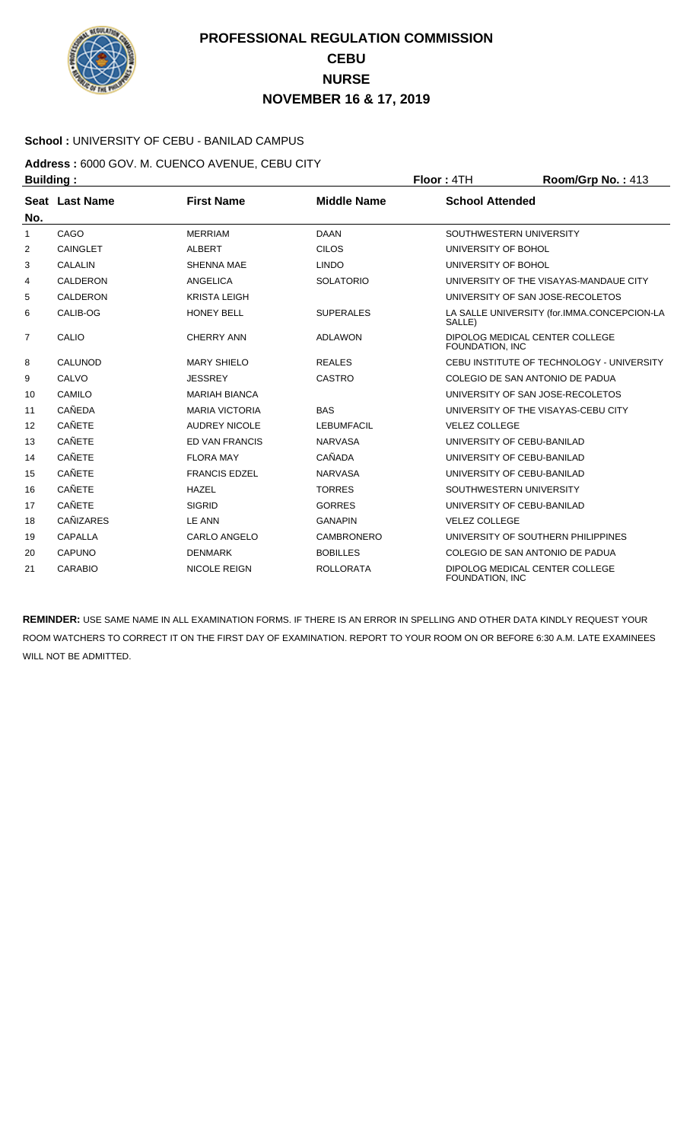

### **School :** UNIVERSITY OF CEBU - BANILAD CAMPUS

**Address :** 6000 GOV. M. CUENCO AVENUE, CEBU CITY **Building : Floor : 4TH Room/Grp No. : 413** 

| No.            | Seat Last Name  | <b>First Name</b>     | <b>Middle Name</b> | <b>School Attended</b>                                |
|----------------|-----------------|-----------------------|--------------------|-------------------------------------------------------|
| -1             | CAGO            | <b>MERRIAM</b>        | <b>DAAN</b>        | SOUTHWESTERN UNIVERSITY                               |
| 2              | CAINGLET        | <b>ALBERT</b>         | <b>CILOS</b>       | UNIVERSITY OF BOHOL                                   |
| 3              | <b>CALALIN</b>  | <b>SHENNA MAE</b>     | <b>LINDO</b>       | UNIVERSITY OF BOHOL                                   |
| 4              | <b>CALDERON</b> | <b>ANGELICA</b>       | <b>SOLATORIO</b>   | UNIVERSITY OF THE VISAYAS-MANDAUE CITY                |
| 5              | <b>CALDERON</b> | <b>KRISTA LEIGH</b>   |                    | UNIVERSITY OF SAN JOSE-RECOLETOS                      |
| 6              | CALIB-OG        | <b>HONEY BELL</b>     | <b>SUPERALES</b>   | LA SALLE UNIVERSITY (for.IMMA.CONCEPCION-LA<br>SALLE) |
| $\overline{7}$ | CALIO           | <b>CHERRY ANN</b>     | <b>ADLAWON</b>     | DIPOLOG MEDICAL CENTER COLLEGE<br>FOUNDATION. INC     |
| 8              | CALUNOD         | <b>MARY SHIELO</b>    | <b>REALES</b>      | CEBU INSTITUTE OF TECHNOLOGY - UNIVERSITY             |
| 9              | CALVO           | <b>JESSREY</b>        | <b>CASTRO</b>      | COLEGIO DE SAN ANTONIO DE PADUA                       |
| 10             | CAMILO          | <b>MARIAH BIANCA</b>  |                    | UNIVERSITY OF SAN JOSE-RECOLETOS                      |
| 11             | <b>CAÑEDA</b>   | <b>MARIA VICTORIA</b> | <b>BAS</b>         | UNIVERSITY OF THE VISAYAS-CEBU CITY                   |
| 12             | <b>CAÑETE</b>   | <b>AUDREY NICOLE</b>  | <b>LEBUMFACIL</b>  | <b>VELEZ COLLEGE</b>                                  |
| 13             | <b>CAÑETE</b>   | ED VAN FRANCIS        | <b>NARVASA</b>     | UNIVERSITY OF CEBU-BANILAD                            |
| 14             | <b>CAÑETE</b>   | <b>FLORA MAY</b>      | CAÑADA             | UNIVERSITY OF CEBU-BANILAD                            |
| 15             | <b>CAÑETE</b>   | <b>FRANCIS EDZEL</b>  | <b>NARVASA</b>     | UNIVERSITY OF CEBU-BANILAD                            |
| 16             | <b>CAÑETE</b>   | <b>HAZEL</b>          | <b>TORRES</b>      | SOUTHWESTERN UNIVERSITY                               |
| 17             | <b>CAÑETE</b>   | <b>SIGRID</b>         | <b>GORRES</b>      | UNIVERSITY OF CEBU-BANILAD                            |
| 18             | CAÑIZARES       | <b>LE ANN</b>         | <b>GANAPIN</b>     | <b>VELEZ COLLEGE</b>                                  |
| 19             | <b>CAPALLA</b>  | <b>CARLO ANGELO</b>   | CAMBRONERO         | UNIVERSITY OF SOUTHERN PHILIPPINES                    |
| 20             | CAPUNO          | <b>DENMARK</b>        | <b>BOBILLES</b>    | COLEGIO DE SAN ANTONIO DE PADUA                       |
| 21             | <b>CARABIO</b>  | <b>NICOLE REIGN</b>   | <b>ROLLORATA</b>   | DIPOLOG MEDICAL CENTER COLLEGE<br>FOUNDATION, INC     |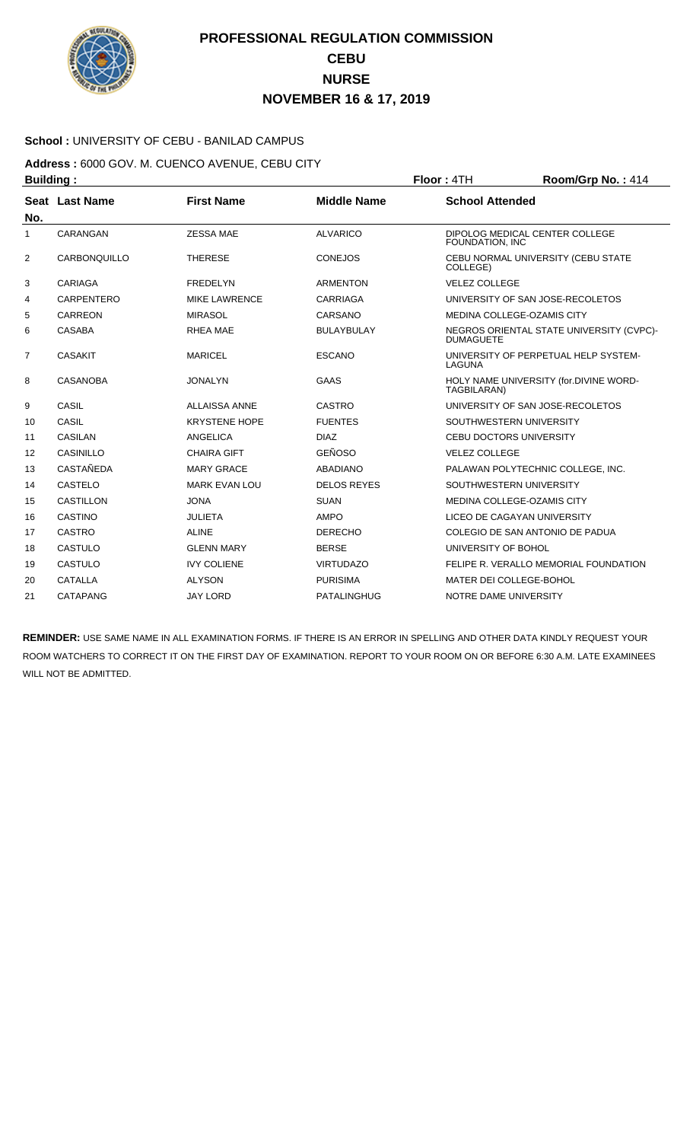

### **School :** UNIVERSITY OF CEBU - BANILAD CAMPUS

**Address :** 6000 GOV. M. CUENCO AVENUE, CEBU CITY **Building : Floor : 4TH Room/Grp No. : 414** 

| No.            | Seat Last Name    | <b>First Name</b>    | <b>Middle Name</b> | <b>School Attended</b>                                       |
|----------------|-------------------|----------------------|--------------------|--------------------------------------------------------------|
| 1              | CARANGAN          | <b>ZESSA MAE</b>     | <b>ALVARICO</b>    | DIPOLOG MEDICAL CENTER COLLEGE<br>FOUNDATION, INC            |
| 2              | CARBONQUILLO      | <b>THERESE</b>       | <b>CONEJOS</b>     | CEBU NORMAL UNIVERSITY (CEBU STATE<br>COLLEGE)               |
| 3              | <b>CARIAGA</b>    | <b>FREDELYN</b>      | <b>ARMENTON</b>    | <b>VELEZ COLLEGE</b>                                         |
| 4              | <b>CARPENTERO</b> | <b>MIKE LAWRENCE</b> | <b>CARRIAGA</b>    | UNIVERSITY OF SAN JOSE-RECOLETOS                             |
| 5              | CARREON           | <b>MIRASOL</b>       | CARSANO            | MEDINA COLLEGE-OZAMIS CITY                                   |
| 6              | <b>CASABA</b>     | <b>RHEA MAE</b>      | <b>BULAYBULAY</b>  | NEGROS ORIENTAL STATE UNIVERSITY (CVPC)-<br><b>DUMAGUETE</b> |
| $\overline{7}$ | <b>CASAKIT</b>    | <b>MARICEL</b>       | <b>ESCANO</b>      | UNIVERSITY OF PERPETUAL HELP SYSTEM-<br>LAGUNA               |
| 8              | <b>CASANOBA</b>   | <b>JONALYN</b>       | <b>GAAS</b>        | HOLY NAME UNIVERSITY (for.DIVINE WORD-<br>TAGBILARAN)        |
| 9              | CASIL             | <b>ALLAISSA ANNE</b> | <b>CASTRO</b>      | UNIVERSITY OF SAN JOSE-RECOLETOS                             |
| 10             | CASIL             | <b>KRYSTENE HOPE</b> | <b>FUENTES</b>     | SOUTHWESTERN UNIVERSITY                                      |
| 11             | <b>CASILAN</b>    | ANGELICA             | <b>DIAZ</b>        | <b>CEBU DOCTORS UNIVERSITY</b>                               |
| 12             | CASINILLO         | <b>CHAIRA GIFT</b>   | <b>GEÑOSO</b>      | <b>VELEZ COLLEGE</b>                                         |
| 13             | <b>CASTAÑEDA</b>  | <b>MARY GRACE</b>    | <b>ABADIANO</b>    | PALAWAN POLYTECHNIC COLLEGE, INC.                            |
| 14             | <b>CASTELO</b>    | <b>MARK EVAN LOU</b> | <b>DELOS REYES</b> | SOUTHWESTERN UNIVERSITY                                      |
| 15             | CASTILLON         | <b>JONA</b>          | <b>SUAN</b>        | MEDINA COLLEGE-OZAMIS CITY                                   |
| 16             | <b>CASTINO</b>    | <b>JULIETA</b>       | <b>AMPO</b>        | LICEO DE CAGAYAN UNIVERSITY                                  |
| 17             | <b>CASTRO</b>     | <b>ALINE</b>         | <b>DERECHO</b>     | COLEGIO DE SAN ANTONIO DE PADUA                              |
| 18             | CASTULO           | <b>GLENN MARY</b>    | <b>BERSE</b>       | UNIVERSITY OF BOHOL                                          |
| 19             | CASTULO           | <b>IVY COLIENE</b>   | <b>VIRTUDAZO</b>   | FELIPE R. VERALLO MEMORIAL FOUNDATION                        |
| 20             | <b>CATALLA</b>    | <b>ALYSON</b>        | <b>PURISIMA</b>    | MATER DEI COLLEGE-BOHOL                                      |
| 21             | CATAPANG          | <b>JAY LORD</b>      | <b>PATALINGHUG</b> | NOTRE DAME UNIVERSITY                                        |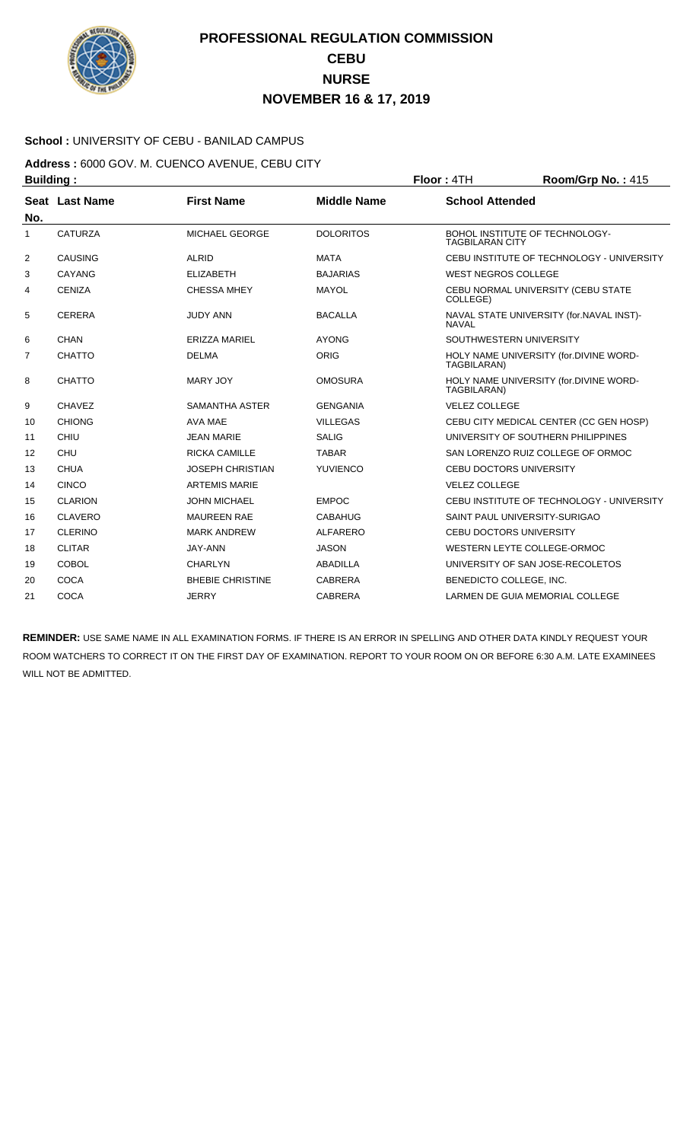

### **School :** UNIVERSITY OF CEBU - BANILAD CAMPUS

### **Address :** 6000 GOV. M. CUENCO AVENUE, CEBU CITY **Building : Floor : 4TH Room/Grp No. : 415**

| No.            | Seat Last Name | <b>First Name</b>       | <b>Middle Name</b> | <b>School Attended</b>                                       |
|----------------|----------------|-------------------------|--------------------|--------------------------------------------------------------|
| 1              | <b>CATURZA</b> | MICHAEL GEORGE          | <b>DOLORITOS</b>   | BOHOL INSTITUTE OF TECHNOLOGY-<br><b>TAGBILARAN CITY</b>     |
| $\overline{2}$ | CAUSING        | <b>ALRID</b>            | <b>MATA</b>        | CEBU INSTITUTE OF TECHNOLOGY - UNIVERSITY                    |
| 3              | CAYANG         | <b>ELIZABETH</b>        | <b>BAJARIAS</b>    | <b>WEST NEGROS COLLEGE</b>                                   |
| 4              | <b>CENIZA</b>  | <b>CHESSA MHEY</b>      | <b>MAYOL</b>       | CEBU NORMAL UNIVERSITY (CEBU STATE<br>COLLEGE)               |
| 5              | <b>CERERA</b>  | <b>JUDY ANN</b>         | <b>BACALLA</b>     | NAVAL STATE UNIVERSITY (for.NAVAL INST)-<br><b>NAVAL</b>     |
| 6              | CHAN           | <b>ERIZZA MARIEL</b>    | <b>AYONG</b>       | SOUTHWESTERN UNIVERSITY                                      |
| 7              | <b>CHATTO</b>  | <b>DELMA</b>            | <b>ORIG</b>        | HOLY NAME UNIVERSITY (for.DIVINE WORD-<br><b>TAGBILARAN)</b> |
| 8              | <b>CHATTO</b>  | <b>MARY JOY</b>         | <b>OMOSURA</b>     | HOLY NAME UNIVERSITY (for.DIVINE WORD-<br>TAGBILARAN)        |
| 9              | <b>CHAVEZ</b>  | <b>SAMANTHA ASTER</b>   | <b>GENGANIA</b>    | <b>VELEZ COLLEGE</b>                                         |
| 10             | <b>CHIONG</b>  | AVA MAE                 | <b>VILLEGAS</b>    | CEBU CITY MEDICAL CENTER (CC GEN HOSP)                       |
| 11             | CHIU           | <b>JEAN MARIE</b>       | <b>SALIG</b>       | UNIVERSITY OF SOUTHERN PHILIPPINES                           |
| 12             | <b>CHU</b>     | <b>RICKA CAMILLE</b>    | <b>TABAR</b>       | SAN LORENZO RUIZ COLLEGE OF ORMOC                            |
| 13             | <b>CHUA</b>    | <b>JOSEPH CHRISTIAN</b> | <b>YUVIENCO</b>    | <b>CEBU DOCTORS UNIVERSITY</b>                               |
| 14             | <b>CINCO</b>   | <b>ARTEMIS MARIE</b>    |                    | <b>VELEZ COLLEGE</b>                                         |
| 15             | <b>CLARION</b> | <b>JOHN MICHAEL</b>     | <b>EMPOC</b>       | CEBU INSTITUTE OF TECHNOLOGY - UNIVERSITY                    |
| 16             | <b>CLAVERO</b> | <b>MAUREEN RAE</b>      | <b>CABAHUG</b>     | SAINT PAUL UNIVERSITY-SURIGAO                                |
| 17             | <b>CLERINO</b> | <b>MARK ANDREW</b>      | <b>ALFARERO</b>    | <b>CEBU DOCTORS UNIVERSITY</b>                               |
| 18             | <b>CLITAR</b>  | <b>JAY-ANN</b>          | <b>JASON</b>       | WESTERN LEYTE COLLEGE-ORMOC                                  |
| 19             | <b>COBOL</b>   | <b>CHARLYN</b>          | <b>ABADILLA</b>    | UNIVERSITY OF SAN JOSE-RECOLETOS                             |
| 20             | <b>COCA</b>    | <b>BHEBIE CHRISTINE</b> | <b>CABRERA</b>     | BENEDICTO COLLEGE, INC.                                      |
| 21             | <b>COCA</b>    | <b>JERRY</b>            | <b>CABRERA</b>     | LARMEN DE GUIA MEMORIAL COLLEGE                              |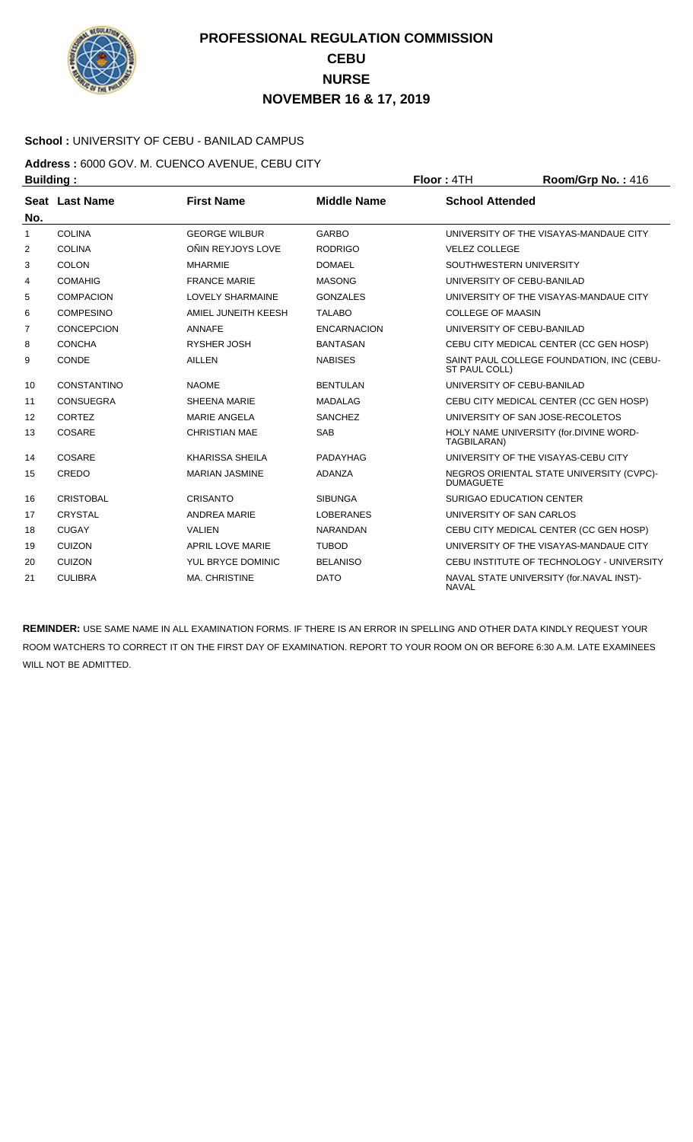

### **School :** UNIVERSITY OF CEBU - BANILAD CAMPUS

**Address :** 6000 GOV. M. CUENCO AVENUE, CEBU CITY **Building : Floor :** 4TH **Room/Grp No. :** 416

| No.          | Seat Last Name     | <b>First Name</b>       | <b>Middle Name</b> | <b>School Attended</b>                                       |
|--------------|--------------------|-------------------------|--------------------|--------------------------------------------------------------|
| $\mathbf{1}$ | <b>COLINA</b>      | <b>GEORGE WILBUR</b>    | <b>GARBO</b>       | UNIVERSITY OF THE VISAYAS-MANDAUE CITY                       |
| 2            | <b>COLINA</b>      | OÑIN REYJOYS LOVE       | <b>RODRIGO</b>     | <b>VELEZ COLLEGE</b>                                         |
| 3            | COLON              | <b>MHARMIE</b>          | <b>DOMAEL</b>      | SOUTHWESTERN UNIVERSITY                                      |
| 4            | <b>COMAHIG</b>     | <b>FRANCE MARIE</b>     | <b>MASONG</b>      | UNIVERSITY OF CEBU-BANILAD                                   |
| 5            | <b>COMPACION</b>   | <b>LOVELY SHARMAINE</b> | <b>GONZALES</b>    | UNIVERSITY OF THE VISAYAS-MANDAUE CITY                       |
| 6            | <b>COMPESINO</b>   | AMIEL JUNEITH KEESH     | <b>TALABO</b>      | <b>COLLEGE OF MAASIN</b>                                     |
| 7            | <b>CONCEPCION</b>  | <b>ANNAFE</b>           | <b>ENCARNACION</b> | UNIVERSITY OF CEBU-BANILAD                                   |
| 8            | <b>CONCHA</b>      | RYSHER JOSH             | <b>BANTASAN</b>    | CEBU CITY MEDICAL CENTER (CC GEN HOSP)                       |
| 9            | <b>CONDE</b>       | <b>AILLEN</b>           | <b>NABISES</b>     | SAINT PAUL COLLEGE FOUNDATION, INC (CEBU-<br>ST PAUL COLL)   |
| 10           | <b>CONSTANTINO</b> | <b>NAOME</b>            | <b>BENTULAN</b>    | UNIVERSITY OF CEBU-BANILAD                                   |
| 11           | CONSUEGRA          | <b>SHEENA MARIE</b>     | <b>MADALAG</b>     | CEBU CITY MEDICAL CENTER (CC GEN HOSP)                       |
| 12           | CORTEZ             | <b>MARIE ANGELA</b>     | <b>SANCHEZ</b>     | UNIVERSITY OF SAN JOSE-RECOLETOS                             |
| 13           | COSARE             | <b>CHRISTIAN MAE</b>    | <b>SAB</b>         | HOLY NAME UNIVERSITY (for.DIVINE WORD-<br>TAGBILARAN)        |
| 14           | COSARE             | <b>KHARISSA SHEILA</b>  | PADAYHAG           | UNIVERSITY OF THE VISAYAS-CEBU CITY                          |
| 15           | CREDO              | <b>MARIAN JASMINE</b>   | <b>ADANZA</b>      | NEGROS ORIENTAL STATE UNIVERSITY (CVPC)-<br><b>DUMAGUETE</b> |
| 16           | <b>CRISTOBAL</b>   | <b>CRISANTO</b>         | <b>SIBUNGA</b>     | <b>SURIGAO EDUCATION CENTER</b>                              |
| 17           | CRYSTAL            | <b>ANDREA MARIE</b>     | <b>LOBERANES</b>   | UNIVERSITY OF SAN CARLOS                                     |
| 18           | <b>CUGAY</b>       | <b>VALIEN</b>           | <b>NARANDAN</b>    | CEBU CITY MEDICAL CENTER (CC GEN HOSP)                       |
| 19           | <b>CUIZON</b>      | <b>APRIL LOVE MARIE</b> | <b>TUBOD</b>       | UNIVERSITY OF THE VISAYAS-MANDAUE CITY                       |
| 20           | <b>CUIZON</b>      | YUL BRYCE DOMINIC       | <b>BELANISO</b>    | CEBU INSTITUTE OF TECHNOLOGY - UNIVERSITY                    |
| 21           | <b>CULIBRA</b>     | MA. CHRISTINE           | <b>DATO</b>        | NAVAL STATE UNIVERSITY (for.NAVAL INST)-<br><b>NAVAL</b>     |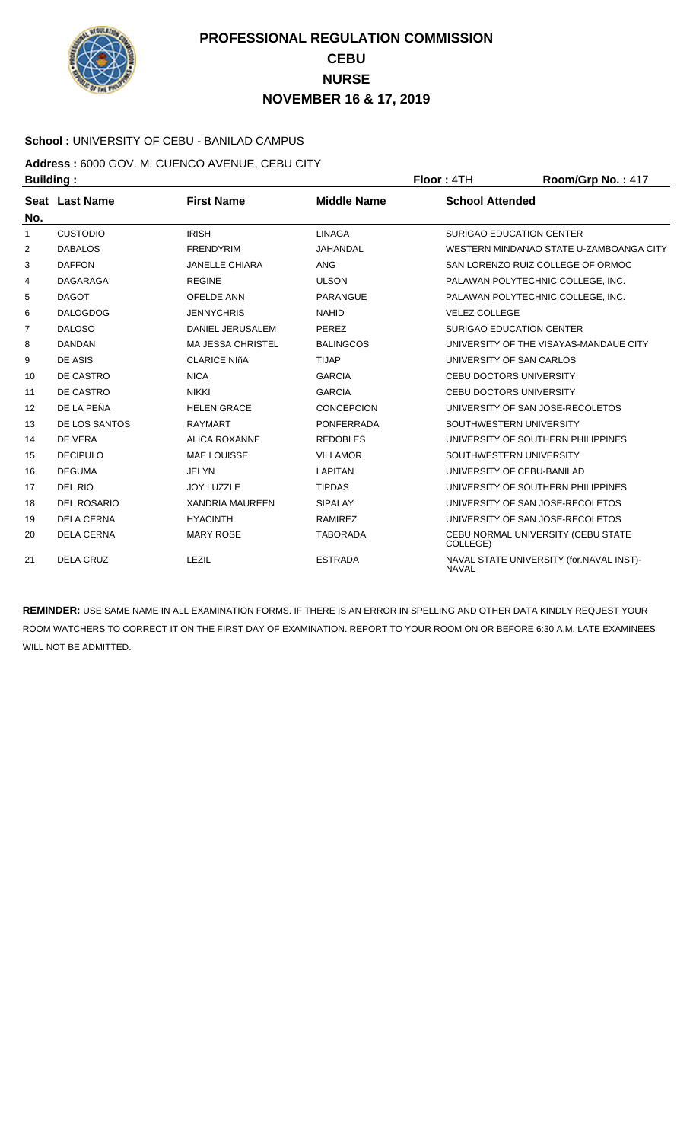

### **School :** UNIVERSITY OF CEBU - BANILAD CAMPUS

**Address :** 6000 GOV. M. CUENCO AVENUE, CEBU CITY **Building : Floor : 4TH Room/Grp No. : 417** 

| No.            | Seat Last Name     | <b>First Name</b>        | <b>Middle Name</b> | <b>School Attended</b>                                   |
|----------------|--------------------|--------------------------|--------------------|----------------------------------------------------------|
| 1              | <b>CUSTODIO</b>    | <b>IRISH</b>             | <b>LINAGA</b>      | <b>SURIGAO EDUCATION CENTER</b>                          |
| 2              | <b>DABALOS</b>     | <b>FRENDYRIM</b>         | JAHANDAL           | WESTERN MINDANAO STATE U-ZAMBOANGA CITY                  |
| 3              | <b>DAFFON</b>      | <b>JANELLE CHIARA</b>    | <b>ANG</b>         | SAN LORENZO RUIZ COLLEGE OF ORMOC                        |
| 4              | <b>DAGARAGA</b>    | <b>REGINE</b>            | <b>ULSON</b>       | PALAWAN POLYTECHNIC COLLEGE, INC.                        |
| 5              | <b>DAGOT</b>       | <b>OFELDE ANN</b>        | <b>PARANGUE</b>    | PALAWAN POLYTECHNIC COLLEGE, INC.                        |
| 6              | <b>DALOGDOG</b>    | <b>JENNYCHRIS</b>        | <b>NAHID</b>       | <b>VELEZ COLLEGE</b>                                     |
| $\overline{7}$ | <b>DALOSO</b>      | DANIEL JERUSALEM         | PEREZ              | SURIGAO EDUCATION CENTER                                 |
| 8              | <b>DANDAN</b>      | <b>MA JESSA CHRISTEL</b> | <b>BALINGCOS</b>   | UNIVERSITY OF THE VISAYAS-MANDAUE CITY                   |
| 9              | DE ASIS            | <b>CLARICE NIñA</b>      | <b>TIJAP</b>       | UNIVERSITY OF SAN CARLOS                                 |
| 10             | DE CASTRO          | <b>NICA</b>              | <b>GARCIA</b>      | <b>CEBU DOCTORS UNIVERSITY</b>                           |
| 11             | <b>DE CASTRO</b>   | <b>NIKKI</b>             | <b>GARCIA</b>      | CEBU DOCTORS UNIVERSITY                                  |
| 12             | DE LA PEÑA         | <b>HELEN GRACE</b>       | <b>CONCEPCION</b>  | UNIVERSITY OF SAN JOSE-RECOLETOS                         |
| 13             | DE LOS SANTOS      | <b>RAYMART</b>           | <b>PONFERRADA</b>  | SOUTHWESTERN UNIVERSITY                                  |
| 14             | DE VERA            | <b>ALICA ROXANNE</b>     | <b>REDOBLES</b>    | UNIVERSITY OF SOUTHERN PHILIPPINES                       |
| 15             | <b>DECIPULO</b>    | <b>MAE LOUISSE</b>       | <b>VILLAMOR</b>    | SOUTHWESTERN UNIVERSITY                                  |
| 16             | <b>DEGUMA</b>      | <b>JELYN</b>             | <b>LAPITAN</b>     | UNIVERSITY OF CEBU-BANILAD                               |
| 17             | DEL RIO            | <b>JOY LUZZLE</b>        | <b>TIPDAS</b>      | UNIVERSITY OF SOUTHERN PHILIPPINES                       |
| 18             | <b>DEL ROSARIO</b> | <b>XANDRIA MAUREEN</b>   | <b>SIPALAY</b>     | UNIVERSITY OF SAN JOSE-RECOLETOS                         |
| 19             | <b>DELA CERNA</b>  | <b>HYACINTH</b>          | <b>RAMIREZ</b>     | UNIVERSITY OF SAN JOSE-RECOLETOS                         |
| 20             | <b>DELA CERNA</b>  | <b>MARY ROSE</b>         | <b>TABORADA</b>    | CEBU NORMAL UNIVERSITY (CEBU STATE<br>COLLEGE)           |
| 21             | <b>DELA CRUZ</b>   | LEZIL                    | <b>ESTRADA</b>     | NAVAL STATE UNIVERSITY (for.NAVAL INST)-<br><b>NAVAL</b> |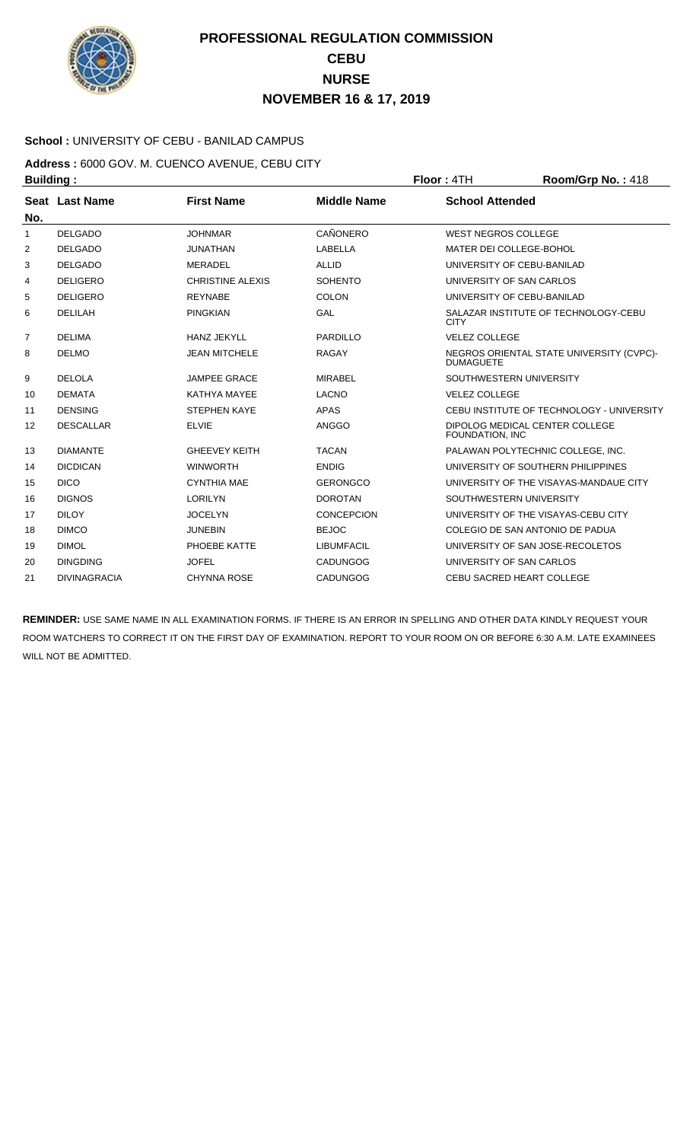

### **School :** UNIVERSITY OF CEBU - BANILAD CAMPUS

**Address :** 6000 GOV. M. CUENCO AVENUE, CEBU CITY **Building : Floor : 4TH Room/Grp No. : 418** 

| No. | Seat Last Name      | <b>First Name</b>       | <b>Middle Name</b> | <b>School Attended</b>                                       |
|-----|---------------------|-------------------------|--------------------|--------------------------------------------------------------|
| 1   | <b>DELGADO</b>      | <b>JOHNMAR</b>          | CAÑONERO           | <b>WEST NEGROS COLLEGE</b>                                   |
| 2   | <b>DELGADO</b>      | <b>JUNATHAN</b>         | LABELLA            | MATER DEI COLLEGE-BOHOL                                      |
| 3   | <b>DELGADO</b>      | <b>MERADEL</b>          | <b>ALLID</b>       | UNIVERSITY OF CEBU-BANILAD                                   |
| 4   | <b>DELIGERO</b>     | <b>CHRISTINE ALEXIS</b> | <b>SOHENTO</b>     | UNIVERSITY OF SAN CARLOS                                     |
| 5   | <b>DELIGERO</b>     | <b>REYNABE</b>          | COLON              | UNIVERSITY OF CEBU-BANILAD                                   |
| 6   | DELILAH             | <b>PINGKIAN</b>         | GAL                | SALAZAR INSTITUTE OF TECHNOLOGY-CEBU<br><b>CITY</b>          |
| 7   | <b>DELIMA</b>       | <b>HANZ JEKYLL</b>      | PARDILLO           | <b>VELEZ COLLEGE</b>                                         |
| 8   | <b>DELMO</b>        | <b>JEAN MITCHELE</b>    | <b>RAGAY</b>       | NEGROS ORIENTAL STATE UNIVERSITY (CVPC)-<br><b>DUMAGUETE</b> |
| 9   | <b>DELOLA</b>       | <b>JAMPEE GRACE</b>     | <b>MIRABEL</b>     | SOUTHWESTERN UNIVERSITY                                      |
| 10  | <b>DEMATA</b>       | KATHYA MAYEE            | <b>LACNO</b>       | <b>VELEZ COLLEGE</b>                                         |
| 11  | <b>DENSING</b>      | <b>STEPHEN KAYE</b>     | <b>APAS</b>        | CEBU INSTITUTE OF TECHNOLOGY - UNIVERSITY                    |
| 12  | <b>DESCALLAR</b>    | <b>ELVIE</b>            | ANGGO              | DIPOLOG MEDICAL CENTER COLLEGE<br><b>FOUNDATION. INC</b>     |
| 13  | <b>DIAMANTE</b>     | <b>GHEEVEY KEITH</b>    | <b>TACAN</b>       | PALAWAN POLYTECHNIC COLLEGE. INC.                            |
| 14  | <b>DICDICAN</b>     | <b>WINWORTH</b>         | <b>ENDIG</b>       | UNIVERSITY OF SOUTHERN PHILIPPINES                           |
| 15  | <b>DICO</b>         | <b>CYNTHIA MAE</b>      | <b>GERONGCO</b>    | UNIVERSITY OF THE VISAYAS-MANDAUE CITY                       |
| 16  | <b>DIGNOS</b>       | <b>LORILYN</b>          | <b>DOROTAN</b>     | SOUTHWESTERN UNIVERSITY                                      |
| 17  | <b>DILOY</b>        | <b>JOCELYN</b>          | <b>CONCEPCION</b>  | UNIVERSITY OF THE VISAYAS-CEBU CITY                          |
| 18  | <b>DIMCO</b>        | <b>JUNEBIN</b>          | <b>BEJOC</b>       | COLEGIO DE SAN ANTONIO DE PADUA                              |
| 19  | <b>DIMOL</b>        | PHOEBE KATTE            | <b>LIBUMFACIL</b>  | UNIVERSITY OF SAN JOSE-RECOLETOS                             |
| 20  | <b>DINGDING</b>     | <b>JOFEL</b>            | <b>CADUNGOG</b>    | UNIVERSITY OF SAN CARLOS                                     |
| 21  | <b>DIVINAGRACIA</b> | <b>CHYNNA ROSE</b>      | CADUNGOG           | <b>CEBU SACRED HEART COLLEGE</b>                             |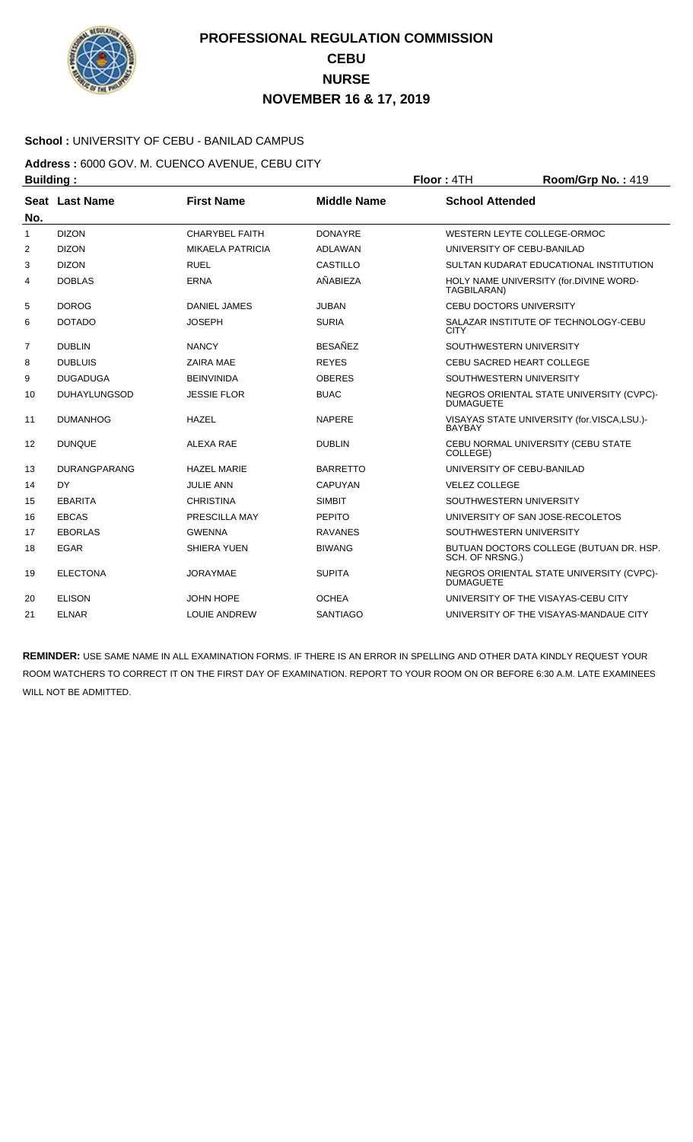

#### **School :** UNIVERSITY OF CEBU - BANILAD CAMPUS

**Address :** 6000 GOV. M. CUENCO AVENUE, CEBU CITY **Building : Floor : 4TH Room/Grp No. : 419** 

| No.            | Seat Last Name      | <b>First Name</b>       | <b>Middle Name</b> | <b>School Attended</b>                                       |
|----------------|---------------------|-------------------------|--------------------|--------------------------------------------------------------|
| 1              | <b>DIZON</b>        | <b>CHARYBEL FAITH</b>   | <b>DONAYRE</b>     | WESTERN LEYTE COLLEGE-ORMOC                                  |
| $\overline{2}$ | <b>DIZON</b>        | <b>MIKAELA PATRICIA</b> | <b>ADLAWAN</b>     | UNIVERSITY OF CEBU-BANILAD                                   |
| 3              | <b>DIZON</b>        | <b>RUEL</b>             | CASTILLO           | SULTAN KUDARAT EDUCATIONAL INSTITUTION                       |
| 4              | <b>DOBLAS</b>       | <b>ERNA</b>             | AÑABIEZA           | HOLY NAME UNIVERSITY (for.DIVINE WORD-<br>TAGBILARAN)        |
| 5              | <b>DOROG</b>        | <b>DANIEL JAMES</b>     | <b>JUBAN</b>       | <b>CEBU DOCTORS UNIVERSITY</b>                               |
| 6              | <b>DOTADO</b>       | <b>JOSEPH</b>           | <b>SURIA</b>       | SALAZAR INSTITUTE OF TECHNOLOGY-CEBU<br><b>CITY</b>          |
| $\overline{7}$ | <b>DUBLIN</b>       | <b>NANCY</b>            | <b>BESAÑEZ</b>     | SOUTHWESTERN UNIVERSITY                                      |
| 8              | <b>DUBLUIS</b>      | ZAIRA MAE               | <b>REYES</b>       | CEBU SACRED HEART COLLEGE                                    |
| 9              | <b>DUGADUGA</b>     | <b>BEINVINIDA</b>       | <b>OBERES</b>      | SOUTHWESTERN UNIVERSITY                                      |
| 10             | <b>DUHAYLUNGSOD</b> | <b>JESSIE FLOR</b>      | <b>BUAC</b>        | NEGROS ORIENTAL STATE UNIVERSITY (CVPC)-<br><b>DUMAGUETE</b> |
| 11             | <b>DUMANHOG</b>     | <b>HAZEL</b>            | <b>NAPERE</b>      | VISAYAS STATE UNIVERSITY (for.VISCA,LSU.)-<br><b>BAYBAY</b>  |
| 12             | <b>DUNQUE</b>       | ALEXA RAE               | <b>DUBLIN</b>      | CEBU NORMAL UNIVERSITY (CEBU STATE<br>COLLEGE)               |
| 13             | <b>DURANGPARANG</b> | <b>HAZEL MARIE</b>      | <b>BARRETTO</b>    | UNIVERSITY OF CEBU-BANILAD                                   |
| 14             | DY                  | <b>JULIE ANN</b>        | <b>CAPUYAN</b>     | <b>VELEZ COLLEGE</b>                                         |
| 15             | <b>EBARITA</b>      | <b>CHRISTINA</b>        | <b>SIMBIT</b>      | SOUTHWESTERN UNIVERSITY                                      |
| 16             | <b>EBCAS</b>        | PRESCILLA MAY           | <b>PEPITO</b>      | UNIVERSITY OF SAN JOSE-RECOLETOS                             |
| 17             | <b>EBORLAS</b>      | <b>GWENNA</b>           | <b>RAVANES</b>     | SOUTHWESTERN UNIVERSITY                                      |
| 18             | <b>EGAR</b>         | <b>SHIERA YUEN</b>      | <b>BIWANG</b>      | BUTUAN DOCTORS COLLEGE (BUTUAN DR. HSP.<br>SCH. OF NRSNG.)   |
| 19             | <b>ELECTONA</b>     | <b>JORAYMAE</b>         | <b>SUPITA</b>      | NEGROS ORIENTAL STATE UNIVERSITY (CVPC)-<br><b>DUMAGUETE</b> |
| 20             | <b>ELISON</b>       | <b>JOHN HOPE</b>        | OCHEA              | UNIVERSITY OF THE VISAYAS-CEBU CITY                          |
| 21             | <b>ELNAR</b>        | <b>LOUIE ANDREW</b>     | <b>SANTIAGO</b>    | UNIVERSITY OF THE VISAYAS-MANDAUE CITY                       |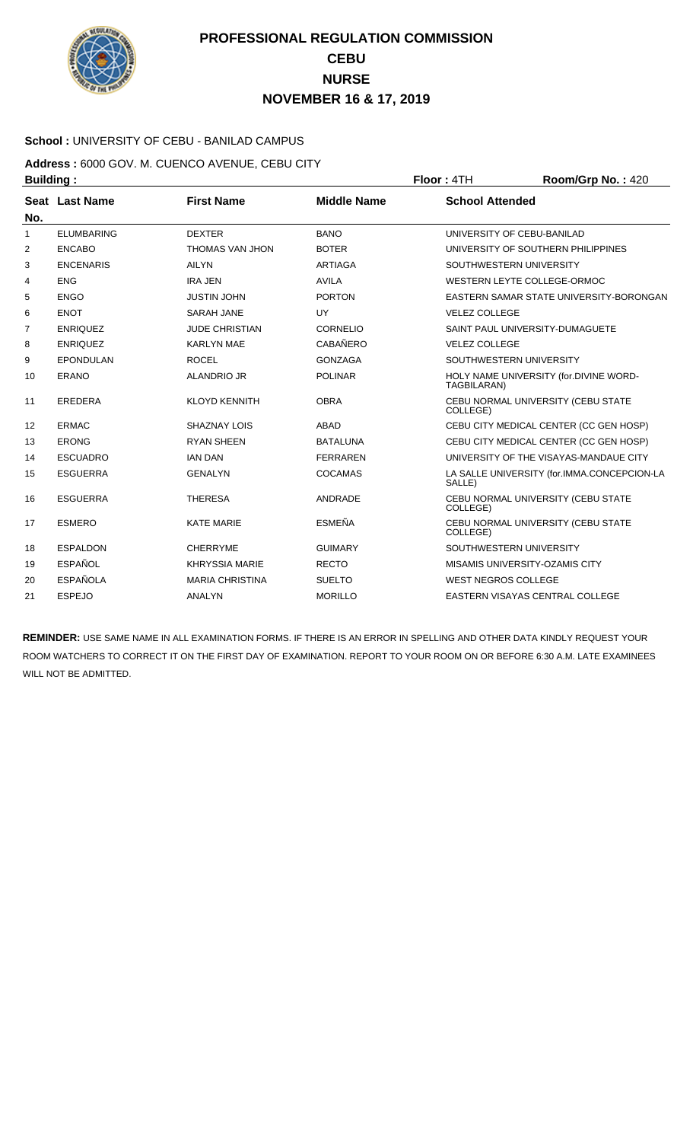

### **School :** UNIVERSITY OF CEBU - BANILAD CAMPUS

**Address :** 6000 GOV. M. CUENCO AVENUE, CEBU CITY **Building : Floor : 4TH Room/Grp No. : 420** 

| No.          | Seat Last Name    | <b>First Name</b>      | <b>Middle Name</b> | <b>School Attended</b>                                |
|--------------|-------------------|------------------------|--------------------|-------------------------------------------------------|
| $\mathbf{1}$ | <b>ELUMBARING</b> | <b>DEXTER</b>          | <b>BANO</b>        | UNIVERSITY OF CEBU-BANILAD                            |
| 2            | <b>ENCABO</b>     | <b>THOMAS VAN JHON</b> | <b>BOTER</b>       | UNIVERSITY OF SOUTHERN PHILIPPINES                    |
| 3            | <b>ENCENARIS</b>  | <b>AILYN</b>           | <b>ARTIAGA</b>     | SOUTHWESTERN UNIVERSITY                               |
| 4            | <b>ENG</b>        | <b>IRA JEN</b>         | <b>AVILA</b>       | WESTERN LEYTE COLLEGE-ORMOC                           |
| 5            | <b>ENGO</b>       | <b>JUSTIN JOHN</b>     | <b>PORTON</b>      | EASTERN SAMAR STATE UNIVERSITY-BORONGAN               |
| 6            | <b>ENOT</b>       | <b>SARAH JANE</b>      | UY                 | <b>VELEZ COLLEGE</b>                                  |
| 7            | <b>ENRIQUEZ</b>   | <b>JUDE CHRISTIAN</b>  | <b>CORNELIO</b>    | SAINT PAUL UNIVERSITY-DUMAGUETE                       |
| 8            | <b>ENRIQUEZ</b>   | <b>KARLYN MAE</b>      | <b>CABAÑERO</b>    | <b>VELEZ COLLEGE</b>                                  |
| 9            | <b>EPONDULAN</b>  | <b>ROCEL</b>           | <b>GONZAGA</b>     | SOUTHWESTERN UNIVERSITY                               |
| 10           | <b>ERANO</b>      | <b>ALANDRIO JR</b>     | <b>POLINAR</b>     | HOLY NAME UNIVERSITY (for.DIVINE WORD-<br>TAGBILARAN) |
| 11           | <b>EREDERA</b>    | <b>KLOYD KENNITH</b>   | <b>OBRA</b>        | CEBU NORMAL UNIVERSITY (CEBU STATE<br>COLLEGE)        |
| 12           | <b>ERMAC</b>      | <b>SHAZNAY LOIS</b>    | <b>ABAD</b>        | CEBU CITY MEDICAL CENTER (CC GEN HOSP)                |
| 13           | <b>ERONG</b>      | <b>RYAN SHEEN</b>      | <b>BATALUNA</b>    | CEBU CITY MEDICAL CENTER (CC GEN HOSP)                |
| 14           | <b>ESCUADRO</b>   | <b>IAN DAN</b>         | <b>FERRAREN</b>    | UNIVERSITY OF THE VISAYAS-MANDAUE CITY                |
| 15           | <b>ESGUERRA</b>   | <b>GENALYN</b>         | <b>COCAMAS</b>     | LA SALLE UNIVERSITY (for.IMMA.CONCEPCION-LA<br>SALLE) |
| 16           | <b>ESGUERRA</b>   | <b>THERESA</b>         | ANDRADE            | CEBU NORMAL UNIVERSITY (CEBU STATE<br>COLLEGE)        |
| 17           | <b>ESMERO</b>     | <b>KATE MARIE</b>      | <b>ESMEÑA</b>      | CEBU NORMAL UNIVERSITY (CEBU STATE<br>COLLEGE)        |
| 18           | <b>ESPALDON</b>   | <b>CHERRYME</b>        | <b>GUIMARY</b>     | SOUTHWESTERN UNIVERSITY                               |
| 19           | <b>ESPAÑOL</b>    | <b>KHRYSSIA MARIE</b>  | <b>RECTO</b>       | MISAMIS UNIVERSITY-OZAMIS CITY                        |
| 20           | <b>ESPAÑOLA</b>   | <b>MARIA CHRISTINA</b> | <b>SUELTO</b>      | <b>WEST NEGROS COLLEGE</b>                            |
| 21           | <b>ESPEJO</b>     | ANALYN                 | <b>MORILLO</b>     | EASTERN VISAYAS CENTRAL COLLEGE                       |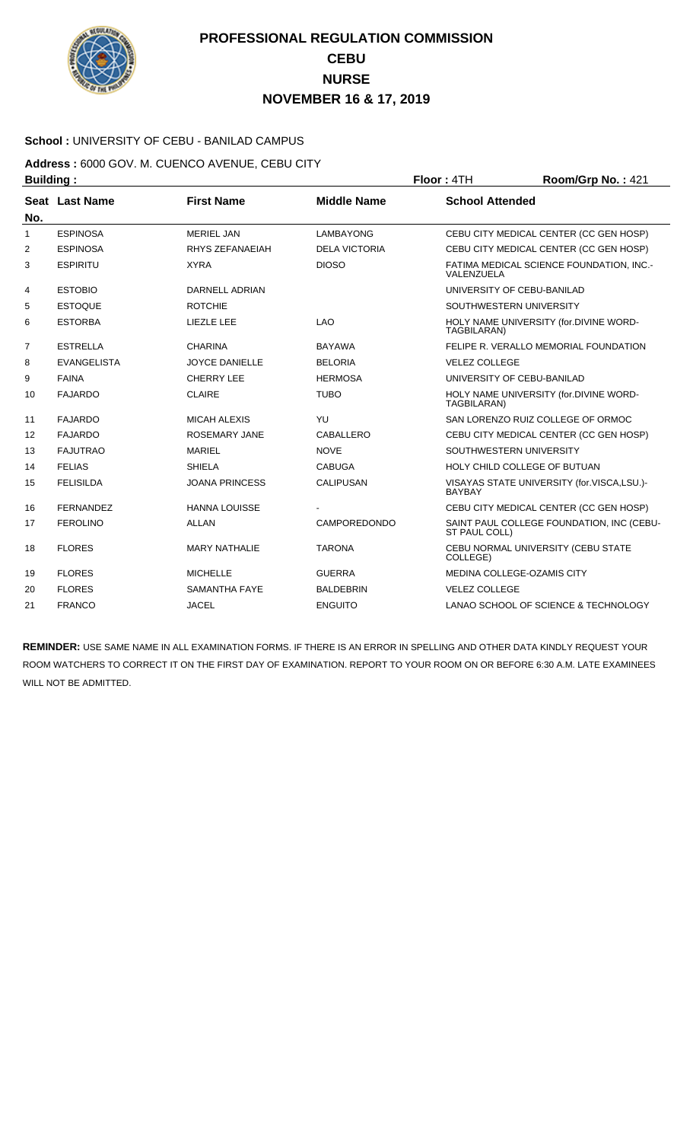

### **School :** UNIVERSITY OF CEBU - BANILAD CAMPUS

**Address :** 6000 GOV. M. CUENCO AVENUE, CEBU CITY **Building : Floor : 4TH Room/Grp No. : 421** 

| No.            | Seat Last Name     | <b>First Name</b>     | <b>Middle Name</b>   | <b>School Attended</b>                                      |
|----------------|--------------------|-----------------------|----------------------|-------------------------------------------------------------|
| 1              | <b>ESPINOSA</b>    | <b>MERIEL JAN</b>     | <b>LAMBAYONG</b>     | CEBU CITY MEDICAL CENTER (CC GEN HOSP)                      |
| 2              | <b>ESPINOSA</b>    | RHYS ZEFANAEIAH       | <b>DELA VICTORIA</b> | CEBU CITY MEDICAL CENTER (CC GEN HOSP)                      |
| 3              | <b>ESPIRITU</b>    | <b>XYRA</b>           | <b>DIOSO</b>         | FATIMA MEDICAL SCIENCE FOUNDATION, INC.-<br>VALENZUELA      |
| 4              | <b>ESTOBIO</b>     | <b>DARNELL ADRIAN</b> |                      | UNIVERSITY OF CEBU-BANILAD                                  |
| 5              | <b>ESTOQUE</b>     | <b>ROTCHIE</b>        |                      | SOUTHWESTERN UNIVERSITY                                     |
| 6              | <b>ESTORBA</b>     | <b>LIEZLE LEE</b>     | LAO                  | HOLY NAME UNIVERSITY (for.DIVINE WORD-<br>TAGBILARAN)       |
| $\overline{7}$ | <b>ESTRELLA</b>    | <b>CHARINA</b>        | <b>BAYAWA</b>        | FELIPE R. VERALLO MEMORIAL FOUNDATION                       |
| 8              | <b>EVANGELISTA</b> | <b>JOYCE DANIELLE</b> | <b>BELORIA</b>       | <b>VELEZ COLLEGE</b>                                        |
| 9              | <b>FAINA</b>       | <b>CHERRY LEE</b>     | <b>HERMOSA</b>       | UNIVERSITY OF CEBU-BANILAD                                  |
| 10             | <b>FAJARDO</b>     | <b>CLAIRE</b>         | <b>TUBO</b>          | HOLY NAME UNIVERSITY (for.DIVINE WORD-<br>TAGBILARAN)       |
| 11             | <b>FAJARDO</b>     | <b>MICAH ALEXIS</b>   | YU                   | SAN LORENZO RUIZ COLLEGE OF ORMOC                           |
| 12             | <b>FAJARDO</b>     | <b>ROSEMARY JANE</b>  | CABALLERO            | CEBU CITY MEDICAL CENTER (CC GEN HOSP)                      |
| 13             | <b>FAJUTRAO</b>    | <b>MARIEL</b>         | <b>NOVE</b>          | SOUTHWESTERN UNIVERSITY                                     |
| 14             | <b>FELIAS</b>      | <b>SHIELA</b>         | <b>CABUGA</b>        | HOLY CHILD COLLEGE OF BUTUAN                                |
| 15             | <b>FELISILDA</b>   | <b>JOANA PRINCESS</b> | <b>CALIPUSAN</b>     | VISAYAS STATE UNIVERSITY (for.VISCA,LSU.)-<br><b>BAYBAY</b> |
| 16             | <b>FERNANDEZ</b>   | <b>HANNA LOUISSE</b>  |                      | CEBU CITY MEDICAL CENTER (CC GEN HOSP)                      |
| 17             | <b>FEROLINO</b>    | <b>ALLAN</b>          | <b>CAMPOREDONDO</b>  | SAINT PAUL COLLEGE FOUNDATION, INC (CEBU-<br>ST PAUL COLL)  |
| 18             | <b>FLORES</b>      | <b>MARY NATHALIE</b>  | <b>TARONA</b>        | CEBU NORMAL UNIVERSITY (CEBU STATE<br>COLLEGE)              |
| 19             | <b>FLORES</b>      | <b>MICHELLE</b>       | <b>GUERRA</b>        | MEDINA COLLEGE-OZAMIS CITY                                  |
| 20             | <b>FLORES</b>      | <b>SAMANTHA FAYE</b>  | <b>BALDEBRIN</b>     | <b>VELEZ COLLEGE</b>                                        |
| 21             | <b>FRANCO</b>      | <b>JACEL</b>          | <b>ENGUITO</b>       | LANAO SCHOOL OF SCIENCE & TECHNOLOGY                        |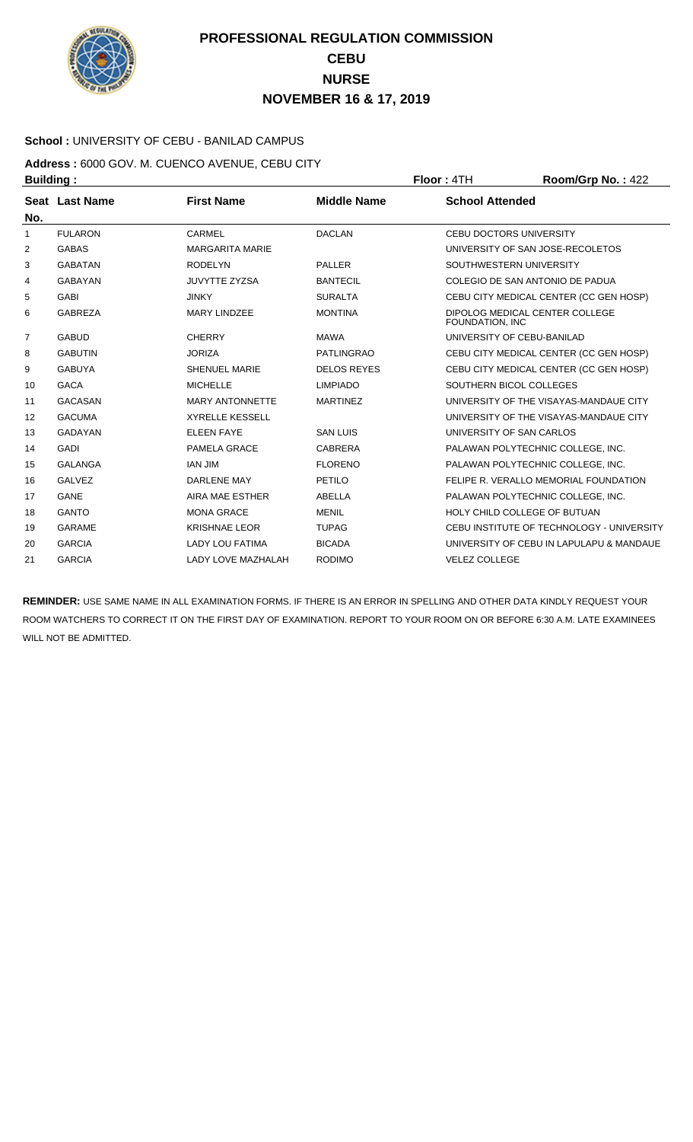

### **School :** UNIVERSITY OF CEBU - BANILAD CAMPUS

**Address :** 6000 GOV. M. CUENCO AVENUE, CEBU CITY **Building : Floor : 4TH Room/Grp No. : 422** 

| Seat Last Name |                           |                    |                                                   |
|----------------|---------------------------|--------------------|---------------------------------------------------|
|                | <b>First Name</b>         | <b>Middle Name</b> | <b>School Attended</b>                            |
| <b>FULARON</b> | CARMEL                    | <b>DACLAN</b>      | <b>CEBU DOCTORS UNIVERSITY</b>                    |
| <b>GABAS</b>   | <b>MARGARITA MARIE</b>    |                    | UNIVERSITY OF SAN JOSE-RECOLETOS                  |
| <b>GABATAN</b> | <b>RODELYN</b>            | <b>PALLER</b>      | SOUTHWESTERN UNIVERSITY                           |
| <b>GABAYAN</b> | <b>JUVYTTE ZYZSA</b>      | <b>BANTECIL</b>    | COLEGIO DE SAN ANTONIO DE PADUA                   |
| <b>GABI</b>    | <b>JINKY</b>              | <b>SURALTA</b>     | CEBU CITY MEDICAL CENTER (CC GEN HOSP)            |
| <b>GABREZA</b> | <b>MARY LINDZEE</b>       | <b>MONTINA</b>     | DIPOLOG MEDICAL CENTER COLLEGE<br>FOUNDATION, INC |
| <b>GABUD</b>   | <b>CHERRY</b>             | <b>MAWA</b>        | UNIVERSITY OF CEBU-BANILAD                        |
| <b>GABUTIN</b> | <b>JORIZA</b>             | <b>PATLINGRAO</b>  | CEBU CITY MEDICAL CENTER (CC GEN HOSP)            |
| <b>GABUYA</b>  | <b>SHENUEL MARIE</b>      | <b>DELOS REYES</b> | CEBU CITY MEDICAL CENTER (CC GEN HOSP)            |
| <b>GACA</b>    | <b>MICHELLE</b>           | <b>LIMPIADO</b>    | SOUTHERN BICOL COLLEGES                           |
| <b>GACASAN</b> | <b>MARY ANTONNETTE</b>    | <b>MARTINEZ</b>    | UNIVERSITY OF THE VISAYAS-MANDAUE CITY            |
| <b>GACUMA</b>  | <b>XYRELLE KESSELL</b>    |                    | UNIVERSITY OF THE VISAYAS-MANDAUE CITY            |
| <b>GADAYAN</b> | <b>ELEEN FAYE</b>         | <b>SAN LUIS</b>    | UNIVERSITY OF SAN CARLOS                          |
| <b>GADI</b>    | PAMELA GRACE              | CABRERA            | PALAWAN POLYTECHNIC COLLEGE, INC.                 |
| <b>GALANGA</b> | <b>IAN JIM</b>            | <b>FLORENO</b>     | PALAWAN POLYTECHNIC COLLEGE, INC.                 |
| <b>GALVEZ</b>  | <b>DARLENE MAY</b>        | PETILO             | FELIPE R. VERALLO MEMORIAL FOUNDATION             |
| GANE           | AIRA MAE ESTHER           | ABELLA             | PALAWAN POLYTECHNIC COLLEGE. INC.                 |
| <b>GANTO</b>   | <b>MONA GRACE</b>         | <b>MENIL</b>       | HOLY CHILD COLLEGE OF BUTUAN                      |
| <b>GARAME</b>  | <b>KRISHNAE LEOR</b>      | <b>TUPAG</b>       | CEBU INSTITUTE OF TECHNOLOGY - UNIVERSITY         |
| <b>GARCIA</b>  | <b>LADY LOU FATIMA</b>    | <b>BICADA</b>      | UNIVERSITY OF CEBU IN LAPULAPU & MANDAUE          |
| <b>GARCIA</b>  | <b>LADY LOVE MAZHALAH</b> | <b>RODIMO</b>      | <b>VELEZ COLLEGE</b>                              |
|                |                           |                    |                                                   |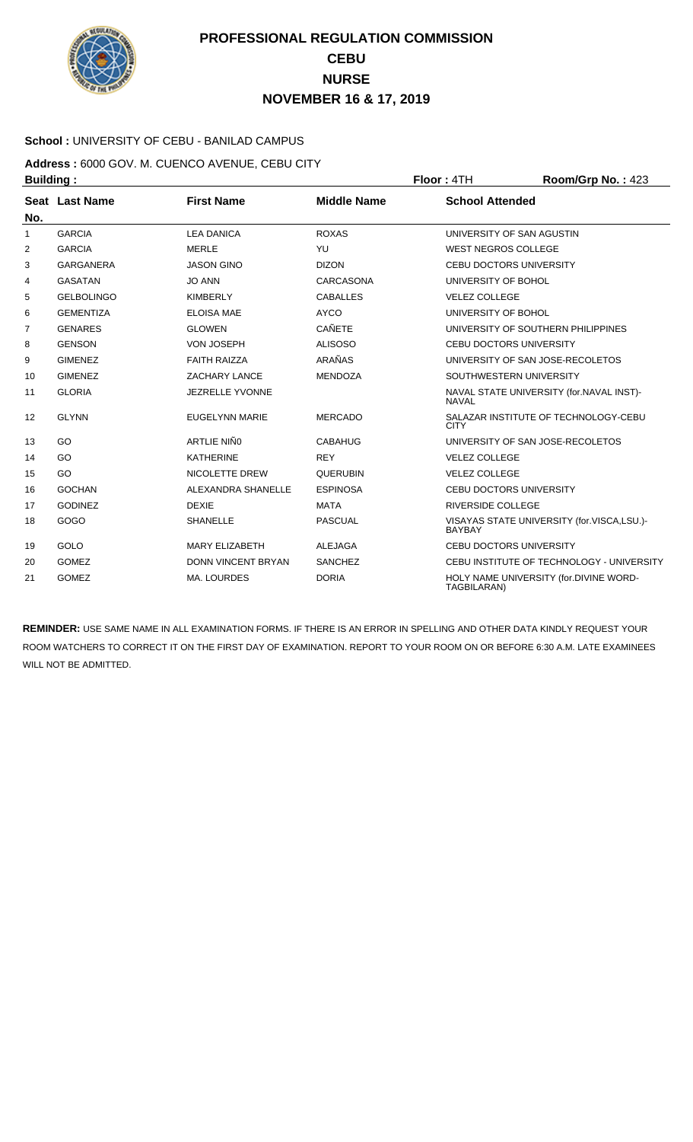

#### **School :** UNIVERSITY OF CEBU - BANILAD CAMPUS

**Address :** 6000 GOV. M. CUENCO AVENUE, CEBU CITY **Building : Floor : 4TH Room/Grp No. : 423** 

|              | Seat Last Name    | <b>First Name</b>         | <b>Middle Name</b> | <b>School Attended</b>                                      |
|--------------|-------------------|---------------------------|--------------------|-------------------------------------------------------------|
| No.          |                   |                           |                    |                                                             |
| $\mathbf{1}$ | <b>GARCIA</b>     | <b>LEA DANICA</b>         | <b>ROXAS</b>       | UNIVERSITY OF SAN AGUSTIN                                   |
| 2            | <b>GARCIA</b>     | <b>MERLE</b>              | YU                 | <b>WEST NEGROS COLLEGE</b>                                  |
| 3            | <b>GARGANERA</b>  | <b>JASON GINO</b>         | <b>DIZON</b>       | CEBU DOCTORS UNIVERSITY                                     |
| 4            | <b>GASATAN</b>    | <b>JO ANN</b>             | <b>CARCASONA</b>   | UNIVERSITY OF BOHOL                                         |
| 5            | <b>GELBOLINGO</b> | <b>KIMBERLY</b>           | <b>CABALLES</b>    | <b>VELEZ COLLEGE</b>                                        |
| 6            | <b>GEMENTIZA</b>  | <b>ELOISA MAE</b>         | <b>AYCO</b>        | UNIVERSITY OF BOHOL                                         |
| 7            | <b>GENARES</b>    | <b>GLOWEN</b>             | <b>CAÑETE</b>      | UNIVERSITY OF SOUTHERN PHILIPPINES                          |
| 8            | <b>GENSON</b>     | <b>VON JOSEPH</b>         | <b>ALISOSO</b>     | <b>CEBU DOCTORS UNIVERSITY</b>                              |
| 9            | <b>GIMENEZ</b>    | <b>FAITH RAIZZA</b>       | ARAÑAS             | UNIVERSITY OF SAN JOSE-RECOLETOS                            |
| 10           | <b>GIMENEZ</b>    | ZACHARY LANCE             | <b>MENDOZA</b>     | SOUTHWESTERN UNIVERSITY                                     |
| 11           | <b>GLORIA</b>     | <b>JEZRELLE YVONNE</b>    |                    | NAVAL STATE UNIVERSITY (for.NAVAL INST)-<br><b>NAVAL</b>    |
| 12           | <b>GLYNN</b>      | <b>EUGELYNN MARIE</b>     | <b>MERCADO</b>     | SALAZAR INSTITUTE OF TECHNOLOGY-CEBU<br><b>CITY</b>         |
| 13           | GO                | ARTLIE NIÑO               | <b>CABAHUG</b>     | UNIVERSITY OF SAN JOSE-RECOLETOS                            |
| 14           | GO                | <b>KATHERINE</b>          | <b>REY</b>         | <b>VELEZ COLLEGE</b>                                        |
| 15           | GO                | <b>NICOLETTE DREW</b>     | <b>QUERUBIN</b>    | <b>VELEZ COLLEGE</b>                                        |
| 16           | <b>GOCHAN</b>     | ALEXANDRA SHANELLE        | <b>ESPINOSA</b>    | <b>CEBU DOCTORS UNIVERSITY</b>                              |
| 17           | <b>GODINEZ</b>    | <b>DEXIE</b>              | <b>MATA</b>        | <b>RIVERSIDE COLLEGE</b>                                    |
| 18           | GOGO              | <b>SHANELLE</b>           | <b>PASCUAL</b>     | VISAYAS STATE UNIVERSITY (for.VISCA,LSU.)-<br><b>BAYBAY</b> |
| 19           | GOLO              | <b>MARY ELIZABETH</b>     | <b>ALEJAGA</b>     | <b>CEBU DOCTORS UNIVERSITY</b>                              |
| 20           | <b>GOMEZ</b>      | <b>DONN VINCENT BRYAN</b> | <b>SANCHEZ</b>     | CEBU INSTITUTE OF TECHNOLOGY - UNIVERSITY                   |
| 21           | <b>GOMEZ</b>      | <b>MA. LOURDES</b>        | <b>DORIA</b>       | HOLY NAME UNIVERSITY (for.DIVINE WORD-<br>TAGBILARAN)       |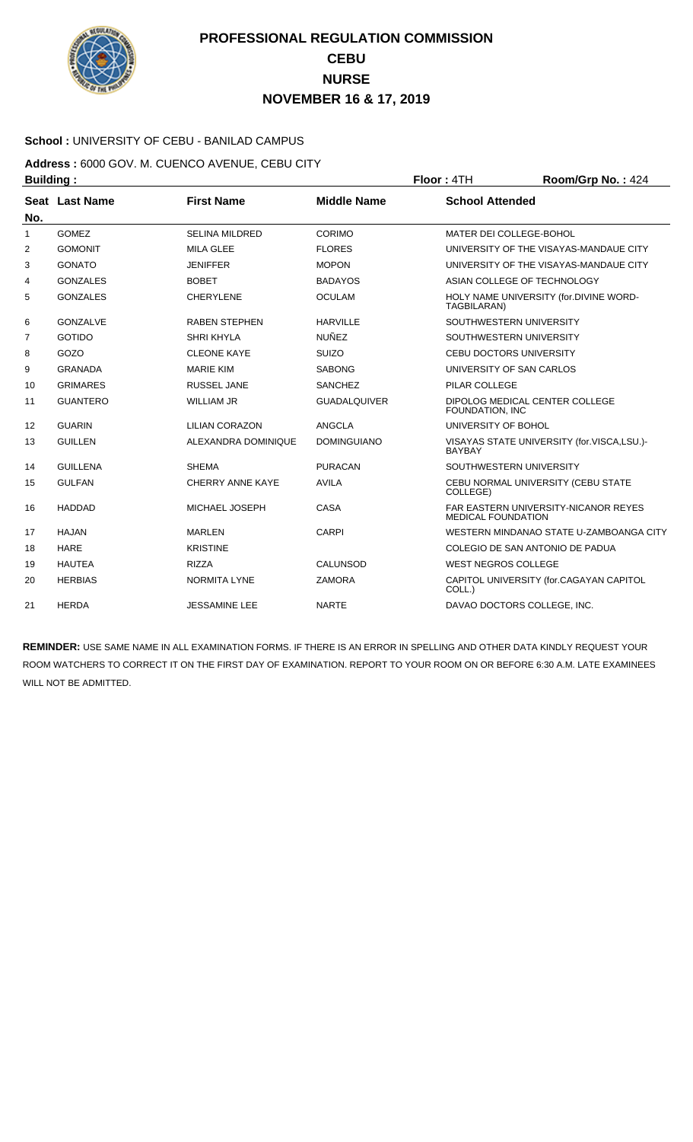

### **School :** UNIVERSITY OF CEBU - BANILAD CAMPUS

**Address :** 6000 GOV. M. CUENCO AVENUE, CEBU CITY **Building : Floor : 4TH Room/Grp No. : 424** 

| No.            | Seat Last Name  | <b>First Name</b>       | <b>Middle Name</b>  | <b>School Attended</b>                                                   |
|----------------|-----------------|-------------------------|---------------------|--------------------------------------------------------------------------|
| $\mathbf{1}$   | <b>GOMEZ</b>    | <b>SELINA MILDRED</b>   | CORIMO              | MATER DEI COLLEGE-BOHOL                                                  |
| 2              | <b>GOMONIT</b>  | <b>MILA GLEE</b>        | <b>FLORES</b>       | UNIVERSITY OF THE VISAYAS-MANDAUE CITY                                   |
| 3              | <b>GONATO</b>   | <b>JENIFFER</b>         | <b>MOPON</b>        | UNIVERSITY OF THE VISAYAS-MANDAUE CITY                                   |
| 4              | <b>GONZALES</b> | <b>BOBET</b>            | <b>BADAYOS</b>      | ASIAN COLLEGE OF TECHNOLOGY                                              |
| 5              | <b>GONZALES</b> | <b>CHERYLENE</b>        | <b>OCULAM</b>       | HOLY NAME UNIVERSITY (for.DIVINE WORD-<br>TAGBILARAN)                    |
| 6              | <b>GONZALVE</b> | <b>RABEN STEPHEN</b>    | <b>HARVILLE</b>     | SOUTHWESTERN UNIVERSITY                                                  |
| $\overline{7}$ | <b>GOTIDO</b>   | <b>SHRI KHYLA</b>       | <b>NUÑEZ</b>        | SOUTHWESTERN UNIVERSITY                                                  |
| 8              | GOZO            | <b>CLEONE KAYE</b>      | <b>SUIZO</b>        | <b>CEBU DOCTORS UNIVERSITY</b>                                           |
| 9              | <b>GRANADA</b>  | <b>MARIE KIM</b>        | <b>SABONG</b>       | UNIVERSITY OF SAN CARLOS                                                 |
| 10             | <b>GRIMARES</b> | <b>RUSSEL JANE</b>      | <b>SANCHEZ</b>      | PILAR COLLEGE                                                            |
| 11             | <b>GUANTERO</b> | <b>WILLIAM JR</b>       | <b>GUADALQUIVER</b> | DIPOLOG MEDICAL CENTER COLLEGE<br>FOUNDATION, INC                        |
| 12             | <b>GUARIN</b>   | <b>LILIAN CORAZON</b>   | ANGCLA              | UNIVERSITY OF BOHOL                                                      |
| 13             | <b>GUILLEN</b>  | ALEXANDRA DOMINIQUE     | <b>DOMINGUIANO</b>  | VISAYAS STATE UNIVERSITY (for.VISCA,LSU.)-<br><b>BAYBAY</b>              |
| 14             | <b>GUILLENA</b> | <b>SHEMA</b>            | <b>PURACAN</b>      | SOUTHWESTERN UNIVERSITY                                                  |
| 15             | <b>GULFAN</b>   | <b>CHERRY ANNE KAYE</b> | <b>AVILA</b>        | CEBU NORMAL UNIVERSITY (CEBU STATE<br>COLLEGE)                           |
| 16             | <b>HADDAD</b>   | MICHAEL JOSEPH          | CASA                | <b>FAR EASTERN UNIVERSITY-NICANOR REYES</b><br><b>MEDICAL FOUNDATION</b> |
| 17             | <b>HAJAN</b>    | <b>MARLEN</b>           | <b>CARPI</b>        | WESTERN MINDANAO STATE U-ZAMBOANGA CITY                                  |
| 18             | <b>HARE</b>     | <b>KRISTINE</b>         |                     | COLEGIO DE SAN ANTONIO DE PADUA                                          |
| 19             | <b>HAUTEA</b>   | <b>RIZZA</b>            | CALUNSOD            | <b>WEST NEGROS COLLEGE</b>                                               |
| 20             | <b>HERBIAS</b>  | <b>NORMITA LYNE</b>     | <b>ZAMORA</b>       | CAPITOL UNIVERSITY (for.CAGAYAN CAPITOL<br>COLL.)                        |
| 21             | <b>HERDA</b>    | <b>JESSAMINE LEE</b>    | <b>NARTE</b>        | DAVAO DOCTORS COLLEGE, INC.                                              |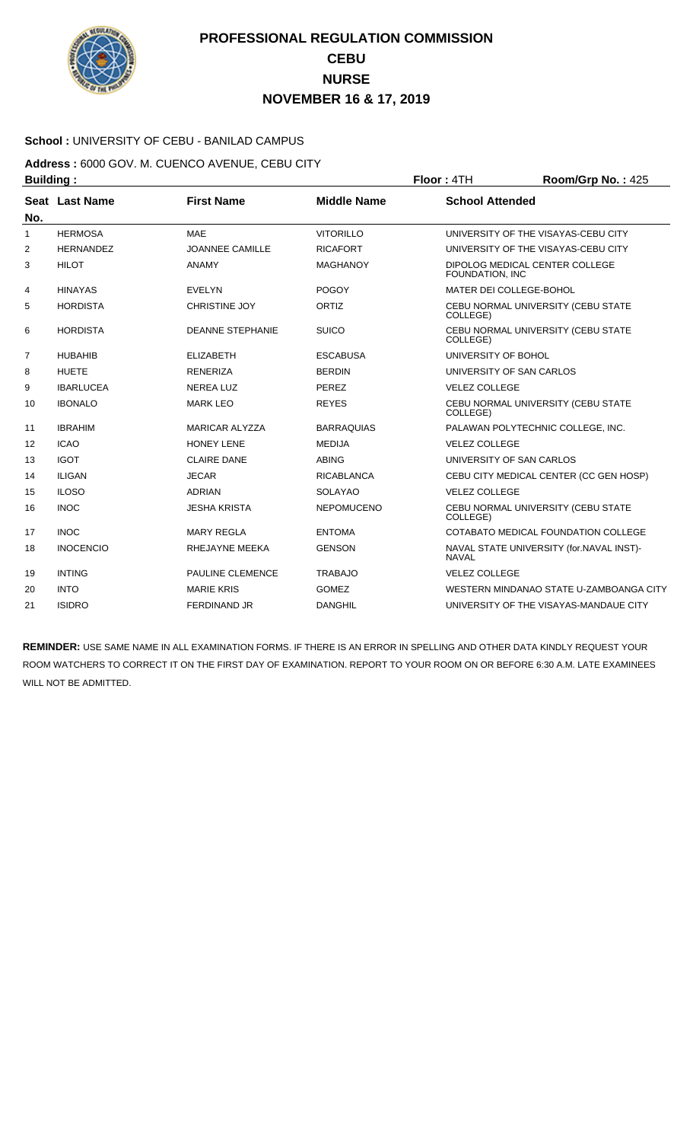

#### **School :** UNIVERSITY OF CEBU - BANILAD CAMPUS

**Address :** 6000 GOV. M. CUENCO AVENUE, CEBU CITY **Building : Floor : 4TH Room/Grp No. : 425** 

| No.            | Seat Last Name   | <b>First Name</b>       | <b>Middle Name</b> | <b>School Attended</b>                                   |
|----------------|------------------|-------------------------|--------------------|----------------------------------------------------------|
| 1              | <b>HERMOSA</b>   | <b>MAE</b>              | <b>VITORILLO</b>   | UNIVERSITY OF THE VISAYAS-CEBU CITY                      |
| $\overline{2}$ | <b>HERNANDEZ</b> | <b>JOANNEE CAMILLE</b>  | <b>RICAFORT</b>    | UNIVERSITY OF THE VISAYAS-CEBU CITY                      |
| 3              | <b>HILOT</b>     | <b>ANAMY</b>            | <b>MAGHANOY</b>    | DIPOLOG MEDICAL CENTER COLLEGE<br>FOUNDATION, INC        |
| 4              | <b>HINAYAS</b>   | <b>EVELYN</b>           | <b>POGOY</b>       | MATER DEI COLLEGE-BOHOL                                  |
| 5              | <b>HORDISTA</b>  | <b>CHRISTINE JOY</b>    | ORTIZ              | CEBU NORMAL UNIVERSITY (CEBU STATE<br>COLLEGE)           |
| 6              | <b>HORDISTA</b>  | <b>DEANNE STEPHANIE</b> | <b>SUICO</b>       | CEBU NORMAL UNIVERSITY (CEBU STATE<br>COLLEGE)           |
| 7              | <b>HUBAHIB</b>   | <b>ELIZABETH</b>        | <b>ESCABUSA</b>    | UNIVERSITY OF BOHOL                                      |
| 8              | <b>HUETE</b>     | <b>RENERIZA</b>         | <b>BERDIN</b>      | UNIVERSITY OF SAN CARLOS                                 |
| 9              | <b>IBARLUCEA</b> | <b>NEREA LUZ</b>        | PEREZ              | <b>VELEZ COLLEGE</b>                                     |
| 10             | <b>IBONALO</b>   | <b>MARK LEO</b>         | <b>REYES</b>       | CEBU NORMAL UNIVERSITY (CEBU STATE<br>COLLEGE)           |
| 11             | <b>IBRAHIM</b>   | <b>MARICAR ALYZZA</b>   | <b>BARRAQUIAS</b>  | PALAWAN POLYTECHNIC COLLEGE, INC.                        |
| 12             | <b>ICAO</b>      | <b>HONEY LENE</b>       | <b>MEDIJA</b>      | <b>VELEZ COLLEGE</b>                                     |
| 13             | <b>IGOT</b>      | <b>CLAIRE DANE</b>      | <b>ABING</b>       | UNIVERSITY OF SAN CARLOS                                 |
| 14             | <b>ILIGAN</b>    | <b>JECAR</b>            | <b>RICABLANCA</b>  | CEBU CITY MEDICAL CENTER (CC GEN HOSP)                   |
| 15             | <b>ILOSO</b>     | <b>ADRIAN</b>           | <b>SOLAYAO</b>     | <b>VELEZ COLLEGE</b>                                     |
| 16             | <b>INOC</b>      | <b>JESHA KRISTA</b>     | <b>NEPOMUCENO</b>  | CEBU NORMAL UNIVERSITY (CEBU STATE<br>COLLEGE)           |
| 17             | <b>INOC</b>      | <b>MARY REGLA</b>       | <b>ENTOMA</b>      | COTABATO MEDICAL FOUNDATION COLLEGE                      |
| 18             | <b>INOCENCIO</b> | RHEJAYNE MEEKA          | <b>GENSON</b>      | NAVAL STATE UNIVERSITY (for.NAVAL INST)-<br><b>NAVAL</b> |
| 19             | <b>INTING</b>    | <b>PAULINE CLEMENCE</b> | <b>TRABAJO</b>     | <b>VELEZ COLLEGE</b>                                     |
| 20             | <b>INTO</b>      | <b>MARIE KRIS</b>       | <b>GOMEZ</b>       | WESTERN MINDANAO STATE U-ZAMBOANGA CITY                  |
| 21             | <b>ISIDRO</b>    | <b>FERDINAND JR</b>     | <b>DANGHIL</b>     | UNIVERSITY OF THE VISAYAS-MANDAUE CITY                   |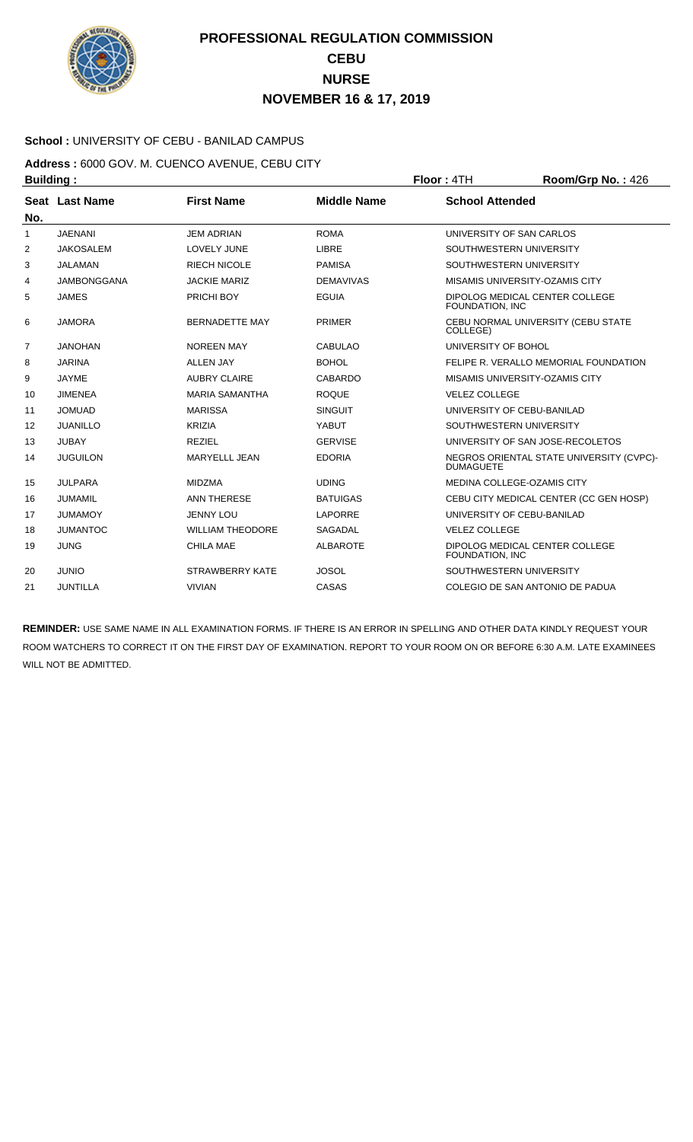

### **School :** UNIVERSITY OF CEBU - BANILAD CAMPUS

**Address :** 6000 GOV. M. CUENCO AVENUE, CEBU CITY **Building : Floor : 4TH Room/Grp No. : 426** 

| No.            | Seat Last Name     | <b>First Name</b>       | <b>Middle Name</b> | <b>School Attended</b>                                       |
|----------------|--------------------|-------------------------|--------------------|--------------------------------------------------------------|
| 1              | <b>JAENANI</b>     | <b>JEM ADRIAN</b>       | <b>ROMA</b>        | UNIVERSITY OF SAN CARLOS                                     |
| 2              | <b>JAKOSALEM</b>   | LOVELY JUNE             | LIBRE              | SOUTHWESTERN UNIVERSITY                                      |
| 3              | <b>JALAMAN</b>     | <b>RIECH NICOLE</b>     | <b>PAMISA</b>      | SOUTHWESTERN UNIVERSITY                                      |
| 4              | <b>JAMBONGGANA</b> | <b>JACKIE MARIZ</b>     | <b>DEMAVIVAS</b>   | <b>MISAMIS UNIVERSITY-OZAMIS CITY</b>                        |
| 5              | <b>JAMES</b>       | <b>PRICHI BOY</b>       | <b>EGUIA</b>       | DIPOLOG MEDICAL CENTER COLLEGE<br>FOUNDATION, INC            |
| 6              | <b>JAMORA</b>      | <b>BERNADETTE MAY</b>   | <b>PRIMER</b>      | CEBU NORMAL UNIVERSITY (CEBU STATE<br>COLLEGE)               |
| $\overline{7}$ | <b>JANOHAN</b>     | <b>NOREEN MAY</b>       | <b>CABULAO</b>     | UNIVERSITY OF BOHOL                                          |
| 8              | <b>JARINA</b>      | <b>ALLEN JAY</b>        | <b>BOHOL</b>       | FELIPE R. VERALLO MEMORIAL FOUNDATION                        |
| 9              | JAYME              | <b>AUBRY CLAIRE</b>     | CABARDO            | MISAMIS UNIVERSITY-OZAMIS CITY                               |
| 10             | <b>JIMENEA</b>     | <b>MARIA SAMANTHA</b>   | <b>ROQUE</b>       | <b>VELEZ COLLEGE</b>                                         |
| 11             | <b>JOMUAD</b>      | <b>MARISSA</b>          | <b>SINGUIT</b>     | UNIVERSITY OF CEBU-BANILAD                                   |
| 12             | <b>JUANILLO</b>    | <b>KRIZIA</b>           | YABUT              | SOUTHWESTERN UNIVERSITY                                      |
| 13             | <b>JUBAY</b>       | <b>REZIEL</b>           | <b>GERVISE</b>     | UNIVERSITY OF SAN JOSE-RECOLETOS                             |
| 14             | <b>JUGUILON</b>    | <b>MARYELLL JEAN</b>    | <b>EDORIA</b>      | NEGROS ORIENTAL STATE UNIVERSITY (CVPC)-<br><b>DUMAGUETE</b> |
| 15             | <b>JULPARA</b>     | <b>MIDZMA</b>           | <b>UDING</b>       | MEDINA COLLEGE-OZAMIS CITY                                   |
| 16             | <b>JUMAMIL</b>     | <b>ANN THERESE</b>      | <b>BATUIGAS</b>    | CEBU CITY MEDICAL CENTER (CC GEN HOSP)                       |
| 17             | <b>JUMAMOY</b>     | <b>JENNY LOU</b>        | <b>LAPORRE</b>     | UNIVERSITY OF CEBU-BANILAD                                   |
| 18             | <b>JUMANTOC</b>    | <b>WILLIAM THEODORE</b> | <b>SAGADAL</b>     | <b>VELEZ COLLEGE</b>                                         |
| 19             | <b>JUNG</b>        | <b>CHILA MAE</b>        | <b>ALBAROTE</b>    | DIPOLOG MEDICAL CENTER COLLEGE<br>FOUNDATION, INC            |
| 20             | <b>JUNIO</b>       | <b>STRAWBERRY KATE</b>  | <b>JOSOL</b>       | SOUTHWESTERN UNIVERSITY                                      |
| 21             | <b>JUNTILLA</b>    | <b>VIVIAN</b>           | CASAS              | COLEGIO DE SAN ANTONIO DE PADUA                              |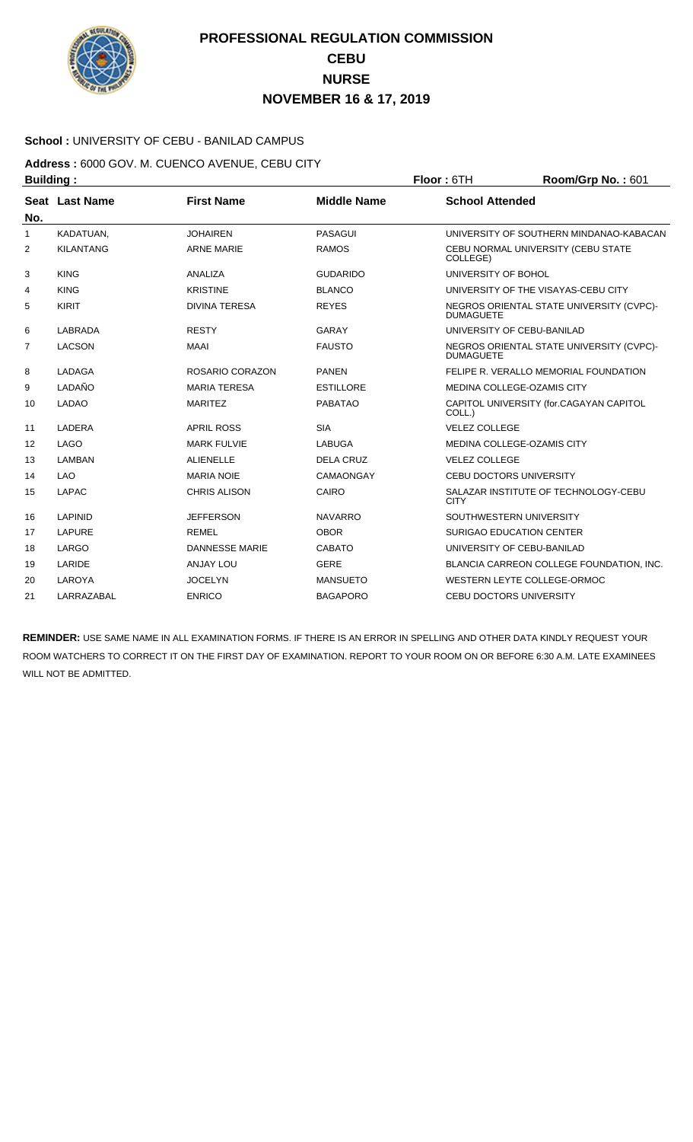

#### **School :** UNIVERSITY OF CEBU - BANILAD CAMPUS

**Address :** 6000 GOV. M. CUENCO AVENUE, CEBU CITY **Building : Floor : 6TH Room/Grp No. : 601** 

| No.            | Seat Last Name   | <b>First Name</b>     | <b>Middle Name</b> | <b>School Attended</b>                                       |
|----------------|------------------|-----------------------|--------------------|--------------------------------------------------------------|
| 1              | KADATUAN,        | <b>JOHAIREN</b>       | <b>PASAGUI</b>     | UNIVERSITY OF SOUTHERN MINDANAO-KABACAN                      |
| 2              | <b>KILANTANG</b> | <b>ARNE MARIE</b>     | <b>RAMOS</b>       | CEBU NORMAL UNIVERSITY (CEBU STATE<br>COLLEGE)               |
| 3              | <b>KING</b>      | ANALIZA               | <b>GUDARIDO</b>    | UNIVERSITY OF BOHOL                                          |
| 4              | <b>KING</b>      | <b>KRISTINE</b>       | <b>BLANCO</b>      | UNIVERSITY OF THE VISAYAS-CEBU CITY                          |
| 5              | <b>KIRIT</b>     | <b>DIVINA TERESA</b>  | <b>REYES</b>       | NEGROS ORIENTAL STATE UNIVERSITY (CVPC)-<br><b>DUMAGUETE</b> |
| 6              | LABRADA          | <b>RESTY</b>          | GARAY              | UNIVERSITY OF CEBU-BANILAD                                   |
| $\overline{7}$ | LACSON           | <b>MAAI</b>           | <b>FAUSTO</b>      | NEGROS ORIENTAL STATE UNIVERSITY (CVPC)-<br><b>DUMAGUETE</b> |
| 8              | LADAGA           | ROSARIO CORAZON       | <b>PANEN</b>       | FELIPE R. VERALLO MEMORIAL FOUNDATION                        |
| 9              | LADAÑO           | <b>MARIA TERESA</b>   | <b>ESTILLORE</b>   | MEDINA COLLEGE-OZAMIS CITY                                   |
| 10             | <b>LADAO</b>     | <b>MARITEZ</b>        | <b>PABATAO</b>     | CAPITOL UNIVERSITY (for.CAGAYAN CAPITOL<br>COLL.)            |
| 11             | LADERA           | <b>APRIL ROSS</b>     | <b>SIA</b>         | <b>VELEZ COLLEGE</b>                                         |
| 12             | LAGO             | <b>MARK FULVIE</b>    | <b>LABUGA</b>      | MEDINA COLLEGE-OZAMIS CITY                                   |
| 13             | LAMBAN           | <b>ALIENELLE</b>      | <b>DELA CRUZ</b>   | <b>VELEZ COLLEGE</b>                                         |
| 14             | <b>LAO</b>       | <b>MARIA NOIE</b>     | <b>CAMAONGAY</b>   | <b>CEBU DOCTORS UNIVERSITY</b>                               |
| 15             | LAPAC            | <b>CHRIS ALISON</b>   | CAIRO              | SALAZAR INSTITUTE OF TECHNOLOGY-CEBU<br><b>CITY</b>          |
| 16             | LAPINID          | <b>JEFFERSON</b>      | <b>NAVARRO</b>     | SOUTHWESTERN UNIVERSITY                                      |
| 17             | <b>LAPURE</b>    | <b>REMEL</b>          | <b>OBOR</b>        | <b>SURIGAO EDUCATION CENTER</b>                              |
| 18             | LARGO            | <b>DANNESSE MARIE</b> | <b>CABATO</b>      | UNIVERSITY OF CEBU-BANILAD                                   |
| 19             | LARIDE           | <b>ANJAY LOU</b>      | <b>GERE</b>        | BLANCIA CARREON COLLEGE FOUNDATION, INC.                     |
| 20             | LAROYA           | <b>JOCELYN</b>        | <b>MANSUETO</b>    | WESTERN LEYTE COLLEGE-ORMOC                                  |
| 21             | LARRAZABAL       | <b>ENRICO</b>         | <b>BAGAPORO</b>    | <b>CEBU DOCTORS UNIVERSITY</b>                               |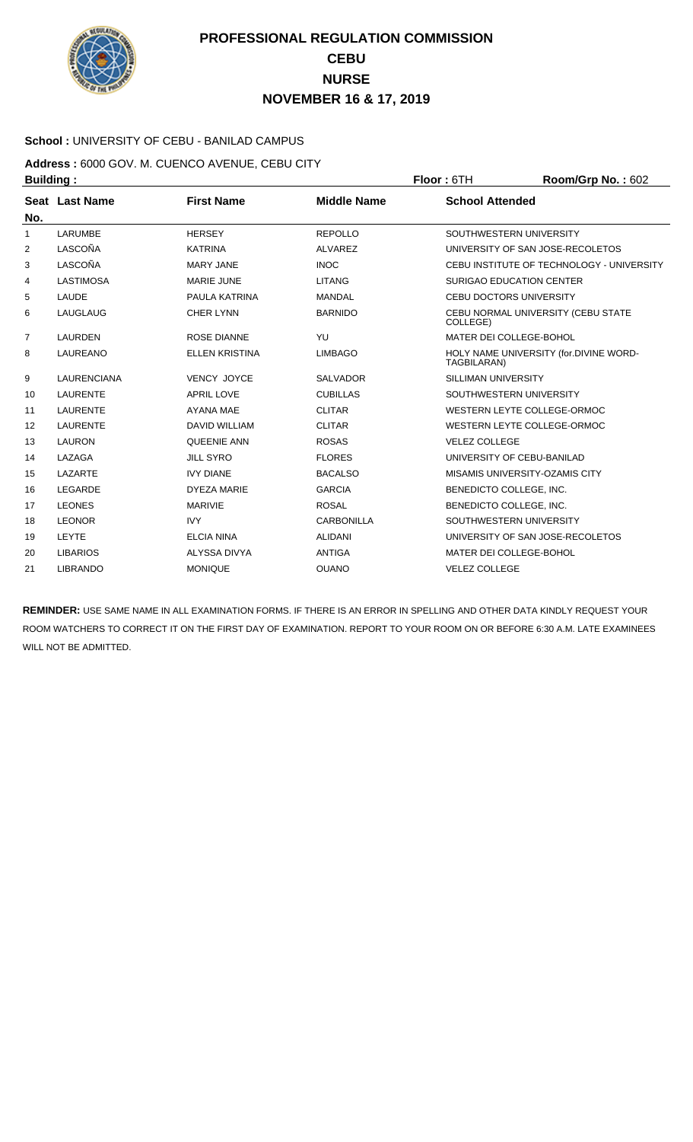

### **School :** UNIVERSITY OF CEBU - BANILAD CAMPUS

**Address :** 6000 GOV. M. CUENCO AVENUE, CEBU CITY **Building : Floor :** 6TH **Room/Grp No. :** 602

| No.            | Seat Last Name     | <b>First Name</b>     | <b>Middle Name</b> | <b>School Attended</b>                                |
|----------------|--------------------|-----------------------|--------------------|-------------------------------------------------------|
| 1              | LARUMBE            | <b>HERSEY</b>         | <b>REPOLLO</b>     | SOUTHWESTERN UNIVERSITY                               |
| $\overline{2}$ | LASCOÑA            | <b>KATRINA</b>        | ALVAREZ            | UNIVERSITY OF SAN JOSE-RECOLETOS                      |
| 3              | LASCOÑA            | <b>MARY JANE</b>      | <b>INOC</b>        | CEBU INSTITUTE OF TECHNOLOGY - UNIVERSITY             |
| 4              | LASTIMOSA          | <b>MARIE JUNE</b>     | <b>LITANG</b>      | <b>SURIGAO EDUCATION CENTER</b>                       |
| 5              | LAUDE              | PAULA KATRINA         | <b>MANDAL</b>      | <b>CEBU DOCTORS UNIVERSITY</b>                        |
| 6              | LAUGLAUG           | <b>CHER LYNN</b>      | <b>BARNIDO</b>     | CEBU NORMAL UNIVERSITY (CEBU STATE<br>COLLEGE)        |
| $\overline{7}$ | <b>LAURDEN</b>     | <b>ROSE DIANNE</b>    | YU                 | MATER DEI COLLEGE-BOHOL                               |
| 8              | LAUREANO           | <b>ELLEN KRISTINA</b> | <b>LIMBAGO</b>     | HOLY NAME UNIVERSITY (for.DIVINE WORD-<br>TAGBILARAN) |
| 9              | <b>LAURENCIANA</b> | VENCY JOYCE           | <b>SALVADOR</b>    | <b>SILLIMAN UNIVERSITY</b>                            |
| 10             | <b>LAURENTE</b>    | <b>APRIL LOVE</b>     | <b>CUBILLAS</b>    | SOUTHWESTERN UNIVERSITY                               |
| 11             | <b>LAURENTE</b>    | <b>AYANA MAE</b>      | <b>CLITAR</b>      | WESTERN LEYTE COLLEGE-ORMOC                           |
| 12             | LAURENTE           | <b>DAVID WILLIAM</b>  | <b>CLITAR</b>      | WESTERN LEYTE COLLEGE-ORMOC                           |
| 13             | <b>LAURON</b>      | <b>QUEENIE ANN</b>    | <b>ROSAS</b>       | <b>VELEZ COLLEGE</b>                                  |
| 14             | LAZAGA             | <b>JILL SYRO</b>      | <b>FLORES</b>      | UNIVERSITY OF CEBU-BANILAD                            |
| 15             | LAZARTE            | <b>IVY DIANE</b>      | <b>BACALSO</b>     | MISAMIS UNIVERSITY-OZAMIS CITY                        |
| 16             | LEGARDE            | <b>DYEZA MARIE</b>    | <b>GARCIA</b>      | BENEDICTO COLLEGE, INC.                               |
| 17             | <b>LEONES</b>      | <b>MARIVIE</b>        | <b>ROSAL</b>       | BENEDICTO COLLEGE, INC.                               |
| 18             | <b>LEONOR</b>      | <b>IVY</b>            | <b>CARBONILLA</b>  | SOUTHWESTERN UNIVERSITY                               |
| 19             | LEYTE              | <b>ELCIA NINA</b>     | <b>ALIDANI</b>     | UNIVERSITY OF SAN JOSE-RECOLETOS                      |
| 20             | <b>LIBARIOS</b>    | ALYSSA DIVYA          | <b>ANTIGA</b>      | MATER DEI COLLEGE-BOHOL                               |
| 21             | <b>LIBRANDO</b>    | <b>MONIQUE</b>        | <b>OUANO</b>       | <b>VELEZ COLLEGE</b>                                  |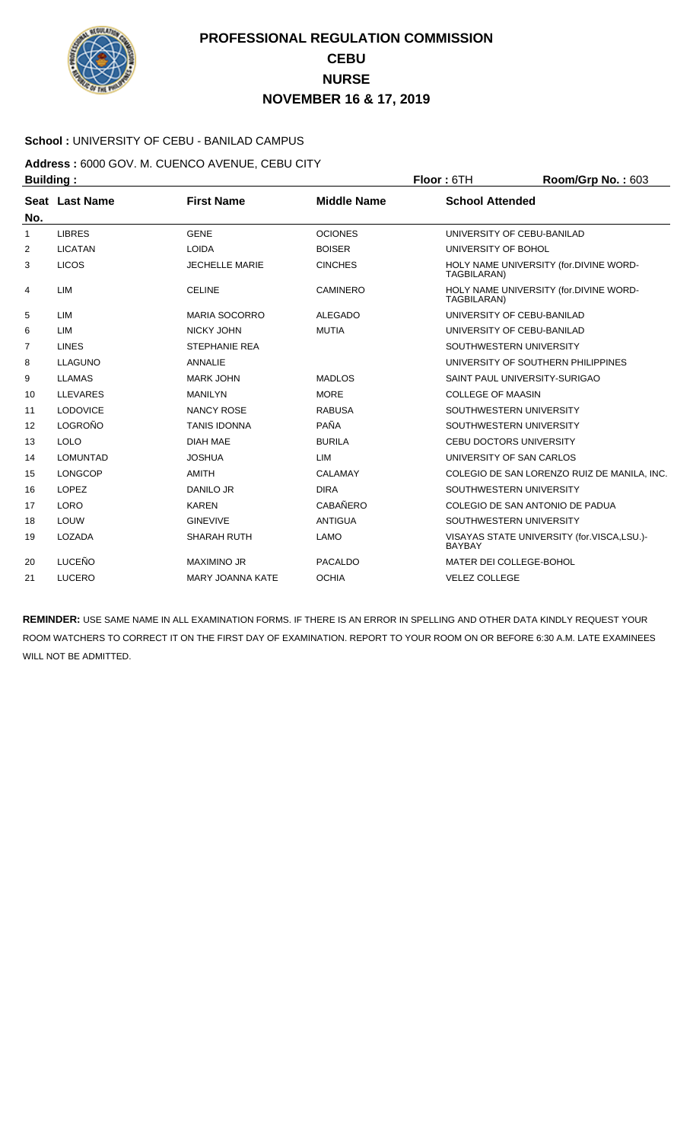

### **School :** UNIVERSITY OF CEBU - BANILAD CAMPUS

**Address :** 6000 GOV. M. CUENCO AVENUE, CEBU CITY **Building : Floor : 6TH Room/Grp No. : 603** 

| No.            | <b>Seat Last Name</b> | <b>First Name</b>       | <b>Middle Name</b> | <b>School Attended</b>                                      |
|----------------|-----------------------|-------------------------|--------------------|-------------------------------------------------------------|
| 1              | <b>LIBRES</b>         | <b>GENE</b>             | <b>OCIONES</b>     | UNIVERSITY OF CEBU-BANILAD                                  |
| 2              | <b>LICATAN</b>        | <b>LOIDA</b>            | <b>BOISER</b>      | UNIVERSITY OF BOHOL                                         |
| 3              | <b>LICOS</b>          | <b>JECHELLE MARIE</b>   | <b>CINCHES</b>     | HOLY NAME UNIVERSITY (for.DIVINE WORD-<br>TAGBILARAN)       |
| 4              | LIM                   | <b>CELINE</b>           | <b>CAMINERO</b>    | HOLY NAME UNIVERSITY (for.DIVINE WORD-<br>TAGBILARAN)       |
| 5              | LIM                   | <b>MARIA SOCORRO</b>    | <b>ALEGADO</b>     | UNIVERSITY OF CEBU-BANILAD                                  |
| 6              | LIM                   | NICKY JOHN              | <b>MUTIA</b>       | UNIVERSITY OF CEBU-BANILAD                                  |
| $\overline{7}$ | <b>LINES</b>          | <b>STEPHANIE REA</b>    |                    | SOUTHWESTERN UNIVERSITY                                     |
| 8              | LLAGUNO               | <b>ANNALIE</b>          |                    | UNIVERSITY OF SOUTHERN PHILIPPINES                          |
| 9              | <b>LLAMAS</b>         | <b>MARK JOHN</b>        | <b>MADLOS</b>      | SAINT PAUL UNIVERSITY-SURIGAO                               |
| 10             | <b>LLEVARES</b>       | <b>MANILYN</b>          | <b>MORE</b>        | <b>COLLEGE OF MAASIN</b>                                    |
| 11             | <b>LODOVICE</b>       | <b>NANCY ROSE</b>       | <b>RABUSA</b>      | SOUTHWESTERN UNIVERSITY                                     |
| 12             | LOGROÑO               | <b>TANIS IDONNA</b>     | PAÑA               | SOUTHWESTERN UNIVERSITY                                     |
| 13             | <b>LOLO</b>           | <b>DIAH MAE</b>         | <b>BURILA</b>      | <b>CEBU DOCTORS UNIVERSITY</b>                              |
| 14             | <b>LOMUNTAD</b>       | <b>JOSHUA</b>           | <b>LIM</b>         | UNIVERSITY OF SAN CARLOS                                    |
| 15             | <b>LONGCOP</b>        | AMITH                   | CALAMAY            | COLEGIO DE SAN LORENZO RUIZ DE MANILA, INC.                 |
| 16             | <b>LOPEZ</b>          | <b>DANILO JR</b>        | <b>DIRA</b>        | SOUTHWESTERN UNIVERSITY                                     |
| 17             | <b>LORO</b>           | <b>KAREN</b>            | <b>CABAÑERO</b>    | COLEGIO DE SAN ANTONIO DE PADUA                             |
| 18             | LOUW                  | <b>GINEVIVE</b>         | <b>ANTIGUA</b>     | SOUTHWESTERN UNIVERSITY                                     |
| 19             | LOZADA                | <b>SHARAH RUTH</b>      | <b>LAMO</b>        | VISAYAS STATE UNIVERSITY (for.VISCA,LSU.)-<br><b>BAYBAY</b> |
| 20             | LUCEÑO                | <b>MAXIMINO JR</b>      | PACALDO            | MATER DEI COLLEGE-BOHOL                                     |
| 21             | <b>LUCERO</b>         | <b>MARY JOANNA KATE</b> | <b>OCHIA</b>       | <b>VELEZ COLLEGE</b>                                        |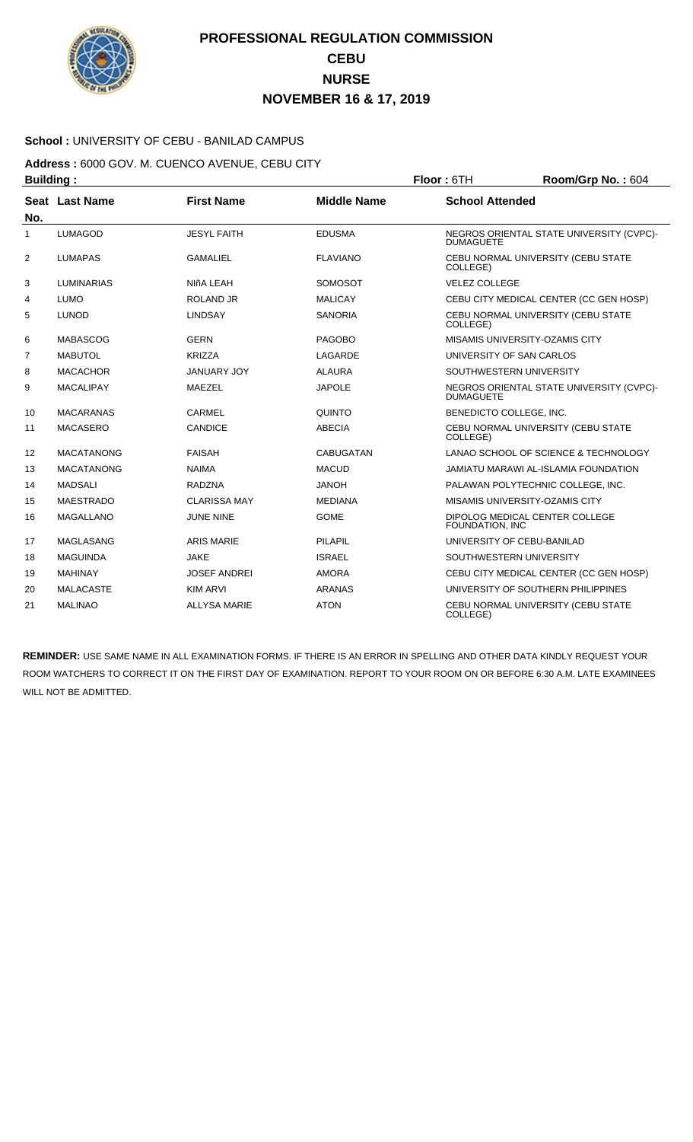

### **School :** UNIVERSITY OF CEBU - BANILAD CAMPUS

**Address :** 6000 GOV. M. CUENCO AVENUE, CEBU CITY **Building : Floor : 6TH Room/Grp No. : 604** 

| No.            | Seat Last Name    | <b>First Name</b>   | <b>Middle Name</b> | <b>School Attended</b>                                       |
|----------------|-------------------|---------------------|--------------------|--------------------------------------------------------------|
| 1              | <b>LUMAGOD</b>    | <b>JESYL FAITH</b>  | <b>EDUSMA</b>      | NEGROS ORIENTAL STATE UNIVERSITY (CVPC)-<br><b>DUMAGUETE</b> |
| $\overline{2}$ | <b>LUMAPAS</b>    | <b>GAMALIEL</b>     | <b>FLAVIANO</b>    | CEBU NORMAL UNIVERSITY (CEBU STATE<br>COLLEGE)               |
| 3              | LUMINARIAS        | NIñA LEAH           | <b>SOMOSOT</b>     | <b>VELEZ COLLEGE</b>                                         |
| 4              | <b>LUMO</b>       | <b>ROLAND JR</b>    | <b>MALICAY</b>     | CEBU CITY MEDICAL CENTER (CC GEN HOSP)                       |
| 5              | <b>LUNOD</b>      | <b>LINDSAY</b>      | <b>SANORIA</b>     | CEBU NORMAL UNIVERSITY (CEBU STATE<br>COLLEGE)               |
| 6              | <b>MABASCOG</b>   | <b>GERN</b>         | <b>PAGOBO</b>      | MISAMIS UNIVERSITY-OZAMIS CITY                               |
| 7              | <b>MABUTOL</b>    | <b>KRIZZA</b>       | LAGARDE            | UNIVERSITY OF SAN CARLOS                                     |
| 8              | <b>MACACHOR</b>   | JANUARY JOY         | <b>ALAURA</b>      | SOUTHWESTERN UNIVERSITY                                      |
| 9              | <b>MACALIPAY</b>  | MAEZEL              | <b>JAPOLE</b>      | NEGROS ORIENTAL STATE UNIVERSITY (CVPC)-<br><b>DUMAGUETE</b> |
| 10             | <b>MACARANAS</b>  | CARMEL              | <b>QUINTO</b>      | BENEDICTO COLLEGE, INC.                                      |
| 11             | <b>MACASERO</b>   | CANDICE             | <b>ABECIA</b>      | CEBU NORMAL UNIVERSITY (CEBU STATE<br>COLLEGE)               |
| 12             | <b>MACATANONG</b> | <b>FAISAH</b>       | <b>CABUGATAN</b>   | LANAO SCHOOL OF SCIENCE & TECHNOLOGY                         |
| 13             | <b>MACATANONG</b> | <b>NAIMA</b>        | <b>MACUD</b>       | JAMIATU MARAWI AL-ISLAMIA FOUNDATION                         |
| 14             | <b>MADSALI</b>    | <b>RADZNA</b>       | <b>JANOH</b>       | PALAWAN POLYTECHNIC COLLEGE, INC.                            |
| 15             | <b>MAESTRADO</b>  | <b>CLARISSA MAY</b> | <b>MEDIANA</b>     | MISAMIS UNIVERSITY-OZAMIS CITY                               |
| 16             | <b>MAGALLANO</b>  | <b>JUNE NINE</b>    | <b>GOME</b>        | DIPOLOG MEDICAL CENTER COLLEGE<br>FOUNDATION. INC            |
| 17             | <b>MAGLASANG</b>  | <b>ARIS MARIE</b>   | PILAPIL            | UNIVERSITY OF CEBU-BANILAD                                   |
| 18             | <b>MAGUINDA</b>   | <b>JAKE</b>         | <b>ISRAEL</b>      | SOUTHWESTERN UNIVERSITY                                      |
| 19             | <b>MAHINAY</b>    | <b>JOSEF ANDREI</b> | <b>AMORA</b>       | CEBU CITY MEDICAL CENTER (CC GEN HOSP)                       |
| 20             | <b>MALACASTE</b>  | <b>KIM ARVI</b>     | <b>ARANAS</b>      | UNIVERSITY OF SOUTHERN PHILIPPINES                           |
| 21             | <b>MALINAO</b>    | <b>ALLYSA MARIE</b> | <b>ATON</b>        | CEBU NORMAL UNIVERSITY (CEBU STATE<br>COLLEGE)               |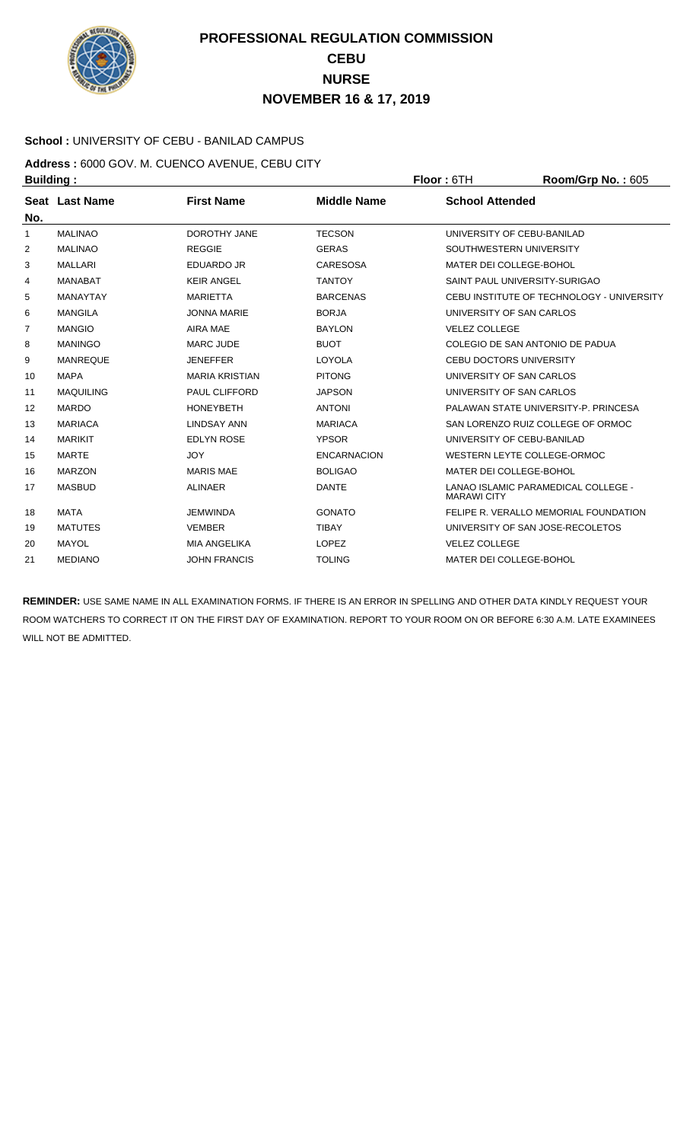

### **School :** UNIVERSITY OF CEBU - BANILAD CAMPUS

**Address :** 6000 GOV. M. CUENCO AVENUE, CEBU CITY **Building : Floor :** 6TH **Room/Grp No. :** 605

| No. | Seat Last Name   | <b>First Name</b>     | <b>Middle Name</b> | <b>School Attended</b>                                    |
|-----|------------------|-----------------------|--------------------|-----------------------------------------------------------|
| 1   | <b>MALINAO</b>   | <b>DOROTHY JANE</b>   | <b>TECSON</b>      | UNIVERSITY OF CEBU-BANILAD                                |
| 2   | <b>MALINAO</b>   | <b>REGGIE</b>         | <b>GERAS</b>       | SOUTHWESTERN UNIVERSITY                                   |
| 3   | <b>MALLARI</b>   | <b>EDUARDO JR</b>     | <b>CARESOSA</b>    | MATER DEI COLLEGE-BOHOL                                   |
| 4   | <b>MANABAT</b>   | <b>KEIR ANGEL</b>     | <b>TANTOY</b>      | SAINT PAUL UNIVERSITY-SURIGAO                             |
| 5   | <b>MANAYTAY</b>  | <b>MARIETTA</b>       | <b>BARCENAS</b>    | CEBU INSTITUTE OF TECHNOLOGY - UNIVERSITY                 |
| 6   | <b>MANGILA</b>   | <b>JONNA MARIE</b>    | <b>BORJA</b>       | UNIVERSITY OF SAN CARLOS                                  |
| 7   | <b>MANGIO</b>    | AIRA MAE              | <b>BAYLON</b>      | <b>VELEZ COLLEGE</b>                                      |
| 8   | <b>MANINGO</b>   | <b>MARC JUDE</b>      | <b>BUOT</b>        | COLEGIO DE SAN ANTONIO DE PADUA                           |
| 9   | <b>MANREQUE</b>  | <b>JENEFFER</b>       | LOYOLA             | <b>CEBU DOCTORS UNIVERSITY</b>                            |
| 10  | <b>MAPA</b>      | <b>MARIA KRISTIAN</b> | <b>PITONG</b>      | UNIVERSITY OF SAN CARLOS                                  |
| 11  | <b>MAQUILING</b> | <b>PAUL CLIFFORD</b>  | <b>JAPSON</b>      | UNIVERSITY OF SAN CARLOS                                  |
| 12  | <b>MARDO</b>     | <b>HONEYBETH</b>      | <b>ANTONI</b>      | PALAWAN STATE UNIVERSITY-P. PRINCESA                      |
| 13  | <b>MARIACA</b>   | <b>LINDSAY ANN</b>    | <b>MARIACA</b>     | SAN LORENZO RUIZ COLLEGE OF ORMOC                         |
| 14  | MARIKIT          | <b>EDLYN ROSE</b>     | <b>YPSOR</b>       | UNIVERSITY OF CEBU-BANILAD                                |
| 15  | <b>MARTE</b>     | <b>JOY</b>            | <b>ENCARNACION</b> | WESTERN LEYTE COLLEGE-ORMOC                               |
| 16  | <b>MARZON</b>    | <b>MARIS MAE</b>      | <b>BOLIGAO</b>     | MATER DEI COLLEGE-BOHOL                                   |
| 17  | <b>MASBUD</b>    | <b>ALINAER</b>        | <b>DANTE</b>       | LANAO ISLAMIC PARAMEDICAL COLLEGE -<br><b>MARAWI CITY</b> |
| 18  | <b>MATA</b>      | <b>JEMWINDA</b>       | <b>GONATO</b>      | FELIPE R. VERALLO MEMORIAL FOUNDATION                     |
| 19  | <b>MATUTES</b>   | <b>VEMBER</b>         | <b>TIBAY</b>       | UNIVERSITY OF SAN JOSE-RECOLETOS                          |
| 20  | <b>MAYOL</b>     | <b>MIA ANGELIKA</b>   | <b>LOPEZ</b>       | <b>VELEZ COLLEGE</b>                                      |
| 21  | <b>MEDIANO</b>   | <b>JOHN FRANCIS</b>   | <b>TOLING</b>      | MATER DEI COLLEGE-BOHOL                                   |
|     |                  |                       |                    |                                                           |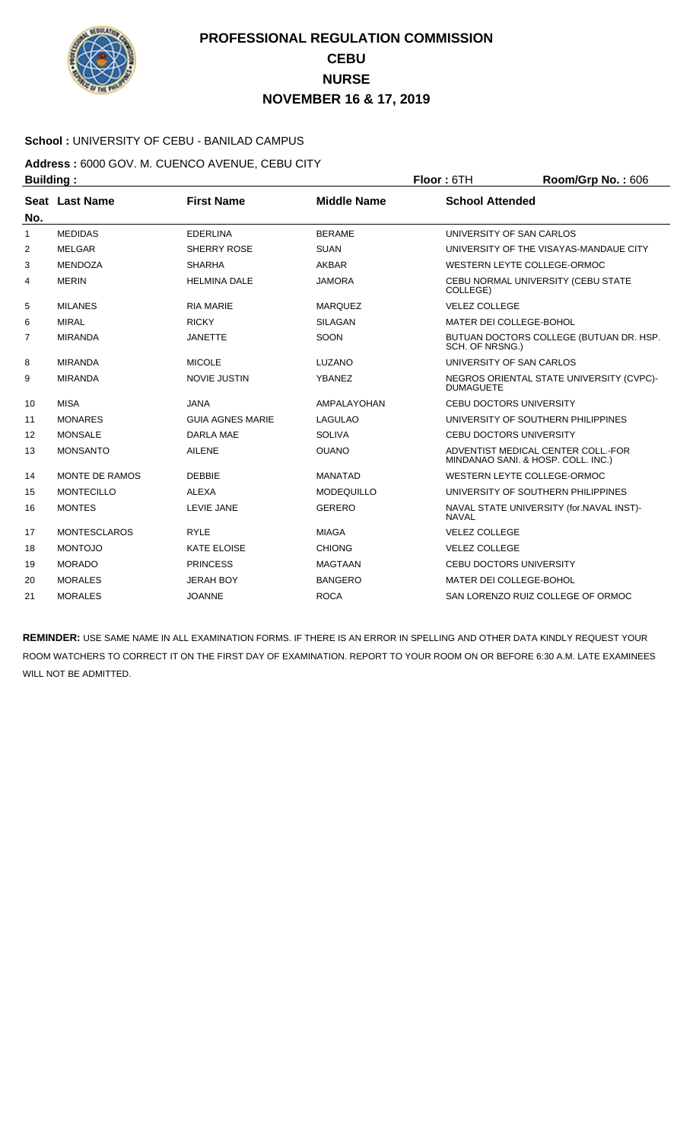

### **School :** UNIVERSITY OF CEBU - BANILAD CAMPUS

**Address :** 6000 GOV. M. CUENCO AVENUE, CEBU CITY **Building : Floor :** 6TH **Room/Grp No. :** 606

| No.            | Seat Last Name      | <b>First Name</b>       | <b>Middle Name</b> | <b>School Attended</b>                                                   |
|----------------|---------------------|-------------------------|--------------------|--------------------------------------------------------------------------|
| 1              | <b>MEDIDAS</b>      | <b>EDERLINA</b>         | <b>BERAME</b>      | UNIVERSITY OF SAN CARLOS                                                 |
| 2              | <b>MELGAR</b>       | SHERRY ROSE             | <b>SUAN</b>        | UNIVERSITY OF THE VISAYAS-MANDAUE CITY                                   |
| 3              | <b>MENDOZA</b>      | <b>SHARHA</b>           | <b>AKBAR</b>       | WESTERN LEYTE COLLEGE-ORMOC                                              |
| 4              | <b>MERIN</b>        | <b>HELMINA DALE</b>     | <b>JAMORA</b>      | CEBU NORMAL UNIVERSITY (CEBU STATE<br>COLLEGE)                           |
| 5              | <b>MILANES</b>      | <b>RIA MARIE</b>        | <b>MARQUEZ</b>     | <b>VELEZ COLLEGE</b>                                                     |
| 6              | <b>MIRAL</b>        | <b>RICKY</b>            | <b>SILAGAN</b>     | MATER DEI COLLEGE-BOHOL                                                  |
| $\overline{7}$ | <b>MIRANDA</b>      | <b>JANETTE</b>          | SOON               | BUTUAN DOCTORS COLLEGE (BUTUAN DR. HSP.<br>SCH. OF NRSNG.)               |
| 8              | <b>MIRANDA</b>      | <b>MICOLE</b>           | LUZANO             | UNIVERSITY OF SAN CARLOS                                                 |
| 9              | <b>MIRANDA</b>      | <b>NOVIE JUSTIN</b>     | <b>YBANEZ</b>      | NEGROS ORIENTAL STATE UNIVERSITY (CVPC)-<br><b>DUMAGUETE</b>             |
| 10             | <b>MISA</b>         | <b>JANA</b>             | AMPALAYOHAN        | <b>CEBU DOCTORS UNIVERSITY</b>                                           |
| 11             | <b>MONARES</b>      | <b>GUIA AGNES MARIE</b> | <b>LAGULAO</b>     | UNIVERSITY OF SOUTHERN PHILIPPINES                                       |
| 12             | <b>MONSALE</b>      | <b>DARLA MAE</b>        | <b>SOLIVA</b>      | <b>CEBU DOCTORS UNIVERSITY</b>                                           |
| 13             | <b>MONSANTO</b>     | <b>AILENE</b>           | <b>OUANO</b>       | ADVENTIST MEDICAL CENTER COLL.-FOR<br>MINDANAO SANI. & HOSP. COLL. INC.) |
| 14             | MONTE DE RAMOS      | <b>DEBBIE</b>           | <b>MANATAD</b>     | WESTERN LEYTE COLLEGE-ORMOC                                              |
| 15             | <b>MONTECILLO</b>   | <b>ALEXA</b>            | <b>MODEQUILLO</b>  | UNIVERSITY OF SOUTHERN PHILIPPINES                                       |
| 16             | <b>MONTES</b>       | <b>LEVIE JANE</b>       | <b>GERERO</b>      | NAVAL STATE UNIVERSITY (for. NAVAL INST)-<br><b>NAVAL</b>                |
| 17             | <b>MONTESCLAROS</b> | <b>RYLE</b>             | <b>MIAGA</b>       | <b>VELEZ COLLEGE</b>                                                     |
| 18             | <b>MONTOJO</b>      | <b>KATE ELOISE</b>      | <b>CHIONG</b>      | <b>VELEZ COLLEGE</b>                                                     |
| 19             | <b>MORADO</b>       | <b>PRINCESS</b>         | <b>MAGTAAN</b>     | <b>CEBU DOCTORS UNIVERSITY</b>                                           |
| 20             | <b>MORALES</b>      | <b>JERAH BOY</b>        | <b>BANGERO</b>     | MATER DEI COLLEGE-BOHOL                                                  |
| 21             | <b>MORALES</b>      | <b>JOANNE</b>           | <b>ROCA</b>        | SAN LORENZO RUIZ COLLEGE OF ORMOC                                        |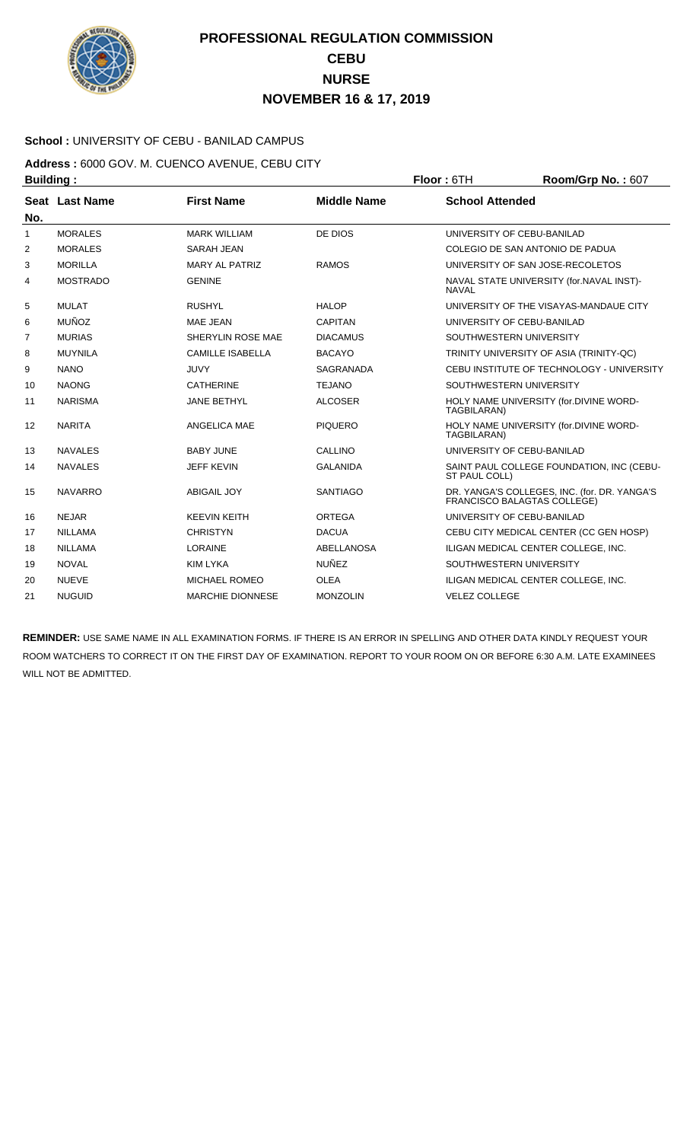

### **School :** UNIVERSITY OF CEBU - BANILAD CAMPUS

**Address :** 6000 GOV. M. CUENCO AVENUE, CEBU CITY **Building : Floor : 6TH Room/Grp No. : 607** 

| No. | Seat Last Name  | <b>First Name</b>       | <b>Middle Name</b> | <b>School Attended</b>                                                      |
|-----|-----------------|-------------------------|--------------------|-----------------------------------------------------------------------------|
| 1   | <b>MORALES</b>  | <b>MARK WILLIAM</b>     | DE DIOS            | UNIVERSITY OF CEBU-BANILAD                                                  |
| 2   | <b>MORALES</b>  | <b>SARAH JEAN</b>       |                    | COLEGIO DE SAN ANTONIO DE PADUA                                             |
| 3   | <b>MORILLA</b>  | <b>MARY AL PATRIZ</b>   | <b>RAMOS</b>       | UNIVERSITY OF SAN JOSE-RECOLETOS                                            |
| 4   | <b>MOSTRADO</b> | <b>GENINE</b>           |                    | NAVAL STATE UNIVERSITY (for.NAVAL INST)-<br><b>NAVAL</b>                    |
| 5   | <b>MULAT</b>    | <b>RUSHYL</b>           | <b>HALOP</b>       | UNIVERSITY OF THE VISAYAS-MANDAUE CITY                                      |
| 6   | <b>MUÑOZ</b>    | <b>MAE JEAN</b>         | <b>CAPITAN</b>     | UNIVERSITY OF CEBU-BANILAD                                                  |
| 7   | <b>MURIAS</b>   | SHERYLIN ROSE MAE       | <b>DIACAMUS</b>    | SOUTHWESTERN UNIVERSITY                                                     |
| 8   | <b>MUYNILA</b>  | <b>CAMILLE ISABELLA</b> | <b>BACAYO</b>      | TRINITY UNIVERSITY OF ASIA (TRINITY-QC)                                     |
| 9   | <b>NANO</b>     | <b>JUVY</b>             | <b>SAGRANADA</b>   | CEBU INSTITUTE OF TECHNOLOGY - UNIVERSITY                                   |
| 10  | <b>NAONG</b>    | <b>CATHERINE</b>        | <b>TEJANO</b>      | SOUTHWESTERN UNIVERSITY                                                     |
| 11  | <b>NARISMA</b>  | <b>JANE BETHYL</b>      | <b>ALCOSER</b>     | HOLY NAME UNIVERSITY (for.DIVINE WORD-<br>TAGBILARAN)                       |
| 12  | <b>NARITA</b>   | ANGELICA MAE            | <b>PIQUERO</b>     | HOLY NAME UNIVERSITY (for.DIVINE WORD-<br>TAGBILARAN)                       |
| 13  | <b>NAVALES</b>  | <b>BABY JUNE</b>        | <b>CALLINO</b>     | UNIVERSITY OF CEBU-BANILAD                                                  |
| 14  | <b>NAVALES</b>  | <b>JEFF KEVIN</b>       | <b>GALANIDA</b>    | SAINT PAUL COLLEGE FOUNDATION, INC (CEBU-<br>ST PAUL COLL)                  |
| 15  | <b>NAVARRO</b>  | <b>ABIGAIL JOY</b>      | <b>SANTIAGO</b>    | DR. YANGA'S COLLEGES, INC. (for. DR. YANGA'S<br>FRANCISCO BALAGTAS COLLEGE) |
| 16  | <b>NEJAR</b>    | <b>KEEVIN KEITH</b>     | ORTEGA             | UNIVERSITY OF CEBU-BANILAD                                                  |
| 17  | <b>NILLAMA</b>  | <b>CHRISTYN</b>         | <b>DACUA</b>       | CEBU CITY MEDICAL CENTER (CC GEN HOSP)                                      |
| 18  | <b>NILLAMA</b>  | <b>LORAINE</b>          | <b>ABELLANOSA</b>  | ILIGAN MEDICAL CENTER COLLEGE. INC.                                         |
| 19  | <b>NOVAL</b>    | <b>KIM LYKA</b>         | <b>NUÑEZ</b>       | SOUTHWESTERN UNIVERSITY                                                     |
| 20  | <b>NUEVE</b>    | <b>MICHAEL ROMEO</b>    | <b>OLEA</b>        | ILIGAN MEDICAL CENTER COLLEGE, INC.                                         |
| 21  | <b>NUGUID</b>   | <b>MARCHIE DIONNESE</b> | <b>MONZOLIN</b>    | <b>VELEZ COLLEGE</b>                                                        |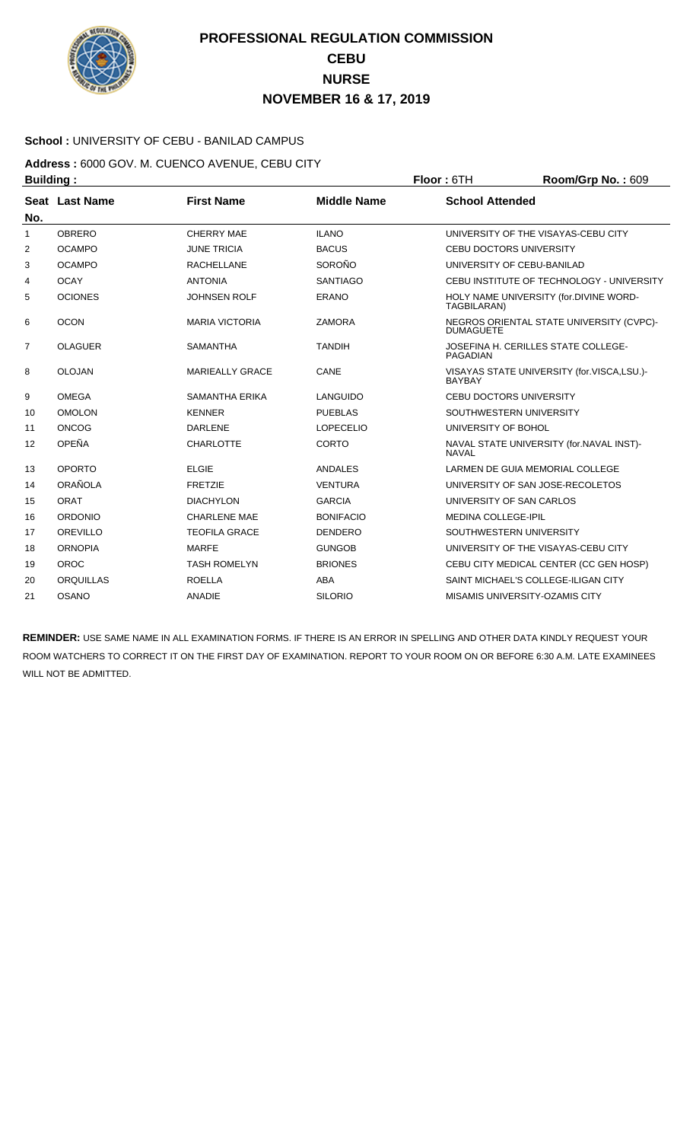

### **School :** UNIVERSITY OF CEBU - BANILAD CAMPUS

**Address :** 6000 GOV. M. CUENCO AVENUE, CEBU CITY **Building : Floor :** 6TH **Room/Grp No. :** 609

| No.            | Seat Last Name   | <b>First Name</b>      | <b>Middle Name</b> | <b>School Attended</b>                                       |
|----------------|------------------|------------------------|--------------------|--------------------------------------------------------------|
| $\mathbf{1}$   | <b>OBRERO</b>    | <b>CHERRY MAE</b>      | <b>ILANO</b>       | UNIVERSITY OF THE VISAYAS-CEBU CITY                          |
| 2              | <b>OCAMPO</b>    | <b>JUNE TRICIA</b>     | <b>BACUS</b>       | <b>CEBU DOCTORS UNIVERSITY</b>                               |
| 3              | <b>OCAMPO</b>    | <b>RACHELLANE</b>      | SOROÑO             | UNIVERSITY OF CEBU-BANILAD                                   |
| 4              | <b>OCAY</b>      | <b>ANTONIA</b>         | <b>SANTIAGO</b>    | CEBU INSTITUTE OF TECHNOLOGY - UNIVERSITY                    |
| 5              | <b>OCIONES</b>   | <b>JOHNSEN ROLF</b>    | <b>ERANO</b>       | HOLY NAME UNIVERSITY (for.DIVINE WORD-<br>TAGBILARAN)        |
| 6              | <b>OCON</b>      | <b>MARIA VICTORIA</b>  | <b>ZAMORA</b>      | NEGROS ORIENTAL STATE UNIVERSITY (CVPC)-<br><b>DUMAGUETE</b> |
| $\overline{7}$ | <b>OLAGUER</b>   | <b>SAMANTHA</b>        | <b>TANDIH</b>      | JOSEFINA H. CERILLES STATE COLLEGE-<br>PAGADIAN              |
| 8              | <b>OLOJAN</b>    | <b>MARIEALLY GRACE</b> | CANE               | VISAYAS STATE UNIVERSITY (for.VISCA,LSU.)-<br><b>BAYBAY</b>  |
| 9              | <b>OMEGA</b>     | <b>SAMANTHA ERIKA</b>  | LANGUIDO           | <b>CEBU DOCTORS UNIVERSITY</b>                               |
| 10             | <b>OMOLON</b>    | <b>KENNER</b>          | <b>PUEBLAS</b>     | SOUTHWESTERN UNIVERSITY                                      |
| 11             | <b>ONCOG</b>     | <b>DARLENE</b>         | <b>LOPECELIO</b>   | UNIVERSITY OF BOHOL                                          |
| 12             | OPEÑA            | <b>CHARLOTTE</b>       | <b>CORTO</b>       | NAVAL STATE UNIVERSITY (for.NAVAL INST)-<br><b>NAVAI</b>     |
| 13             | <b>OPORTO</b>    | <b>ELGIE</b>           | ANDALES            | LARMEN DE GUIA MEMORIAL COLLEGE                              |
| 14             | ORAÑOLA          | <b>FRETZIE</b>         | <b>VENTURA</b>     | UNIVERSITY OF SAN JOSE-RECOLETOS                             |
| 15             | ORAT             | <b>DIACHYLON</b>       | <b>GARCIA</b>      | UNIVERSITY OF SAN CARLOS                                     |
| 16             | <b>ORDONIO</b>   | <b>CHARLENE MAE</b>    | <b>BONIFACIO</b>   | <b>MEDINA COLLEGE-IPIL</b>                                   |
| 17             | OREVILLO         | <b>TEOFILA GRACE</b>   | <b>DENDERO</b>     | SOUTHWESTERN UNIVERSITY                                      |
| 18             | <b>ORNOPIA</b>   | <b>MARFE</b>           | <b>GUNGOB</b>      | UNIVERSITY OF THE VISAYAS-CEBU CITY                          |
| 19             | OROC             | <b>TASH ROMELYN</b>    | <b>BRIONES</b>     | CEBU CITY MEDICAL CENTER (CC GEN HOSP)                       |
| 20             | <b>ORQUILLAS</b> | <b>ROELLA</b>          | ABA                | SAINT MICHAEL'S COLLEGE-ILIGAN CITY                          |
| 21             | <b>OSANO</b>     | <b>ANADIE</b>          | <b>SILORIO</b>     | MISAMIS UNIVERSITY-OZAMIS CITY                               |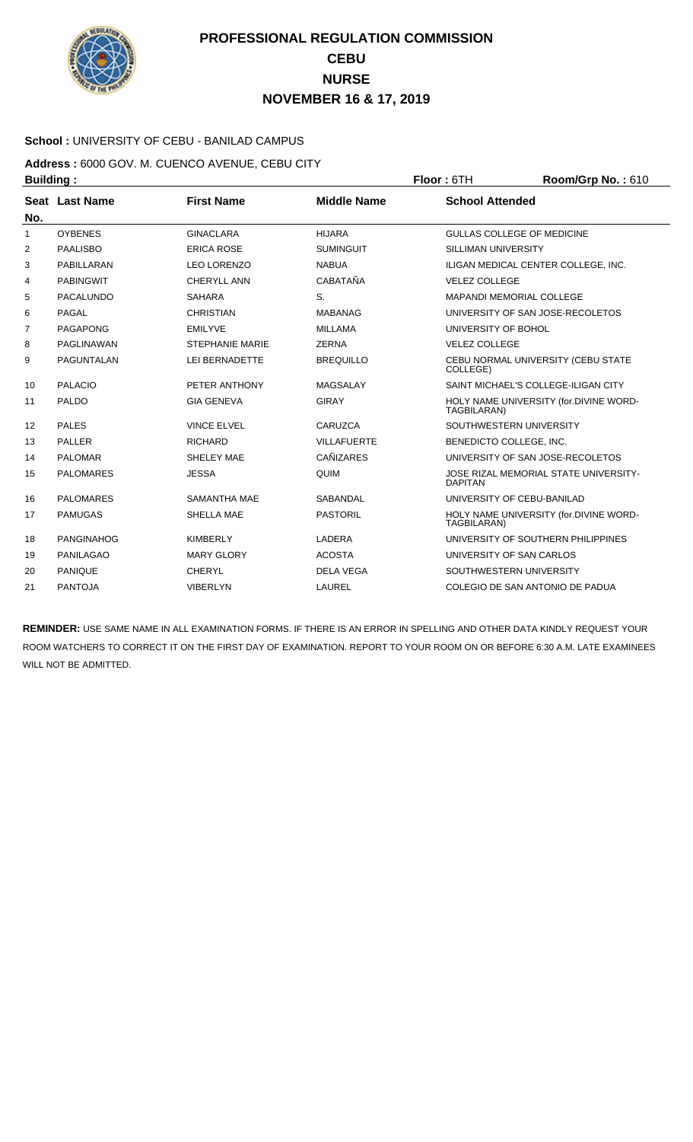

### **School :** UNIVERSITY OF CEBU - BANILAD CAMPUS

**Address :** 6000 GOV. M. CUENCO AVENUE, CEBU CITY **Building : Floor : 6TH Room/Grp No. : 610** 

| No.            | Seat Last Name    | <b>First Name</b>      | <b>Middle Name</b> | <b>School Attended</b>                                  |
|----------------|-------------------|------------------------|--------------------|---------------------------------------------------------|
| 1              | <b>OYBENES</b>    | <b>GINACLARA</b>       | <b>HIJARA</b>      | GULLAS COLLEGE OF MEDICINE                              |
| 2              | <b>PAALISBO</b>   | <b>ERICA ROSE</b>      | <b>SUMINGUIT</b>   | <b>SILLIMAN UNIVERSITY</b>                              |
| 3              | PABILLARAN        | <b>LEO LORENZO</b>     | <b>NABUA</b>       | ILIGAN MEDICAL CENTER COLLEGE, INC.                     |
| 4              | <b>PABINGWIT</b>  | <b>CHERYLL ANN</b>     | CABATAÑA           | <b>VELEZ COLLEGE</b>                                    |
| 5              | <b>PACALUNDO</b>  | <b>SAHARA</b>          | S.                 | <b>MAPANDI MEMORIAL COLLEGE</b>                         |
| 6              | PAGAL             | <b>CHRISTIAN</b>       | <b>MABANAG</b>     | UNIVERSITY OF SAN JOSE-RECOLETOS                        |
| $\overline{7}$ | <b>PAGAPONG</b>   | <b>EMILYVE</b>         | <b>MILLAMA</b>     | UNIVERSITY OF BOHOL                                     |
| 8              | <b>PAGLINAWAN</b> | <b>STEPHANIE MARIE</b> | <b>ZERNA</b>       | <b>VELEZ COLLEGE</b>                                    |
| 9              | <b>PAGUNTALAN</b> | LEI BERNADETTE         | <b>BREQUILLO</b>   | CEBU NORMAL UNIVERSITY (CEBU STATE<br>COLLEGE)          |
| 10             | <b>PALACIO</b>    | PETER ANTHONY          | MAGSALAY           | SAINT MICHAEL'S COLLEGE-ILIGAN CITY                     |
| 11             | <b>PALDO</b>      | <b>GIA GENEVA</b>      | <b>GIRAY</b>       | HOLY NAME UNIVERSITY (for.DIVINE WORD-<br>TAGBILARAN)   |
| 12             | <b>PALES</b>      | <b>VINCE ELVEL</b>     | CARUZCA            | SOUTHWESTERN UNIVERSITY                                 |
| 13             | <b>PALLER</b>     | <b>RICHARD</b>         | <b>VILLAFUERTE</b> | BENEDICTO COLLEGE, INC.                                 |
| 14             | <b>PALOMAR</b>    | SHELEY MAE             | <b>CAÑIZARES</b>   | UNIVERSITY OF SAN JOSE-RECOLETOS                        |
| 15             | <b>PALOMARES</b>  | <b>JESSA</b>           | QUIM               | JOSE RIZAL MEMORIAL STATE UNIVERSITY-<br><b>DAPITAN</b> |
| 16             | <b>PALOMARES</b>  | <b>SAMANTHA MAE</b>    | <b>SABANDAL</b>    | UNIVERSITY OF CEBU-BANILAD                              |
| 17             | <b>PAMUGAS</b>    | SHELLA MAE             | <b>PASTORIL</b>    | HOLY NAME UNIVERSITY (for.DIVINE WORD-<br>TAGBILARAN)   |
| 18             | <b>PANGINAHOG</b> | <b>KIMBERLY</b>        | LADERA             | UNIVERSITY OF SOUTHERN PHILIPPINES                      |
| 19             | <b>PANILAGAO</b>  | <b>MARY GLORY</b>      | <b>ACOSTA</b>      | UNIVERSITY OF SAN CARLOS                                |
| 20             | <b>PANIQUE</b>    | <b>CHERYL</b>          | <b>DELA VEGA</b>   | SOUTHWESTERN UNIVERSITY                                 |
| 21             | <b>PANTOJA</b>    | <b>VIBERLYN</b>        | LAUREL             | COLEGIO DE SAN ANTONIO DE PADUA                         |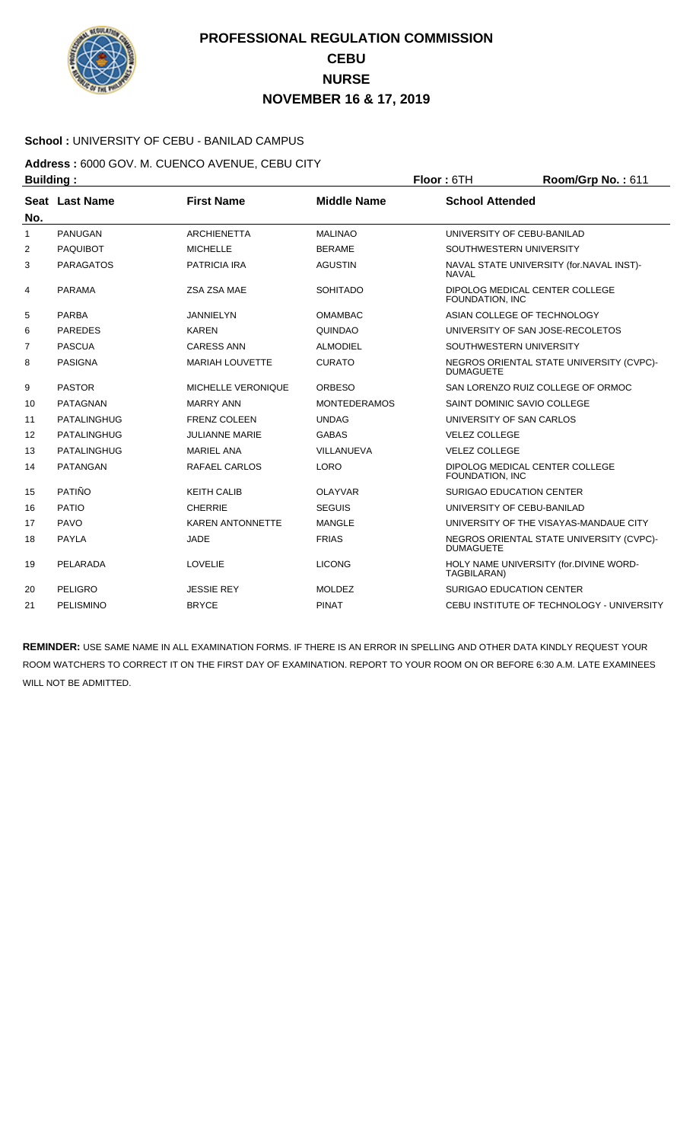

### **School :** UNIVERSITY OF CEBU - BANILAD CAMPUS

**Address :** 6000 GOV. M. CUENCO AVENUE, CEBU CITY **Building : Floor : 6TH Room/Grp No. : 611** 

| No.            | Seat Last Name     | <b>First Name</b>         | <b>Middle Name</b>  | <b>School Attended</b>                                       |
|----------------|--------------------|---------------------------|---------------------|--------------------------------------------------------------|
| 1              | <b>PANUGAN</b>     | <b>ARCHIENETTA</b>        | <b>MALINAO</b>      | UNIVERSITY OF CEBU-BANILAD                                   |
| $\overline{2}$ | <b>PAQUIBOT</b>    | <b>MICHELLE</b>           | <b>BERAME</b>       | SOUTHWESTERN UNIVERSITY                                      |
| 3              | <b>PARAGATOS</b>   | <b>PATRICIA IRA</b>       | <b>AGUSTIN</b>      | NAVAL STATE UNIVERSITY (for.NAVAL INST)-<br><b>NAVAL</b>     |
| 4              | <b>PARAMA</b>      | ZSA ZSA MAE               | <b>SOHITADO</b>     | DIPOLOG MEDICAL CENTER COLLEGE<br>FOUNDATION, INC            |
| 5              | <b>PARBA</b>       | <b>JANNIELYN</b>          | <b>OMAMBAC</b>      | ASIAN COLLEGE OF TECHNOLOGY                                  |
| 6              | <b>PAREDES</b>     | <b>KAREN</b>              | QUINDAO             | UNIVERSITY OF SAN JOSE-RECOLETOS                             |
| 7              | <b>PASCUA</b>      | <b>CARESS ANN</b>         | <b>ALMODIEL</b>     | SOUTHWESTERN UNIVERSITY                                      |
| 8              | <b>PASIGNA</b>     | <b>MARIAH LOUVETTE</b>    | <b>CURATO</b>       | NEGROS ORIENTAL STATE UNIVERSITY (CVPC)-<br><b>DUMAGUETE</b> |
| 9              | <b>PASTOR</b>      | <b>MICHELLE VERONIQUE</b> | <b>ORBESO</b>       | SAN LORENZO RUIZ COLLEGE OF ORMOC                            |
| 10             | <b>PATAGNAN</b>    | <b>MARRY ANN</b>          | <b>MONTEDERAMOS</b> | SAINT DOMINIC SAVIO COLLEGE                                  |
| 11             | <b>PATALINGHUG</b> | <b>FRENZ COLEEN</b>       | <b>UNDAG</b>        | UNIVERSITY OF SAN CARLOS                                     |
| 12             | <b>PATALINGHUG</b> | <b>JULIANNE MARIE</b>     | <b>GABAS</b>        | <b>VELEZ COLLEGE</b>                                         |
| 13             | PATALINGHUG        | <b>MARIEL ANA</b>         | VILLANUEVA          | <b>VELEZ COLLEGE</b>                                         |
| 14             | <b>PATANGAN</b>    | RAFAEL CARLOS             | <b>LORO</b>         | DIPOLOG MEDICAL CENTER COLLEGE<br>FOUNDATION, INC.           |
| 15             | PATIÑO             | <b>KEITH CALIB</b>        | <b>OLAYVAR</b>      | <b>SURIGAO EDUCATION CENTER</b>                              |
| 16             | <b>PATIO</b>       | <b>CHERRIE</b>            | <b>SEGUIS</b>       | UNIVERSITY OF CEBU-BANILAD                                   |
| 17             | <b>PAVO</b>        | <b>KAREN ANTONNETTE</b>   | <b>MANGLE</b>       | UNIVERSITY OF THE VISAYAS-MANDAUE CITY                       |
| 18             | <b>PAYLA</b>       | <b>JADE</b>               | <b>FRIAS</b>        | NEGROS ORIENTAL STATE UNIVERSITY (CVPC)-<br><b>DUMAGUETE</b> |
| 19             | PELARADA           | <b>LOVELIE</b>            | <b>LICONG</b>       | HOLY NAME UNIVERSITY (for.DIVINE WORD-<br>TAGBILARAN)        |
| 20             | <b>PELIGRO</b>     | <b>JESSIE REY</b>         | <b>MOLDEZ</b>       | <b>SURIGAO EDUCATION CENTER</b>                              |
| 21             | PELISMINO          | <b>BRYCE</b>              | <b>PINAT</b>        | CEBU INSTITUTE OF TECHNOLOGY - UNIVERSITY                    |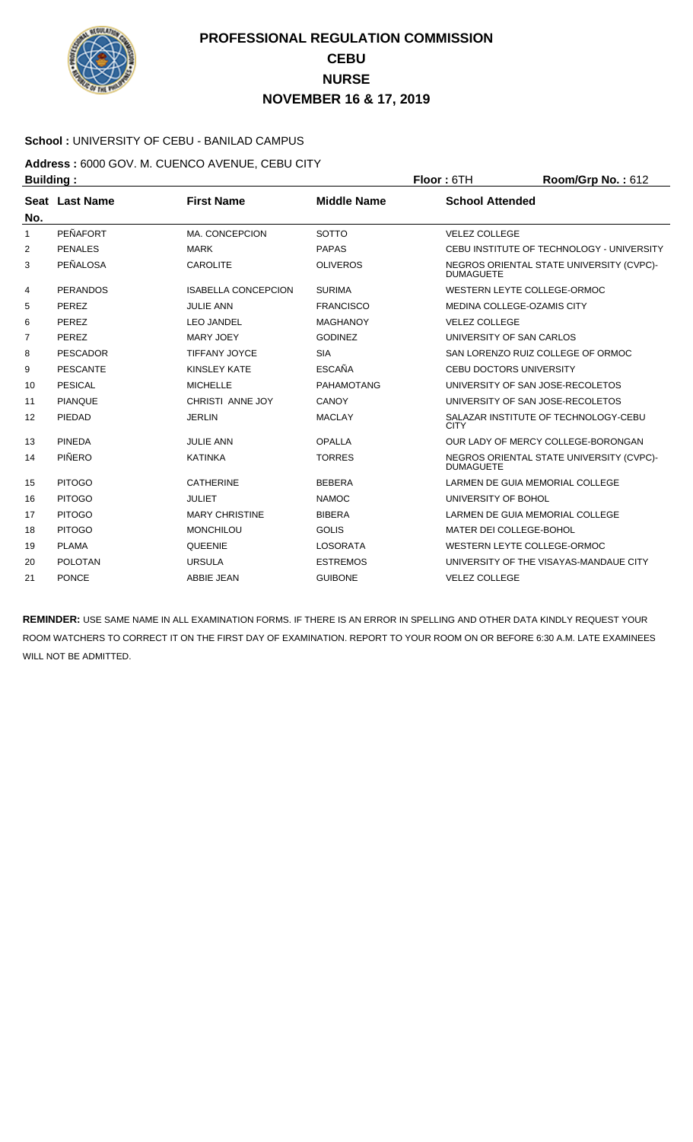

### **School :** UNIVERSITY OF CEBU - BANILAD CAMPUS

**Address :** 6000 GOV. M. CUENCO AVENUE, CEBU CITY **Building : Floor : 6TH Room/Grp No. : 612** 

| No. | Seat Last Name  | <b>First Name</b>          | <b>Middle Name</b> | <b>School Attended</b>                                       |
|-----|-----------------|----------------------------|--------------------|--------------------------------------------------------------|
| 1   | PEÑAFORT        | <b>MA. CONCEPCION</b>      | <b>SOTTO</b>       | <b>VELEZ COLLEGE</b>                                         |
| 2   | <b>PENALES</b>  | <b>MARK</b>                | <b>PAPAS</b>       | CEBU INSTITUTE OF TECHNOLOGY - UNIVERSITY                    |
| 3   | <b>PEÑALOSA</b> | <b>CAROLITE</b>            | <b>OLIVEROS</b>    | NEGROS ORIENTAL STATE UNIVERSITY (CVPC)-<br><b>DUMAGUETE</b> |
| 4   | <b>PERANDOS</b> | <b>ISABELLA CONCEPCION</b> | <b>SURIMA</b>      | WESTERN LEYTE COLLEGE-ORMOC                                  |
| 5   | PEREZ           | <b>JULIE ANN</b>           | <b>FRANCISCO</b>   | MEDINA COLLEGE-OZAMIS CITY                                   |
| 6   | PEREZ           | <b>LEO JANDEL</b>          | <b>MAGHANOY</b>    | <b>VELEZ COLLEGE</b>                                         |
| 7   | PEREZ           | <b>MARY JOEY</b>           | <b>GODINEZ</b>     | UNIVERSITY OF SAN CARLOS                                     |
| 8   | <b>PESCADOR</b> | <b>TIFFANY JOYCE</b>       | <b>SIA</b>         | SAN LORENZO RUIZ COLLEGE OF ORMOC                            |
| 9   | PESCANTE        | <b>KINSLEY KATE</b>        | <b>ESCAÑA</b>      | <b>CEBU DOCTORS UNIVERSITY</b>                               |
| 10  | PESICAL         | <b>MICHELLE</b>            | <b>PAHAMOTANG</b>  | UNIVERSITY OF SAN JOSE-RECOLETOS                             |
| 11  | <b>PIANOUE</b>  | CHRISTI ANNE JOY           | CANOY              | UNIVERSITY OF SAN JOSE-RECOLETOS                             |
| 12  | PIFDAD          | <b>JERLIN</b>              | <b>MACLAY</b>      | SALAZAR INSTITUTE OF TECHNOLOGY-CEBU<br><b>CITY</b>          |
| 13  | <b>PINEDA</b>   | <b>JULIE ANN</b>           | <b>OPALLA</b>      | OUR LADY OF MERCY COLLEGE-BORONGAN                           |
| 14  | PIÑERO          | <b>KATINKA</b>             | <b>TORRES</b>      | NEGROS ORIENTAL STATE UNIVERSITY (CVPC)-<br><b>DUMAGUETE</b> |
| 15  | <b>PITOGO</b>   | <b>CATHERINE</b>           | <b>BEBERA</b>      | LARMEN DE GUIA MEMORIAL COLLEGE                              |
| 16  | <b>PITOGO</b>   | <b>JULIET</b>              | <b>NAMOC</b>       | UNIVERSITY OF BOHOL                                          |
| 17  | <b>PITOGO</b>   | <b>MARY CHRISTINE</b>      | <b>BIBERA</b>      | LARMEN DE GUIA MEMORIAL COLLEGE                              |
| 18  | <b>PITOGO</b>   | <b>MONCHILOU</b>           | <b>GOLIS</b>       | MATER DEI COLLEGE-BOHOL                                      |
| 19  | <b>PLAMA</b>    | <b>QUEENIE</b>             | <b>LOSORATA</b>    | WESTERN LEYTE COLLEGE-ORMOC                                  |
| 20  | <b>POLOTAN</b>  | <b>URSULA</b>              | <b>ESTREMOS</b>    | UNIVERSITY OF THE VISAYAS-MANDAUE CITY                       |
| 21  | <b>PONCE</b>    | <b>ABBIE JEAN</b>          | <b>GUIBONE</b>     | <b>VELEZ COLLEGE</b>                                         |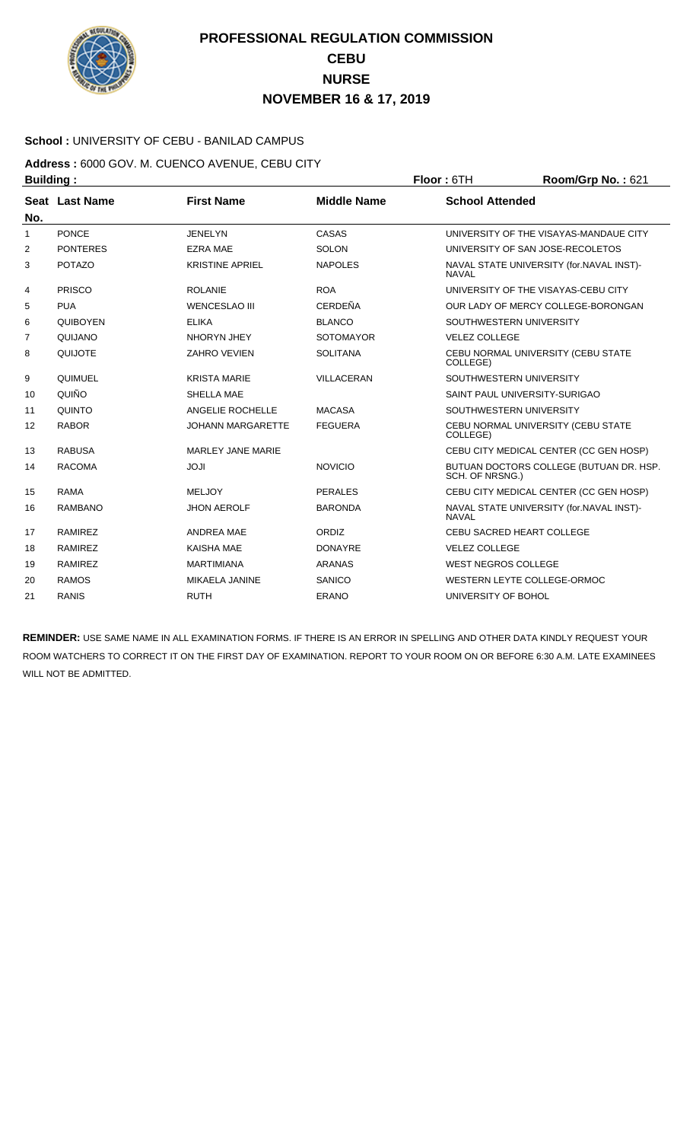

### **School :** UNIVERSITY OF CEBU - BANILAD CAMPUS

**Address :** 6000 GOV. M. CUENCO AVENUE, CEBU CITY **Building : Floor : 6TH Room/Grp No. : 621** 

| No.          | Seat Last Name  | <b>First Name</b>        | <b>Middle Name</b> | <b>School Attended</b>                                     |
|--------------|-----------------|--------------------------|--------------------|------------------------------------------------------------|
| $\mathbf{1}$ | <b>PONCE</b>    | <b>JENELYN</b>           | CASAS              | UNIVERSITY OF THE VISAYAS-MANDAUE CITY                     |
| 2            | <b>PONTERES</b> | <b>EZRA MAE</b>          | <b>SOLON</b>       | UNIVERSITY OF SAN JOSE-RECOLETOS                           |
| 3            | <b>POTAZO</b>   | <b>KRISTINE APRIEL</b>   | <b>NAPOLES</b>     | NAVAL STATE UNIVERSITY (for.NAVAL INST)-<br><b>NAVAL</b>   |
| 4            | <b>PRISCO</b>   | <b>ROLANIE</b>           | <b>ROA</b>         | UNIVERSITY OF THE VISAYAS-CEBU CITY                        |
| 5            | <b>PUA</b>      | <b>WENCESLAO III</b>     | <b>CERDEÑA</b>     | OUR LADY OF MERCY COLLEGE-BORONGAN                         |
| 6            | <b>QUIBOYEN</b> | <b>ELIKA</b>             | <b>BLANCO</b>      | SOUTHWESTERN UNIVERSITY                                    |
| 7            | QUIJANO         | NHORYN JHEY              | <b>SOTOMAYOR</b>   | <b>VELEZ COLLEGE</b>                                       |
| 8            | <b>QUIJOTE</b>  | <b>ZAHRO VEVIEN</b>      | <b>SOLITANA</b>    | CEBU NORMAL UNIVERSITY (CEBU STATE<br>COLLEGE)             |
| 9            | QUIMUEL         | <b>KRISTA MARIE</b>      | <b>VILLACERAN</b>  | SOUTHWESTERN UNIVERSITY                                    |
| 10           | QUIÑO           | SHELLA MAE               |                    | SAINT PAUL UNIVERSITY-SURIGAO                              |
| 11           | <b>QUINTO</b>   | ANGELIE ROCHELLE         | <b>MACASA</b>      | SOUTHWESTERN UNIVERSITY                                    |
| 12           | <b>RABOR</b>    | <b>JOHANN MARGARETTE</b> | <b>FEGUERA</b>     | CEBU NORMAL UNIVERSITY (CEBU STATE<br>COLLEGE)             |
| 13           | <b>RABUSA</b>   | <b>MARLEY JANE MARIE</b> |                    | CEBU CITY MEDICAL CENTER (CC GEN HOSP)                     |
| 14           | <b>RACOMA</b>   | <b>ILOL</b>              | <b>NOVICIO</b>     | BUTUAN DOCTORS COLLEGE (BUTUAN DR. HSP.<br>SCH. OF NRSNG.) |
| 15           | <b>RAMA</b>     | <b>MELJOY</b>            | <b>PERALES</b>     | CEBU CITY MEDICAL CENTER (CC GEN HOSP)                     |
| 16           | <b>RAMBANO</b>  | <b>JHON AEROLF</b>       | <b>BARONDA</b>     | NAVAL STATE UNIVERSITY (for.NAVAL INST)-<br><b>NAVAL</b>   |
| 17           | <b>RAMIREZ</b>  | <b>ANDREA MAE</b>        | ORDIZ              | CEBU SACRED HEART COLLEGE                                  |
| 18           | <b>RAMIREZ</b>  | <b>KAISHA MAE</b>        | <b>DONAYRE</b>     | <b>VELEZ COLLEGE</b>                                       |
| 19           | <b>RAMIREZ</b>  | <b>MARTIMIANA</b>        | <b>ARANAS</b>      | <b>WEST NEGROS COLLEGE</b>                                 |
| 20           | <b>RAMOS</b>    | MIKAELA JANINE           | <b>SANICO</b>      | WESTERN LEYTE COLLEGE-ORMOC                                |
| 21           | <b>RANIS</b>    | <b>RUTH</b>              | <b>ERANO</b>       | UNIVERSITY OF BOHOL                                        |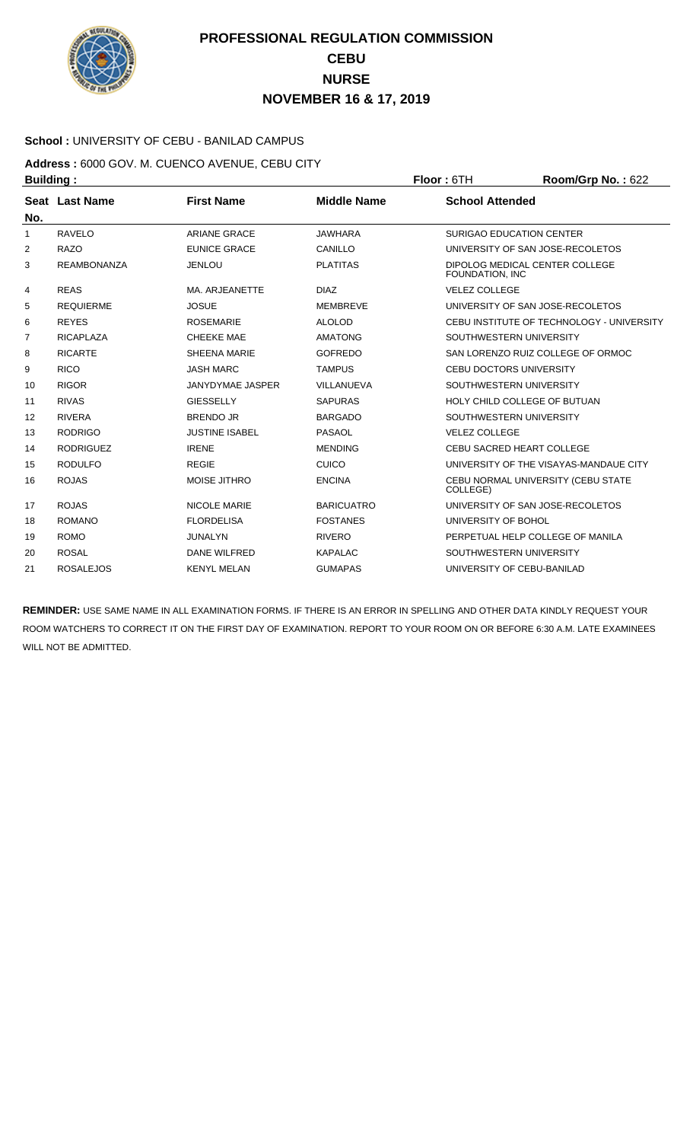

### **School :** UNIVERSITY OF CEBU - BANILAD CAMPUS

**Address :** 6000 GOV. M. CUENCO AVENUE, CEBU CITY **Building : Floor :** 6TH **Room/Grp No. :** 622

| No. | Seat Last Name     | <b>First Name</b>     | <b>Middle Name</b> | <b>School Attended</b>                             |
|-----|--------------------|-----------------------|--------------------|----------------------------------------------------|
| 1   | <b>RAVELO</b>      | <b>ARIANE GRACE</b>   | <b>JAWHARA</b>     | <b>SURIGAO EDUCATION CENTER</b>                    |
| 2   | <b>RAZO</b>        | <b>EUNICE GRACE</b>   | CANILLO            | UNIVERSITY OF SAN JOSE-RECOLETOS                   |
| 3   | <b>REAMBONANZA</b> | <b>JENLOU</b>         | <b>PLATITAS</b>    | DIPOLOG MEDICAL CENTER COLLEGE<br>FOUNDATION, INC. |
| 4   | <b>REAS</b>        | MA. ARJEANETTE        | <b>DIAZ</b>        | <b>VELEZ COLLEGE</b>                               |
| 5   | <b>REQUIERME</b>   | <b>JOSUE</b>          | <b>MEMBREVE</b>    | UNIVERSITY OF SAN JOSE-RECOLETOS                   |
| 6   | <b>REYES</b>       | <b>ROSEMARIE</b>      | <b>ALOLOD</b>      | CEBU INSTITUTE OF TECHNOLOGY - UNIVERSITY          |
| 7   | <b>RICAPLAZA</b>   | <b>CHEEKE MAE</b>     | <b>AMATONG</b>     | SOUTHWESTERN UNIVERSITY                            |
| 8   | <b>RICARTE</b>     | <b>SHEENA MARIE</b>   | <b>GOFREDO</b>     | SAN LORENZO RUIZ COLLEGE OF ORMOC                  |
| 9   | <b>RICO</b>        | <b>JASH MARC</b>      | <b>TAMPUS</b>      | <b>CEBU DOCTORS UNIVERSITY</b>                     |
| 10  | <b>RIGOR</b>       | JANYDYMAE JASPER      | VILLANUEVA         | SOUTHWESTERN UNIVERSITY                            |
| 11  | <b>RIVAS</b>       | <b>GIESSELLY</b>      | <b>SAPURAS</b>     | HOLY CHILD COLLEGE OF BUTUAN                       |
| 12  | <b>RIVERA</b>      | <b>BRENDO JR</b>      | <b>BARGADO</b>     | SOUTHWESTERN UNIVERSITY                            |
| 13  | <b>RODRIGO</b>     | <b>JUSTINE ISABEL</b> | <b>PASAOL</b>      | <b>VELEZ COLLEGE</b>                               |
| 14  | <b>RODRIGUEZ</b>   | <b>IRENE</b>          | <b>MENDING</b>     | <b>CEBU SACRED HEART COLLEGE</b>                   |
| 15  | <b>RODULFO</b>     | <b>REGIE</b>          | CUICO              | UNIVERSITY OF THE VISAYAS-MANDAUE CITY             |
| 16  | <b>ROJAS</b>       | <b>MOISE JITHRO</b>   | <b>ENCINA</b>      | CEBU NORMAL UNIVERSITY (CEBU STATE<br>COLLEGE)     |
| 17  | <b>ROJAS</b>       | <b>NICOLE MARIE</b>   | <b>BARICUATRO</b>  | UNIVERSITY OF SAN JOSE-RECOLETOS                   |
| 18  | <b>ROMANO</b>      | <b>FLORDELISA</b>     | <b>FOSTANES</b>    | UNIVERSITY OF BOHOL                                |
| 19  | <b>ROMO</b>        | <b>JUNALYN</b>        | <b>RIVERO</b>      | PERPETUAL HELP COLLEGE OF MANILA                   |
| 20  | <b>ROSAL</b>       | DANE WILFRED          | <b>KAPALAC</b>     | SOUTHWESTERN UNIVERSITY                            |
| 21  | <b>ROSALEJOS</b>   | <b>KENYL MELAN</b>    | <b>GUMAPAS</b>     | UNIVERSITY OF CEBU-BANILAD                         |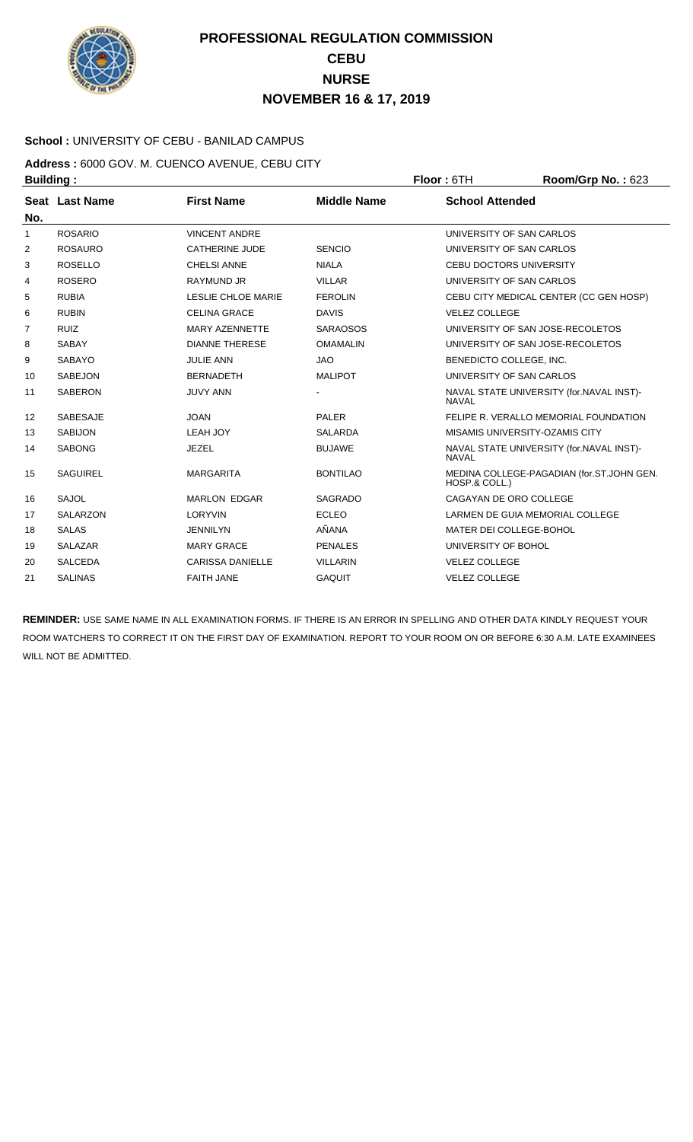

### **School :** UNIVERSITY OF CEBU - BANILAD CAMPUS

**Address :** 6000 GOV. M. CUENCO AVENUE, CEBU CITY **Building : Floor : 6TH Room/Grp No. : 623** 

|                | Seat Last Name  | <b>First Name</b>         | <b>Middle Name</b> | <b>School Attended</b>                                     |
|----------------|-----------------|---------------------------|--------------------|------------------------------------------------------------|
| No.            |                 |                           |                    |                                                            |
| $\mathbf{1}$   | <b>ROSARIO</b>  | <b>VINCENT ANDRE</b>      |                    | UNIVERSITY OF SAN CARLOS                                   |
| 2              | <b>ROSAURO</b>  | CATHERINE JUDE            | <b>SENCIO</b>      | UNIVERSITY OF SAN CARLOS                                   |
| 3              | <b>ROSELLO</b>  | <b>CHELSI ANNE</b>        | <b>NIALA</b>       | <b>CEBU DOCTORS UNIVERSITY</b>                             |
| 4              | <b>ROSERO</b>   | <b>RAYMUND JR</b>         | <b>VILLAR</b>      | UNIVERSITY OF SAN CARLOS                                   |
| 5              | <b>RUBIA</b>    | <b>LESLIE CHLOE MARIE</b> | <b>FEROLIN</b>     | CEBU CITY MEDICAL CENTER (CC GEN HOSP)                     |
| 6              | <b>RUBIN</b>    | <b>CELINA GRACE</b>       | <b>DAVIS</b>       | <b>VELEZ COLLEGE</b>                                       |
| $\overline{7}$ | <b>RUIZ</b>     | <b>MARY AZENNETTE</b>     | <b>SARAOSOS</b>    | UNIVERSITY OF SAN JOSE-RECOLETOS                           |
| 8              | <b>SABAY</b>    | <b>DIANNE THERESE</b>     | <b>OMAMALIN</b>    | UNIVERSITY OF SAN JOSE-RECOLETOS                           |
| 9              | <b>SABAYO</b>   | <b>JULIE ANN</b>          | <b>JAO</b>         | BENEDICTO COLLEGE, INC.                                    |
| 10             | <b>SABEJON</b>  | <b>BERNADETH</b>          | <b>MALIPOT</b>     | UNIVERSITY OF SAN CARLOS                                   |
| 11             | <b>SABERON</b>  | <b>JUVY ANN</b>           |                    | NAVAL STATE UNIVERSITY (for.NAVAL INST)-<br><b>NAVAL</b>   |
| 12             | <b>SABESAJE</b> | <b>JOAN</b>               | <b>PALER</b>       | FELIPE R. VERALLO MEMORIAL FOUNDATION                      |
| 13             | <b>SABIJON</b>  | LEAH JOY                  | <b>SALARDA</b>     | MISAMIS UNIVERSITY-OZAMIS CITY                             |
| 14             | <b>SABONG</b>   | <b>JEZEL</b>              | <b>BUJAWE</b>      | NAVAL STATE UNIVERSITY (for.NAVAL INST)-<br><b>NAVAL</b>   |
| 15             | <b>SAGUIREL</b> | <b>MARGARITA</b>          | <b>BONTILAO</b>    | MEDINA COLLEGE-PAGADIAN (for.ST.JOHN GEN.<br>HOSP.& COLL.) |
| 16             | <b>SAJOL</b>    | <b>MARLON EDGAR</b>       | <b>SAGRADO</b>     | CAGAYAN DE ORO COLLEGE                                     |
| 17             | <b>SALARZON</b> | <b>LORYVIN</b>            | <b>ECLEO</b>       | LARMEN DE GUIA MEMORIAL COLLEGE                            |
| 18             | <b>SALAS</b>    | <b>JENNILYN</b>           | AÑANA              | MATER DEI COLLEGE-BOHOL                                    |
| 19             | <b>SALAZAR</b>  | <b>MARY GRACE</b>         | <b>PENALES</b>     | UNIVERSITY OF BOHOL                                        |
| 20             | <b>SALCEDA</b>  | <b>CARISSA DANIELLE</b>   | <b>VILLARIN</b>    | <b>VELEZ COLLEGE</b>                                       |
| 21             | <b>SALINAS</b>  | <b>FAITH JANE</b>         | <b>GAQUIT</b>      | <b>VELEZ COLLEGE</b>                                       |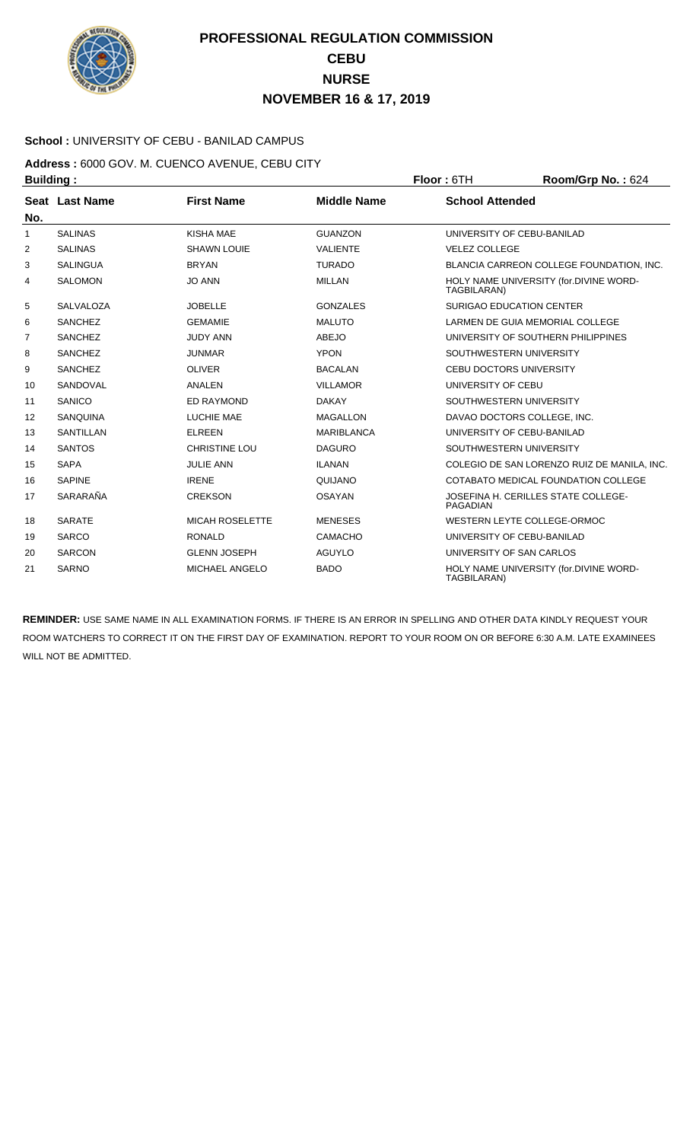

### **School :** UNIVERSITY OF CEBU - BANILAD CAMPUS

**Address :** 6000 GOV. M. CUENCO AVENUE, CEBU CITY **Building : Floor : 6TH Room/Grp No. : 624** 

| No.            | Seat Last Name   | <b>First Name</b>      | <b>Middle Name</b> | <b>School Attended</b>                                 |
|----------------|------------------|------------------------|--------------------|--------------------------------------------------------|
| $\mathbf{1}$   | <b>SALINAS</b>   | KISHA MAE              | <b>GUANZON</b>     | UNIVERSITY OF CEBU-BANILAD                             |
| 2              | <b>SALINAS</b>   | <b>SHAWN LOUIE</b>     | <b>VALIENTE</b>    | <b>VELEZ COLLEGE</b>                                   |
| 3              | <b>SALINGUA</b>  | <b>BRYAN</b>           | <b>TURADO</b>      | BLANCIA CARREON COLLEGE FOUNDATION, INC.               |
| 4              | <b>SALOMON</b>   | <b>JO ANN</b>          | <b>MILLAN</b>      | HOLY NAME UNIVERSITY (for.DIVINE WORD-<br>TAGBILARAN)  |
| 5              | <b>SALVALOZA</b> | <b>JOBELLE</b>         | <b>GONZALES</b>    | <b>SURIGAO EDUCATION CENTER</b>                        |
| 6              | <b>SANCHEZ</b>   | <b>GEMAMIE</b>         | <b>MALUTO</b>      | LARMEN DE GUIA MEMORIAL COLLEGE                        |
| $\overline{7}$ | <b>SANCHEZ</b>   | <b>JUDY ANN</b>        | <b>ABEJO</b>       | UNIVERSITY OF SOUTHERN PHILIPPINES                     |
| 8              | <b>SANCHEZ</b>   | <b>JUNMAR</b>          | <b>YPON</b>        | SOUTHWESTERN UNIVERSITY                                |
| 9              | <b>SANCHEZ</b>   | <b>OLIVER</b>          | <b>BACALAN</b>     | <b>CEBU DOCTORS UNIVERSITY</b>                         |
| 10             | SANDOVAL         | <b>ANALEN</b>          | <b>VILLAMOR</b>    | UNIVERSITY OF CEBU                                     |
| 11             | SANICO           | <b>ED RAYMOND</b>      | <b>DAKAY</b>       | SOUTHWESTERN UNIVERSITY                                |
| 12             | SANQUINA         | <b>LUCHIE MAE</b>      | <b>MAGALLON</b>    | DAVAO DOCTORS COLLEGE, INC.                            |
| 13             | <b>SANTILLAN</b> | <b>ELREEN</b>          | <b>MARIBLANCA</b>  | UNIVERSITY OF CEBU-BANILAD                             |
| 14             | <b>SANTOS</b>    | <b>CHRISTINE LOU</b>   | <b>DAGURO</b>      | SOUTHWESTERN UNIVERSITY                                |
| 15             | <b>SAPA</b>      | <b>JULIE ANN</b>       | <b>ILANAN</b>      | COLEGIO DE SAN LORENZO RUIZ DE MANILA, INC.            |
| 16             | <b>SAPINE</b>    | <b>IRENE</b>           | QUIJANO            | COTABATO MEDICAL FOUNDATION COLLEGE                    |
| 17             | SARARAÑA         | <b>CREKSON</b>         | <b>OSAYAN</b>      | JOSEFINA H. CERILLES STATE COLLEGE-<br><b>PAGADIAN</b> |
| 18             | <b>SARATE</b>    | <b>MICAH ROSELETTE</b> | <b>MENESES</b>     | WESTERN LEYTE COLLEGE-ORMOC                            |
| 19             | <b>SARCO</b>     | <b>RONALD</b>          | <b>CAMACHO</b>     | UNIVERSITY OF CEBU-BANILAD                             |
| 20             | <b>SARCON</b>    | <b>GLENN JOSEPH</b>    | <b>AGUYLO</b>      | UNIVERSITY OF SAN CARLOS                               |
| 21             | <b>SARNO</b>     | <b>MICHAEL ANGELO</b>  | <b>BADO</b>        | HOLY NAME UNIVERSITY (for.DIVINE WORD-<br>TAGBILARAN)  |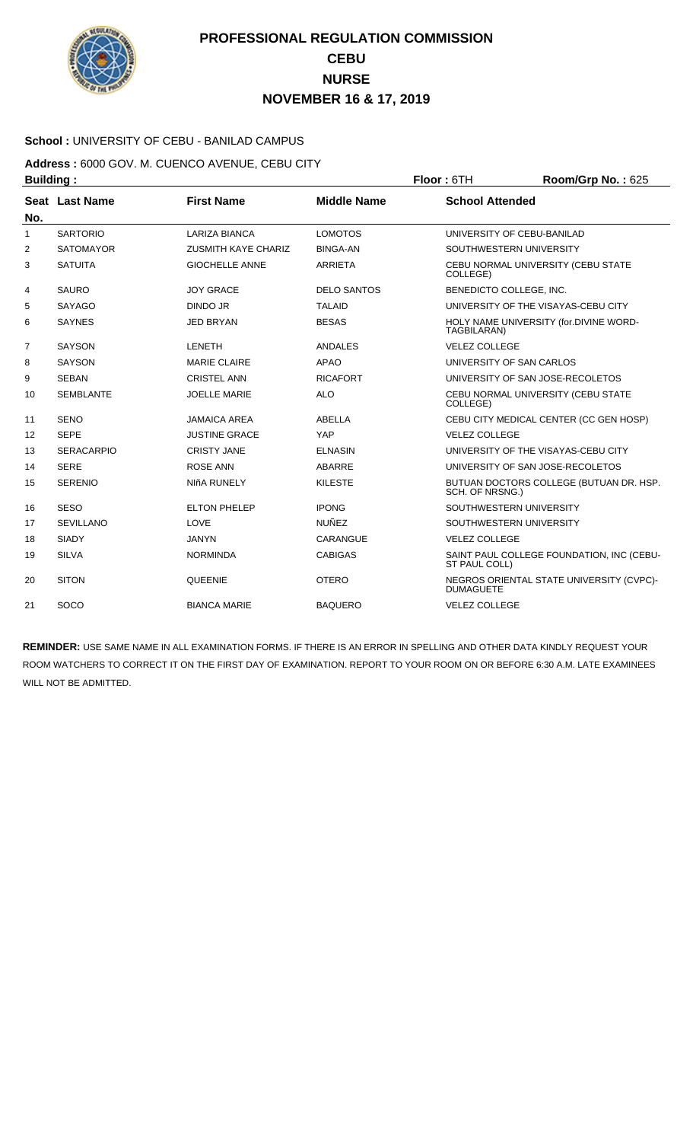

### **School :** UNIVERSITY OF CEBU - BANILAD CAMPUS

**Address :** 6000 GOV. M. CUENCO AVENUE, CEBU CITY **Building : Floor : 6TH Room/Grp No. : 625** 

| No.          | Seat Last Name    | <b>First Name</b>          | <b>Middle Name</b> | <b>School Attended</b>                                       |
|--------------|-------------------|----------------------------|--------------------|--------------------------------------------------------------|
| $\mathbf{1}$ | <b>SARTORIO</b>   | <b>LARIZA BIANCA</b>       | <b>LOMOTOS</b>     | UNIVERSITY OF CEBU-BANILAD                                   |
| 2            | <b>SATOMAYOR</b>  | <b>ZUSMITH KAYE CHARIZ</b> | <b>BINGA-AN</b>    | SOUTHWESTERN UNIVERSITY                                      |
| 3            | <b>SATUITA</b>    | <b>GIOCHELLE ANNE</b>      | <b>ARRIETA</b>     | CEBU NORMAL UNIVERSITY (CEBU STATE<br>COLLEGE)               |
| 4            | <b>SAURO</b>      | <b>JOY GRACE</b>           | <b>DELO SANTOS</b> | BENEDICTO COLLEGE, INC.                                      |
| 5            | <b>SAYAGO</b>     | <b>DINDO JR</b>            | <b>TALAID</b>      | UNIVERSITY OF THE VISAYAS-CEBU CITY                          |
| 6            | <b>SAYNES</b>     | <b>JED BRYAN</b>           | <b>BESAS</b>       | HOLY NAME UNIVERSITY (for.DIVINE WORD-<br>TAGBILARAN)        |
| 7            | <b>SAYSON</b>     | <b>LENETH</b>              | <b>ANDALES</b>     | <b>VELEZ COLLEGE</b>                                         |
| 8            | <b>SAYSON</b>     | <b>MARIE CLAIRE</b>        | APAO               | UNIVERSITY OF SAN CARLOS                                     |
| 9            | <b>SEBAN</b>      | <b>CRISTEL ANN</b>         | <b>RICAFORT</b>    | UNIVERSITY OF SAN JOSE-RECOLETOS                             |
| 10           | <b>SEMBLANTE</b>  | <b>JOELLE MARIE</b>        | <b>ALO</b>         | CEBU NORMAL UNIVERSITY (CEBU STATE<br>COLLEGE)               |
| 11           | <b>SENO</b>       | <b>JAMAICA AREA</b>        | ABELLA             | CEBU CITY MEDICAL CENTER (CC GEN HOSP)                       |
| 12           | <b>SEPE</b>       | <b>JUSTINE GRACE</b>       | YAP                | <b>VELEZ COLLEGE</b>                                         |
| 13           | <b>SERACARPIO</b> | <b>CRISTY JANE</b>         | <b>ELNASIN</b>     | UNIVERSITY OF THE VISAYAS-CEBU CITY                          |
| 14           | <b>SERE</b>       | <b>ROSE ANN</b>            | <b>ABARRE</b>      | UNIVERSITY OF SAN JOSE-RECOLETOS                             |
| 15           | <b>SERENIO</b>    | NIñA RUNELY                | <b>KILESTE</b>     | BUTUAN DOCTORS COLLEGE (BUTUAN DR. HSP.<br>SCH. OF NRSNG.)   |
| 16           | <b>SESO</b>       | <b>ELTON PHELEP</b>        | <b>IPONG</b>       | SOUTHWESTERN UNIVERSITY                                      |
| 17           | <b>SEVILLANO</b>  | LOVE                       | <b>NUÑEZ</b>       | SOUTHWESTERN UNIVERSITY                                      |
| 18           | <b>SIADY</b>      | <b>JANYN</b>               | CARANGUE           | <b>VELEZ COLLEGE</b>                                         |
| 19           | <b>SILVA</b>      | <b>NORMINDA</b>            | <b>CABIGAS</b>     | SAINT PAUL COLLEGE FOUNDATION, INC (CEBU-<br>ST PAUL COLL)   |
| 20           | <b>SITON</b>      | <b>QUEENIE</b>             | <b>OTERO</b>       | NEGROS ORIENTAL STATE UNIVERSITY (CVPC)-<br><b>DUMAGUETE</b> |
| 21           | SOCO              | <b>BIANCA MARIE</b>        | <b>BAQUERO</b>     | <b>VELEZ COLLEGE</b>                                         |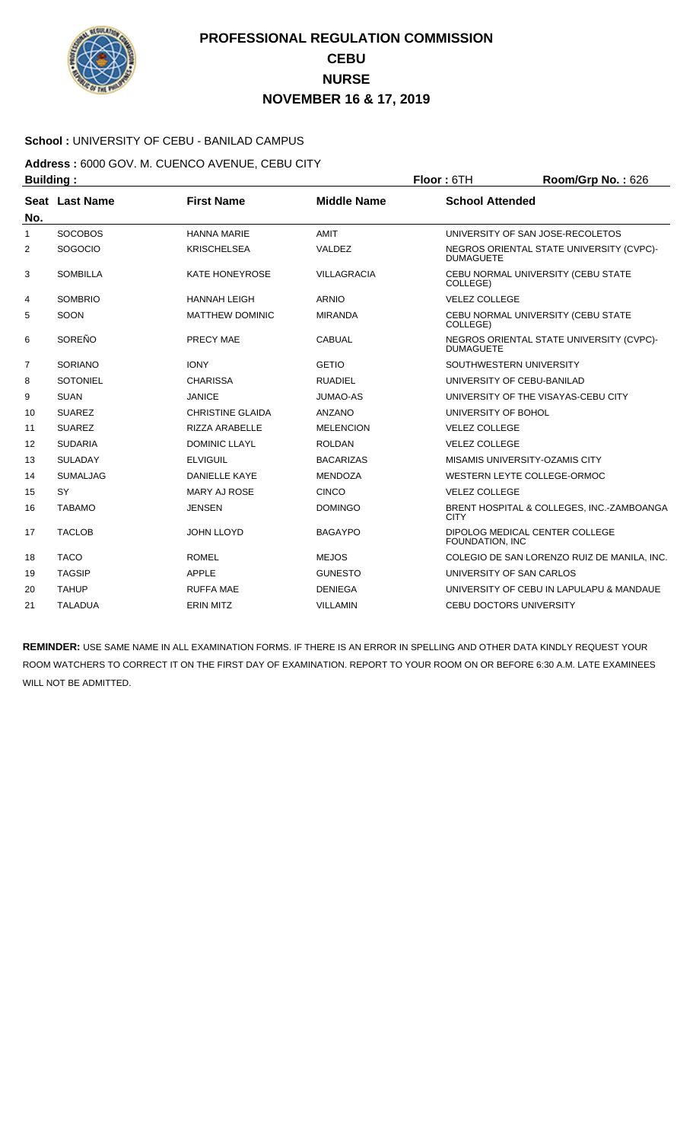

### **School :** UNIVERSITY OF CEBU - BANILAD CAMPUS

### **Address :** 6000 GOV. M. CUENCO AVENUE, CEBU CITY **Building : Floor :** 6TH **Room/Grp No. :** 626

| No.          | Seat Last Name  | <b>First Name</b>       | <b>Middle Name</b> | <b>School Attended</b>                                       |
|--------------|-----------------|-------------------------|--------------------|--------------------------------------------------------------|
| $\mathbf{1}$ | <b>SOCOBOS</b>  | <b>HANNA MARIE</b>      | AMIT               | UNIVERSITY OF SAN JOSE-RECOLETOS                             |
| 2            | <b>SOGOCIO</b>  | <b>KRISCHELSEA</b>      | VALDEZ             | NEGROS ORIENTAL STATE UNIVERSITY (CVPC)-<br><b>DUMAGUETE</b> |
| 3            | <b>SOMBILLA</b> | <b>KATE HONEYROSE</b>   | <b>VILLAGRACIA</b> | CEBU NORMAL UNIVERSITY (CEBU STATE<br>COLLEGE)               |
| 4            | <b>SOMBRIO</b>  | <b>HANNAH LEIGH</b>     | <b>ARNIO</b>       | <b>VELEZ COLLEGE</b>                                         |
| 5            | SOON            | <b>MATTHEW DOMINIC</b>  | <b>MIRANDA</b>     | CEBU NORMAL UNIVERSITY (CEBU STATE<br>COLLEGE)               |
| 6            | SOREÑO          | PRECY MAE               | <b>CABUAL</b>      | NEGROS ORIENTAL STATE UNIVERSITY (CVPC)-<br><b>DUMAGUETE</b> |
| 7            | <b>SORIANO</b>  | <b>IONY</b>             | <b>GETIO</b>       | SOUTHWESTERN UNIVERSITY                                      |
| 8            | <b>SOTONIEL</b> | <b>CHARISSA</b>         | <b>RUADIEL</b>     | UNIVERSITY OF CEBU-BANILAD                                   |
| 9            | <b>SUAN</b>     | <b>JANICE</b>           | <b>JUMAO-AS</b>    | UNIVERSITY OF THE VISAYAS-CEBU CITY                          |
| 10           | <b>SUAREZ</b>   | <b>CHRISTINE GLAIDA</b> | <b>ANZANO</b>      | UNIVERSITY OF BOHOL                                          |
| 11           | <b>SUAREZ</b>   | <b>RIZZA ARABELLE</b>   | <b>MELENCION</b>   | <b>VELEZ COLLEGE</b>                                         |
| 12           | <b>SUDARIA</b>  | <b>DOMINIC LLAYL</b>    | <b>ROLDAN</b>      | <b>VELEZ COLLEGE</b>                                         |
| 13           | <b>SULADAY</b>  | <b>ELVIGUIL</b>         | <b>BACARIZAS</b>   | MISAMIS UNIVERSITY-OZAMIS CITY                               |
| 14           | <b>SUMALJAG</b> | <b>DANIELLE KAYE</b>    | <b>MENDOZA</b>     | WESTERN LEYTE COLLEGE-ORMOC                                  |
| 15           | SY              | <b>MARY AJ ROSE</b>     | <b>CINCO</b>       | <b>VELEZ COLLEGE</b>                                         |
| 16           | <b>TABAMO</b>   | <b>JENSEN</b>           | <b>DOMINGO</b>     | BRENT HOSPITAL & COLLEGES, INC.-ZAMBOANGA<br><b>CITY</b>     |
| 17           | <b>TACLOB</b>   | <b>JOHN LLOYD</b>       | <b>BAGAYPO</b>     | DIPOLOG MEDICAL CENTER COLLEGE<br>FOUNDATION, INC            |
| 18           | <b>TACO</b>     | <b>ROMEL</b>            | <b>MEJOS</b>       | COLEGIO DE SAN LORENZO RUIZ DE MANILA, INC.                  |
| 19           | <b>TAGSIP</b>   | <b>APPLE</b>            | <b>GUNESTO</b>     | UNIVERSITY OF SAN CARLOS                                     |
| 20           | <b>TAHUP</b>    | <b>RUFFA MAE</b>        | <b>DENIEGA</b>     | UNIVERSITY OF CEBU IN LAPULAPU & MANDAUE                     |
| 21           | <b>TALADUA</b>  | <b>ERIN MITZ</b>        | <b>VILLAMIN</b>    | <b>CEBU DOCTORS UNIVERSITY</b>                               |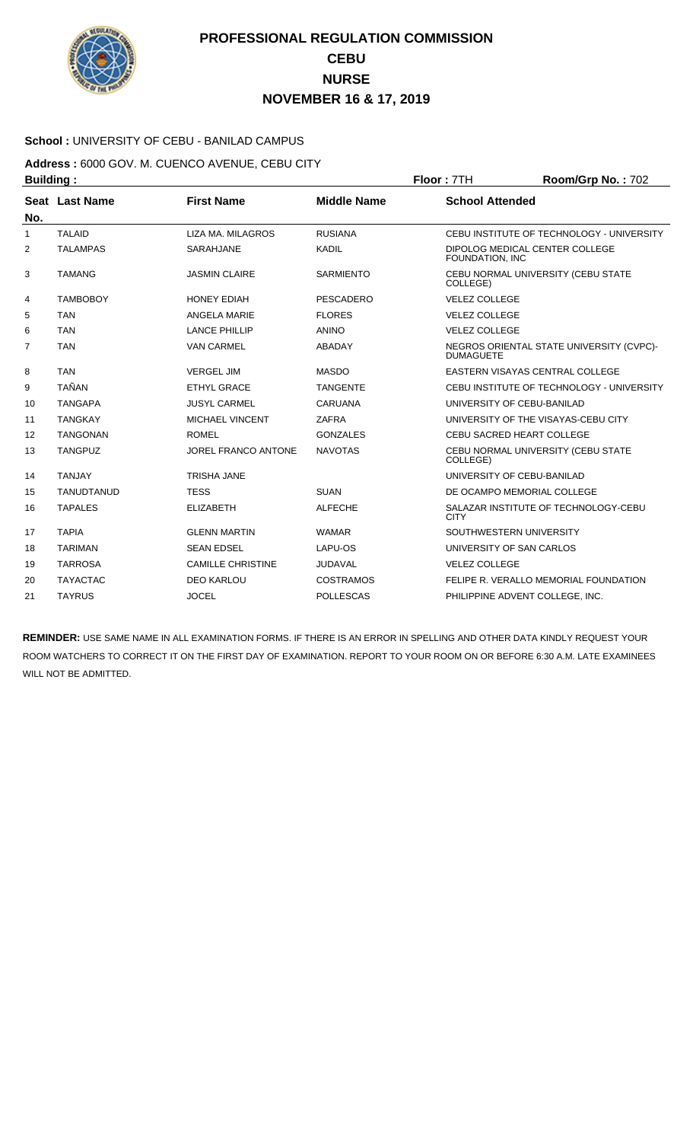

### **School :** UNIVERSITY OF CEBU - BANILAD CAMPUS

### **Address :** 6000 GOV. M. CUENCO AVENUE, CEBU CITY **Building : Floor :** 7TH **Room/Grp No. :** 702

| No.            | Seat Last Name    | <b>First Name</b>          | <b>Middle Name</b> | <b>School Attended</b>                                       |
|----------------|-------------------|----------------------------|--------------------|--------------------------------------------------------------|
| 1              | <b>TALAID</b>     | LIZA MA, MILAGROS          | <b>RUSIANA</b>     | CEBU INSTITUTE OF TECHNOLOGY - UNIVERSITY                    |
| 2              | <b>TALAMPAS</b>   | <b>SARAHJANE</b>           | <b>KADIL</b>       | DIPOLOG MEDICAL CENTER COLLEGE<br>FOUNDATION, INC            |
| 3              | <b>TAMANG</b>     | <b>JASMIN CLAIRE</b>       | <b>SARMIENTO</b>   | CEBU NORMAL UNIVERSITY (CEBU STATE<br>COLLEGE)               |
| 4              | <b>TAMBOBOY</b>   | <b>HONEY EDIAH</b>         | <b>PESCADERO</b>   | <b>VELEZ COLLEGE</b>                                         |
| 5              | <b>TAN</b>        | ANGELA MARIE               | <b>FLORES</b>      | <b>VELEZ COLLEGE</b>                                         |
| 6              | <b>TAN</b>        | <b>LANCE PHILLIP</b>       | <b>ANINO</b>       | <b>VELEZ COLLEGE</b>                                         |
| $\overline{7}$ | <b>TAN</b>        | <b>VAN CARMEL</b>          | ABADAY             | NEGROS ORIENTAL STATE UNIVERSITY (CVPC)-<br><b>DUMAGUETE</b> |
| 8              | <b>TAN</b>        | <b>VERGEL JIM</b>          | <b>MASDO</b>       | EASTERN VISAYAS CENTRAL COLLEGE                              |
| 9              | <b>TAÑAN</b>      | <b>ETHYL GRACE</b>         | <b>TANGENTE</b>    | CEBU INSTITUTE OF TECHNOLOGY - UNIVERSITY                    |
| 10             | <b>TANGAPA</b>    | <b>JUSYL CARMEL</b>        | <b>CARUANA</b>     | UNIVERSITY OF CEBU-BANILAD                                   |
| 11             | <b>TANGKAY</b>    | <b>MICHAEL VINCENT</b>     | <b>ZAFRA</b>       | UNIVERSITY OF THE VISAYAS-CEBU CITY                          |
| 12             | <b>TANGONAN</b>   | <b>ROMEL</b>               | <b>GONZALES</b>    | <b>CEBU SACRED HEART COLLEGE</b>                             |
| 13             | <b>TANGPUZ</b>    | <b>JOREL FRANCO ANTONE</b> | <b>NAVOTAS</b>     | CEBU NORMAL UNIVERSITY (CEBU STATE<br>COLLEGE)               |
| 14             | <b>TANJAY</b>     | <b>TRISHA JANE</b>         |                    | UNIVERSITY OF CEBU-BANILAD                                   |
| 15             | <b>TANUDTANUD</b> | <b>TESS</b>                | <b>SUAN</b>        | DE OCAMPO MEMORIAL COLLEGE                                   |
| 16             | <b>TAPALES</b>    | <b>ELIZABETH</b>           | <b>ALFECHE</b>     | SALAZAR INSTITUTE OF TECHNOLOGY-CEBU<br><b>CITY</b>          |
| 17             | <b>TAPIA</b>      | <b>GLENN MARTIN</b>        | <b>WAMAR</b>       | SOUTHWESTERN UNIVERSITY                                      |
| 18             | <b>TARIMAN</b>    | <b>SEAN EDSEL</b>          | LAPU-OS            | UNIVERSITY OF SAN CARLOS                                     |
| 19             | <b>TARROSA</b>    | <b>CAMILLE CHRISTINE</b>   | <b>JUDAVAL</b>     | <b>VELEZ COLLEGE</b>                                         |
| 20             | <b>TAYACTAC</b>   | <b>DEO KARLOU</b>          | COSTRAMOS          | FELIPE R. VERALLO MEMORIAL FOUNDATION                        |
| 21             | <b>TAYRUS</b>     | <b>JOCEL</b>               | <b>POLLESCAS</b>   | PHILIPPINE ADVENT COLLEGE, INC.                              |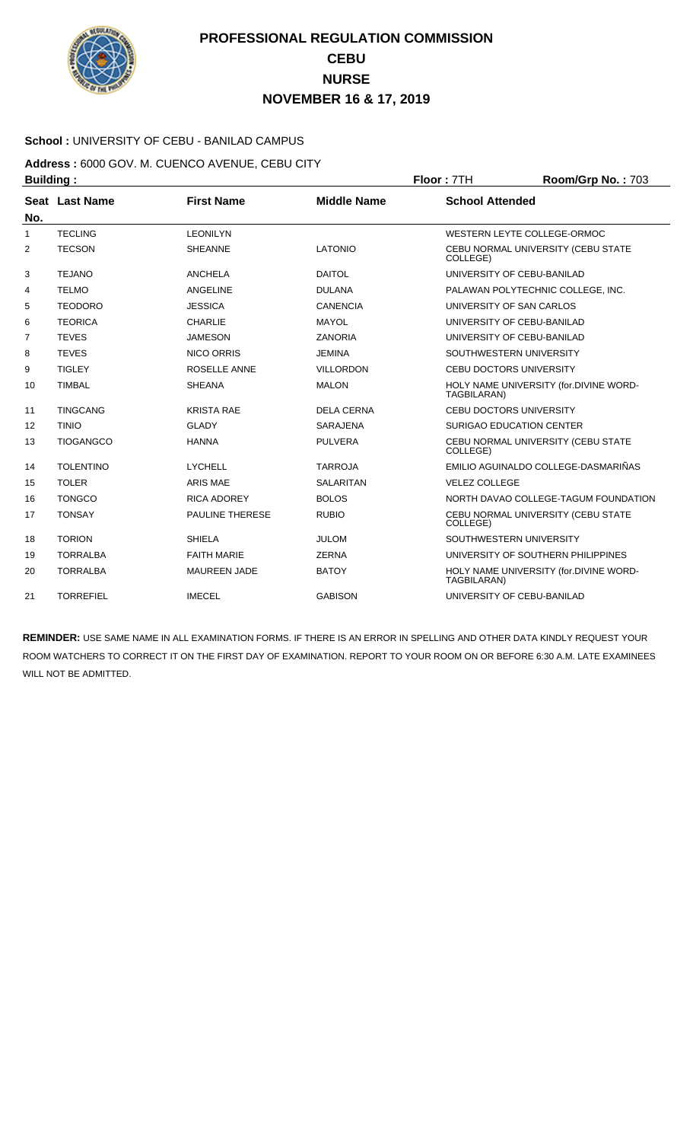

### **School :** UNIVERSITY OF CEBU - BANILAD CAMPUS

**Address :** 6000 GOV. M. CUENCO AVENUE, CEBU CITY **Building : Floor :** 7TH **Room/Grp No. :** 703

| No. | Seat Last Name   | <b>First Name</b>      | <b>Middle Name</b> | <b>School Attended</b>                                |
|-----|------------------|------------------------|--------------------|-------------------------------------------------------|
| 1   | <b>TECLING</b>   | <b>LEONILYN</b>        |                    | WESTERN LEYTE COLLEGE-ORMOC                           |
| 2   | <b>TECSON</b>    | <b>SHEANNE</b>         | <b>LATONIO</b>     | CEBU NORMAL UNIVERSITY (CEBU STATE<br>COLLEGE)        |
| 3   | <b>TEJANO</b>    | ANCHELA                | <b>DAITOL</b>      | UNIVERSITY OF CEBU-BANILAD                            |
| 4   | <b>TELMO</b>     | ANGELINE               | <b>DULANA</b>      | PALAWAN POLYTECHNIC COLLEGE, INC.                     |
| 5   | <b>TEODORO</b>   | <b>JESSICA</b>         | <b>CANENCIA</b>    | UNIVERSITY OF SAN CARLOS                              |
| 6   | <b>TEORICA</b>   | <b>CHARLIE</b>         | <b>MAYOL</b>       | UNIVERSITY OF CEBU-BANILAD                            |
| 7   | <b>TEVES</b>     | <b>JAMESON</b>         | <b>ZANORIA</b>     | UNIVERSITY OF CEBU-BANILAD                            |
| 8   | <b>TEVES</b>     | <b>NICO ORRIS</b>      | <b>JEMINA</b>      | SOUTHWESTERN UNIVERSITY                               |
| 9   | <b>TIGLEY</b>    | ROSELLE ANNE           | <b>VILLORDON</b>   | <b>CEBU DOCTORS UNIVERSITY</b>                        |
| 10  | <b>TIMBAL</b>    | <b>SHEANA</b>          | <b>MALON</b>       | HOLY NAME UNIVERSITY (for.DIVINE WORD-<br>TAGBILARAN) |
| 11  | <b>TINGCANG</b>  | <b>KRISTA RAE</b>      | <b>DELA CERNA</b>  | <b>CEBU DOCTORS UNIVERSITY</b>                        |
| 12  | <b>TINIO</b>     | <b>GLADY</b>           | <b>SARAJENA</b>    | <b>SURIGAO EDUCATION CENTER</b>                       |
| 13  | <b>TIOGANGCO</b> | <b>HANNA</b>           | <b>PULVERA</b>     | CEBU NORMAL UNIVERSITY (CEBU STATE<br>COLLEGE)        |
| 14  | <b>TOLENTINO</b> | <b>LYCHELL</b>         | <b>TARROJA</b>     | EMILIO AGUINALDO COLLEGE-DASMARIÑAS                   |
| 15  | <b>TOLER</b>     | <b>ARIS MAE</b>        | <b>SALARITAN</b>   | <b>VELEZ COLLEGE</b>                                  |
| 16  | <b>TONGCO</b>    | <b>RICA ADOREY</b>     | <b>BOLOS</b>       | NORTH DAVAO COLLEGE-TAGUM FOUNDATION                  |
| 17  | <b>TONSAY</b>    | <b>PAULINE THERESE</b> | <b>RUBIO</b>       | CEBU NORMAL UNIVERSITY (CEBU STATE<br>COLLEGE)        |
| 18  | <b>TORION</b>    | <b>SHIELA</b>          | <b>JULOM</b>       | SOUTHWESTERN UNIVERSITY                               |
| 19  | <b>TORRALBA</b>  | <b>FAITH MARIE</b>     | <b>ZERNA</b>       | UNIVERSITY OF SOUTHERN PHILIPPINES                    |
| 20  | <b>TORRALBA</b>  | <b>MAUREEN JADE</b>    | <b>BATOY</b>       | HOLY NAME UNIVERSITY (for.DIVINE WORD-<br>TAGBILARAN) |
| 21  | <b>TORREFIEL</b> | <b>IMECEL</b>          | <b>GABISON</b>     | UNIVERSITY OF CEBU-BANILAD                            |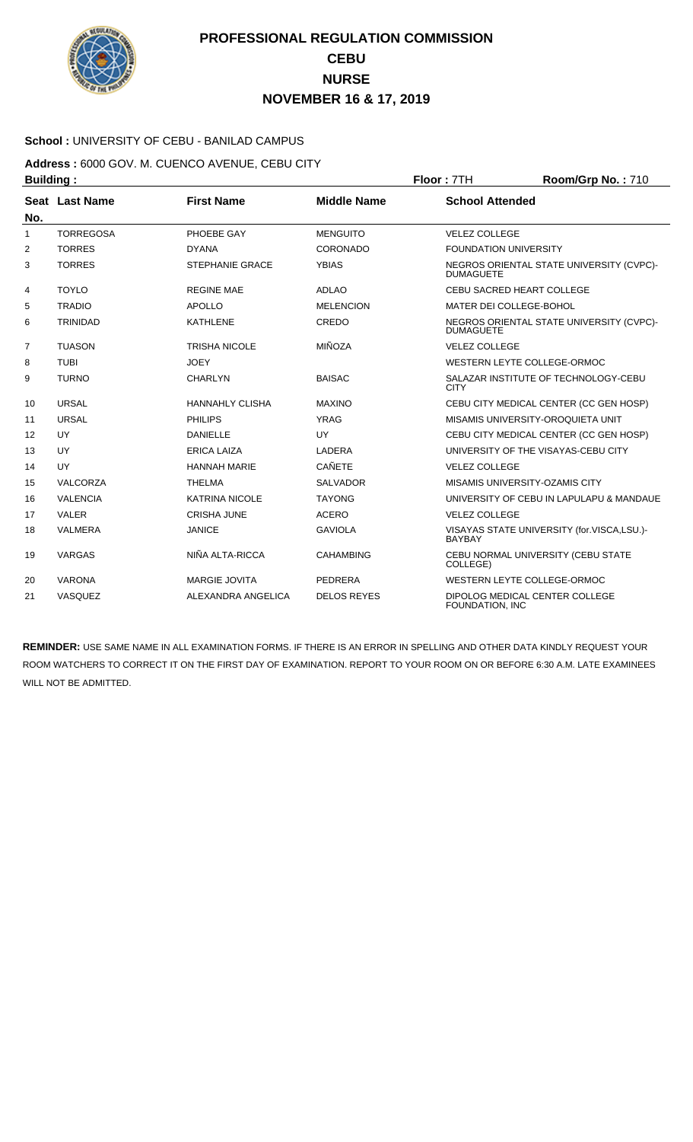

### **School :** UNIVERSITY OF CEBU - BANILAD CAMPUS

### **Address :** 6000 GOV. M. CUENCO AVENUE, CEBU CITY **Building : Floor : 7TH Room/Grp No. : 710**

| No. | Seat Last Name   | <b>First Name</b>      | <b>Middle Name</b> | <b>School Attended</b>                                       |
|-----|------------------|------------------------|--------------------|--------------------------------------------------------------|
| 1   | <b>TORREGOSA</b> | PHOEBE GAY             | <b>MENGUITO</b>    | <b>VELEZ COLLEGE</b>                                         |
| 2   | <b>TORRES</b>    | <b>DYANA</b>           | CORONADO           | <b>FOUNDATION UNIVERSITY</b>                                 |
| 3   | <b>TORRES</b>    | <b>STEPHANIE GRACE</b> | <b>YBIAS</b>       | NEGROS ORIENTAL STATE UNIVERSITY (CVPC)-<br><b>DUMAGUETE</b> |
| 4   | <b>TOYLO</b>     | <b>REGINE MAE</b>      | <b>ADLAO</b>       | CEBU SACRED HEART COLLEGE                                    |
| 5   | <b>TRADIO</b>    | <b>APOLLO</b>          | <b>MELENCION</b>   | MATER DEI COLLEGE-BOHOL                                      |
| 6   | <b>TRINIDAD</b>  | <b>KATHLENE</b>        | CREDO              | NEGROS ORIENTAL STATE UNIVERSITY (CVPC)-<br><b>DUMAGUETE</b> |
| 7   | <b>TUASON</b>    | <b>TRISHA NICOLE</b>   | <b>MIÑOZA</b>      | <b>VELEZ COLLEGE</b>                                         |
| 8   | <b>TUBI</b>      | <b>JOEY</b>            |                    | WESTERN LEYTE COLLEGE-ORMOC                                  |
| 9   | <b>TURNO</b>     | <b>CHARLYN</b>         | <b>BAISAC</b>      | SALAZAR INSTITUTE OF TECHNOLOGY-CEBU<br><b>CITY</b>          |
| 10  | <b>URSAL</b>     | <b>HANNAHLY CLISHA</b> | <b>MAXINO</b>      | CEBU CITY MEDICAL CENTER (CC GEN HOSP)                       |
| 11  | <b>URSAL</b>     | <b>PHILIPS</b>         | <b>YRAG</b>        | MISAMIS UNIVERSITY-OROQUIETA UNIT                            |
| 12  | UY               | <b>DANIELLE</b>        | UY                 | CEBU CITY MEDICAL CENTER (CC GEN HOSP)                       |
| 13  | UY               | <b>ERICA LAIZA</b>     | LADERA             | UNIVERSITY OF THE VISAYAS-CEBU CITY                          |
| 14  | UY               | <b>HANNAH MARIE</b>    | <b>CAÑETE</b>      | <b>VELEZ COLLEGE</b>                                         |
| 15  | VALCORZA         | <b>THELMA</b>          | <b>SALVADOR</b>    | MISAMIS UNIVERSITY-OZAMIS CITY                               |
| 16  | <b>VALENCIA</b>  | <b>KATRINA NICOLE</b>  | <b>TAYONG</b>      | UNIVERSITY OF CEBU IN LAPULAPU & MANDAUE                     |
| 17  | <b>VALER</b>     | <b>CRISHA JUNE</b>     | <b>ACERO</b>       | <b>VELEZ COLLEGE</b>                                         |
| 18  | <b>VALMERA</b>   | <b>JANICE</b>          | <b>GAVIOLA</b>     | VISAYAS STATE UNIVERSITY (for.VISCA,LSU.)-<br><b>BAYBAY</b>  |
| 19  | <b>VARGAS</b>    | NIÑA ALTA-RICCA        | <b>CAHAMBING</b>   | CEBU NORMAL UNIVERSITY (CEBU STATE<br>COLLEGE)               |
| 20  | <b>VARONA</b>    | <b>MARGIE JOVITA</b>   | PEDRERA            | WESTERN LEYTE COLLEGE-ORMOC                                  |
| 21  | VASQUEZ          | ALEXANDRA ANGELICA     | <b>DELOS REYES</b> | DIPOLOG MEDICAL CENTER COLLEGE<br>FOUNDATION, INC            |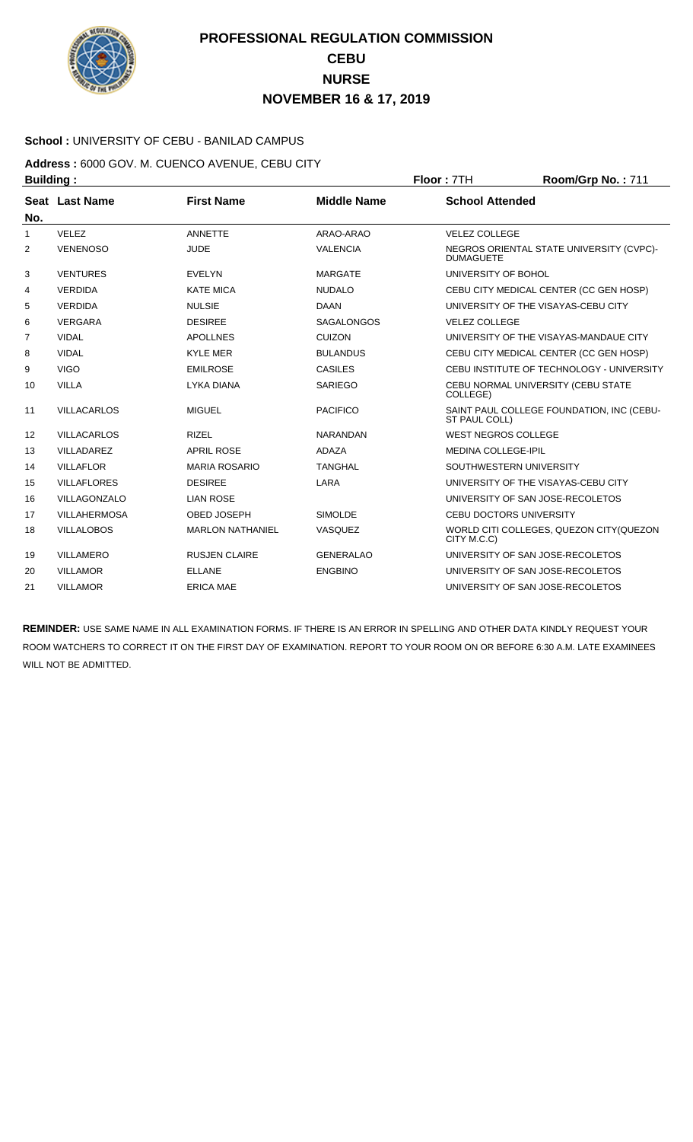

### **School :** UNIVERSITY OF CEBU - BANILAD CAMPUS

**Address :** 6000 GOV. M. CUENCO AVENUE, CEBU CITY **Building : Floor :** 7TH **Room/Grp No. :** 711

| No.            | Seat Last Name      | <b>First Name</b>       | <b>Middle Name</b> | <b>School Attended</b>                                       |
|----------------|---------------------|-------------------------|--------------------|--------------------------------------------------------------|
| 1              | VELEZ               | <b>ANNETTE</b>          | ARAO-ARAO          | <b>VELEZ COLLEGE</b>                                         |
| $\overline{2}$ | <b>VENENOSO</b>     | <b>JUDE</b>             | <b>VALENCIA</b>    | NEGROS ORIENTAL STATE UNIVERSITY (CVPC)-<br><b>DUMAGUETE</b> |
| 3              | <b>VENTURES</b>     | <b>EVELYN</b>           | <b>MARGATE</b>     | UNIVERSITY OF BOHOL                                          |
| 4              | <b>VERDIDA</b>      | <b>KATE MICA</b>        | <b>NUDALO</b>      | CEBU CITY MEDICAL CENTER (CC GEN HOSP)                       |
| 5              | <b>VERDIDA</b>      | <b>NULSIE</b>           | <b>DAAN</b>        | UNIVERSITY OF THE VISAYAS-CEBU CITY                          |
| 6              | <b>VERGARA</b>      | <b>DESIREE</b>          | <b>SAGALONGOS</b>  | <b>VELEZ COLLEGE</b>                                         |
| 7              | <b>VIDAL</b>        | <b>APOLLNES</b>         | <b>CUIZON</b>      | UNIVERSITY OF THE VISAYAS-MANDAUE CITY                       |
| 8              | <b>VIDAL</b>        | <b>KYLE MER</b>         | <b>BULANDUS</b>    | CEBU CITY MEDICAL CENTER (CC GEN HOSP)                       |
| 9              | <b>VIGO</b>         | <b>EMILROSE</b>         | <b>CASILES</b>     | CEBU INSTITUTE OF TECHNOLOGY - UNIVERSITY                    |
| 10             | <b>VILLA</b>        | <b>LYKA DIANA</b>       | <b>SARIEGO</b>     | CEBU NORMAL UNIVERSITY (CEBU STATE<br>COLLEGE)               |
| 11             | <b>VILLACARLOS</b>  | <b>MIGUEL</b>           | <b>PACIFICO</b>    | SAINT PAUL COLLEGE FOUNDATION, INC (CEBU-<br>ST PAUL COLL)   |
| 12             | <b>VILLACARLOS</b>  | <b>RIZEL</b>            | <b>NARANDAN</b>    | <b>WEST NEGROS COLLEGE</b>                                   |
| 13             | VILLADAREZ          | <b>APRIL ROSE</b>       | <b>ADAZA</b>       | <b>MEDINA COLLEGE-IPIL</b>                                   |
| 14             | <b>VILLAFLOR</b>    | <b>MARIA ROSARIO</b>    | <b>TANGHAL</b>     | SOUTHWESTERN UNIVERSITY                                      |
| 15             | <b>VILLAFLORES</b>  | <b>DESIREE</b>          | LARA               | UNIVERSITY OF THE VISAYAS-CEBU CITY                          |
| 16             | VILLAGONZALO        | <b>LIAN ROSE</b>        |                    | UNIVERSITY OF SAN JOSE-RECOLETOS                             |
| 17             | <b>VILLAHERMOSA</b> | <b>OBED JOSEPH</b>      | <b>SIMOLDE</b>     | <b>CEBU DOCTORS UNIVERSITY</b>                               |
| 18             | <b>VILLALOBOS</b>   | <b>MARLON NATHANIEL</b> | VASQUEZ            | WORLD CITI COLLEGES, QUEZON CITY (QUEZON<br>CITY M.C.C)      |
| 19             | <b>VILLAMERO</b>    | <b>RUSJEN CLAIRE</b>    | <b>GENERALAO</b>   | UNIVERSITY OF SAN JOSE-RECOLETOS                             |
| 20             | <b>VILLAMOR</b>     | <b>ELLANE</b>           | <b>ENGBINO</b>     | UNIVERSITY OF SAN JOSE-RECOLETOS                             |
| 21             | <b>VILLAMOR</b>     | <b>ERICA MAE</b>        |                    | UNIVERSITY OF SAN JOSE-RECOLETOS                             |